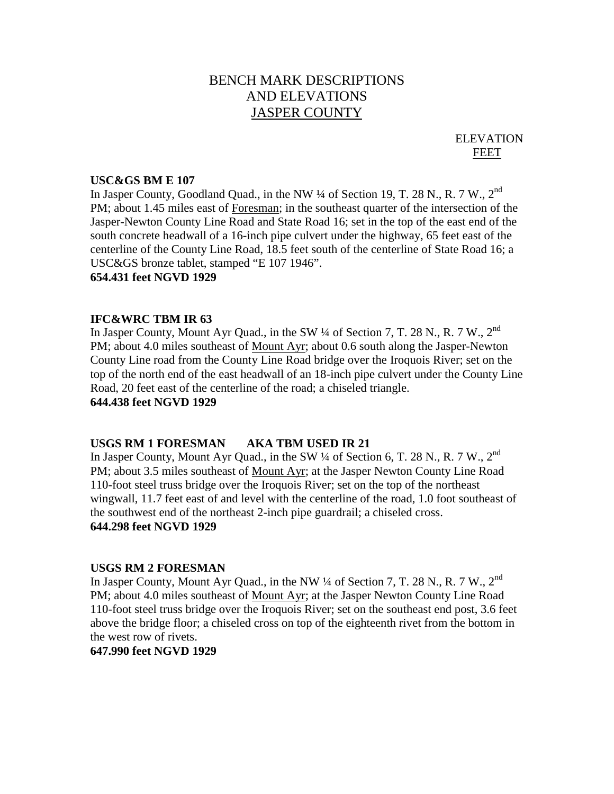# BENCH MARK DESCRIPTIONS AND ELEVATIONS JASPER COUNTY

ELEVATION FEET

#### **USC&GS BM E 107**

In Jasper County, Goodland Quad., in the NW 1/4 of Section 19, T. 28 N., R. 7 W., 2<sup>nd</sup> PM; about 1.45 miles east of Foresman; in the southeast quarter of the intersection of the Jasper-Newton County Line Road and State Road 16; set in the top of the east end of the south concrete headwall of a 16-inch pipe culvert under the highway, 65 feet east of the centerline of the County Line Road, 18.5 feet south of the centerline of State Road 16; a USC&GS bronze tablet, stamped "E 107 1946".

# **654.431 feet NGVD 1929**

# **IFC&WRC TBM IR 63**

In Jasper County, Mount Ayr Quad., in the SW 1/4 of Section 7, T. 28 N., R. 7 W., 2<sup>nd</sup> PM; about 4.0 miles southeast of Mount Ayr; about 0.6 south along the Jasper-Newton County Line road from the County Line Road bridge over the Iroquois River; set on the top of the north end of the east headwall of an 18-inch pipe culvert under the County Line Road, 20 feet east of the centerline of the road; a chiseled triangle. **644.438 feet NGVD 1929**

#### **USGS RM 1 FORESMAN AKA TBM USED IR 21**

In Jasper County, Mount Ayr Quad., in the SW 1/4 of Section 6, T. 28 N., R. 7 W., 2<sup>nd</sup> PM; about 3.5 miles southeast of Mount Ayr; at the Jasper Newton County Line Road 110-foot steel truss bridge over the Iroquois River; set on the top of the northeast wingwall, 11.7 feet east of and level with the centerline of the road, 1.0 foot southeast of the southwest end of the northeast 2-inch pipe guardrail; a chiseled cross. **644.298 feet NGVD 1929**

#### **USGS RM 2 FORESMAN**

In Jasper County, Mount Ayr Quad., in the NW 1/4 of Section 7, T. 28 N., R. 7 W., 2<sup>nd</sup> PM; about 4.0 miles southeast of Mount Ayr; at the Jasper Newton County Line Road 110-foot steel truss bridge over the Iroquois River; set on the southeast end post, 3.6 feet above the bridge floor; a chiseled cross on top of the eighteenth rivet from the bottom in the west row of rivets.

# **647.990 feet NGVD 1929**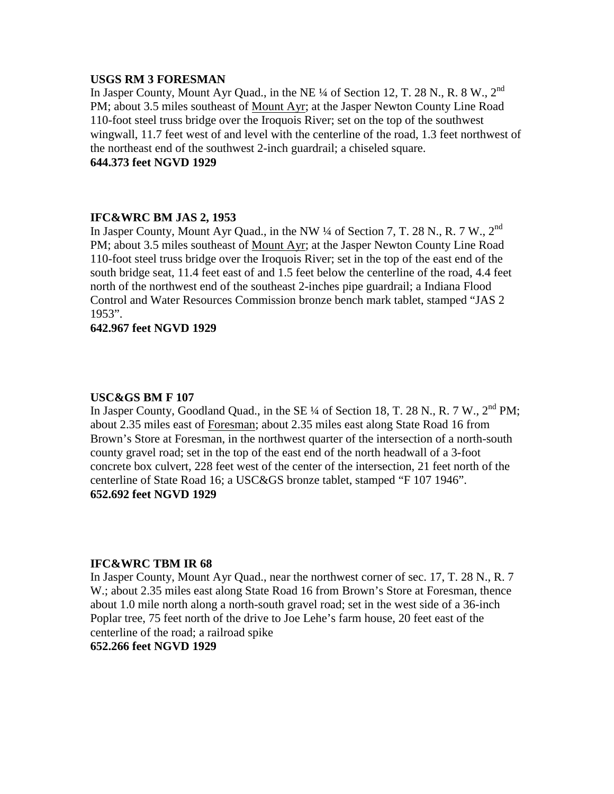# **USGS RM 3 FORESMAN**

In Jasper County, Mount Ayr Quad., in the NE ¼ of Section 12, T. 28 N., R. 8 W., 2nd PM; about 3.5 miles southeast of Mount Ayr; at the Jasper Newton County Line Road 110-foot steel truss bridge over the Iroquois River; set on the top of the southwest wingwall, 11.7 feet west of and level with the centerline of the road, 1.3 feet northwest of the northeast end of the southwest 2-inch guardrail; a chiseled square. **644.373 feet NGVD 1929**

# **IFC&WRC BM JAS 2, 1953**

In Jasper County, Mount Ayr Quad., in the NW 1/4 of Section 7, T. 28 N., R. 7 W., 2<sup>nd</sup> PM; about 3.5 miles southeast of Mount Ayr; at the Jasper Newton County Line Road 110-foot steel truss bridge over the Iroquois River; set in the top of the east end of the south bridge seat, 11.4 feet east of and 1.5 feet below the centerline of the road, 4.4 feet north of the northwest end of the southeast 2-inches pipe guardrail; a Indiana Flood Control and Water Resources Commission bronze bench mark tablet, stamped "JAS 2 1953".

# **642.967 feet NGVD 1929**

#### **USC&GS BM F 107**

In Jasper County, Goodland Quad., in the SE  $\frac{1}{4}$  of Section 18, T. 28 N., R. 7 W., 2<sup>nd</sup> PM; about 2.35 miles east of Foresman; about 2.35 miles east along State Road 16 from Brown's Store at Foresman, in the northwest quarter of the intersection of a north-south county gravel road; set in the top of the east end of the north headwall of a 3-foot concrete box culvert, 228 feet west of the center of the intersection, 21 feet north of the centerline of State Road 16; a USC&GS bronze tablet, stamped "F 107 1946". **652.692 feet NGVD 1929**

## **IFC&WRC TBM IR 68**

In Jasper County, Mount Ayr Quad., near the northwest corner of sec. 17, T. 28 N., R. 7 W.; about 2.35 miles east along State Road 16 from Brown's Store at Foresman, thence about 1.0 mile north along a north-south gravel road; set in the west side of a 36-inch Poplar tree, 75 feet north of the drive to Joe Lehe's farm house, 20 feet east of the centerline of the road; a railroad spike

# **652.266 feet NGVD 1929**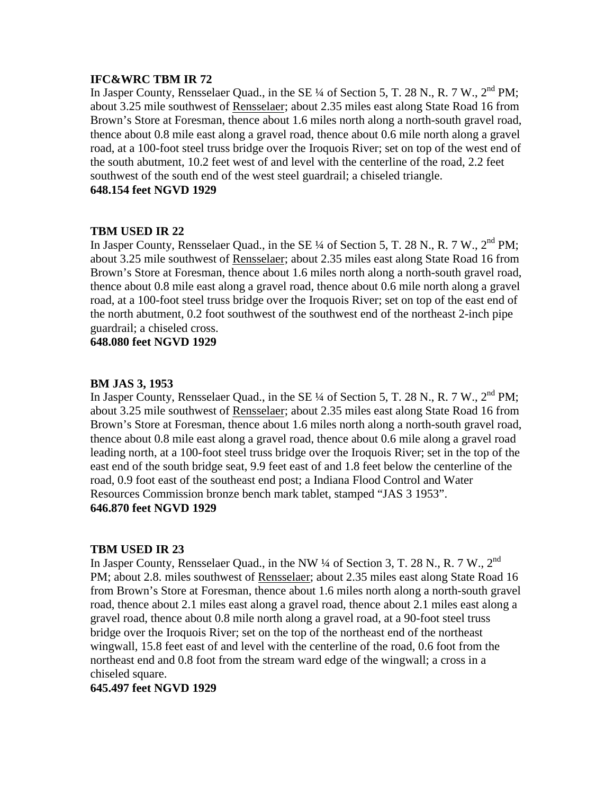# **IFC&WRC TBM IR 72**

In Jasper County, Rensselaer Quad., in the SE  $\frac{1}{4}$  of Section 5, T. 28 N., R. 7 W.,  $2^{nd}$  PM; about 3.25 mile southwest of Rensselaer; about 2.35 miles east along State Road 16 from Brown's Store at Foresman, thence about 1.6 miles north along a north-south gravel road, thence about 0.8 mile east along a gravel road, thence about 0.6 mile north along a gravel road, at a 100-foot steel truss bridge over the Iroquois River; set on top of the west end of the south abutment, 10.2 feet west of and level with the centerline of the road, 2.2 feet southwest of the south end of the west steel guardrail; a chiseled triangle.

# **648.154 feet NGVD 1929**

# **TBM USED IR 22**

In Jasper County, Rensselaer Quad., in the SE  $\frac{1}{4}$  of Section 5, T. 28 N., R. 7 W.,  $2^{nd}$  PM; about 3.25 mile southwest of Rensselaer; about 2.35 miles east along State Road 16 from Brown's Store at Foresman, thence about 1.6 miles north along a north-south gravel road, thence about 0.8 mile east along a gravel road, thence about 0.6 mile north along a gravel road, at a 100-foot steel truss bridge over the Iroquois River; set on top of the east end of the north abutment, 0.2 foot southwest of the southwest end of the northeast 2-inch pipe guardrail; a chiseled cross.

**648.080 feet NGVD 1929**

# **BM JAS 3, 1953**

In Jasper County, Rensselaer Quad., in the SE <sup>1</sup>/4 of Section 5, T. 28 N., R. 7 W., 2<sup>nd</sup> PM: about 3.25 mile southwest of Rensselaer; about 2.35 miles east along State Road 16 from Brown's Store at Foresman, thence about 1.6 miles north along a north-south gravel road, thence about 0.8 mile east along a gravel road, thence about 0.6 mile along a gravel road leading north, at a 100-foot steel truss bridge over the Iroquois River; set in the top of the east end of the south bridge seat, 9.9 feet east of and 1.8 feet below the centerline of the road, 0.9 foot east of the southeast end post; a Indiana Flood Control and Water Resources Commission bronze bench mark tablet, stamped "JAS 3 1953". **646.870 feet NGVD 1929**

# **TBM USED IR 23**

In Jasper County, Rensselaer Quad., in the NW  $\frac{1}{4}$  of Section 3, T. 28 N., R. 7 W., 2<sup>nd</sup> PM; about 2.8. miles southwest of Rensselaer; about 2.35 miles east along State Road 16 from Brown's Store at Foresman, thence about 1.6 miles north along a north-south gravel road, thence about 2.1 miles east along a gravel road, thence about 2.1 miles east along a gravel road, thence about 0.8 mile north along a gravel road, at a 90-foot steel truss bridge over the Iroquois River; set on the top of the northeast end of the northeast wingwall, 15.8 feet east of and level with the centerline of the road, 0.6 foot from the northeast end and 0.8 foot from the stream ward edge of the wingwall; a cross in a chiseled square.

# **645.497 feet NGVD 1929**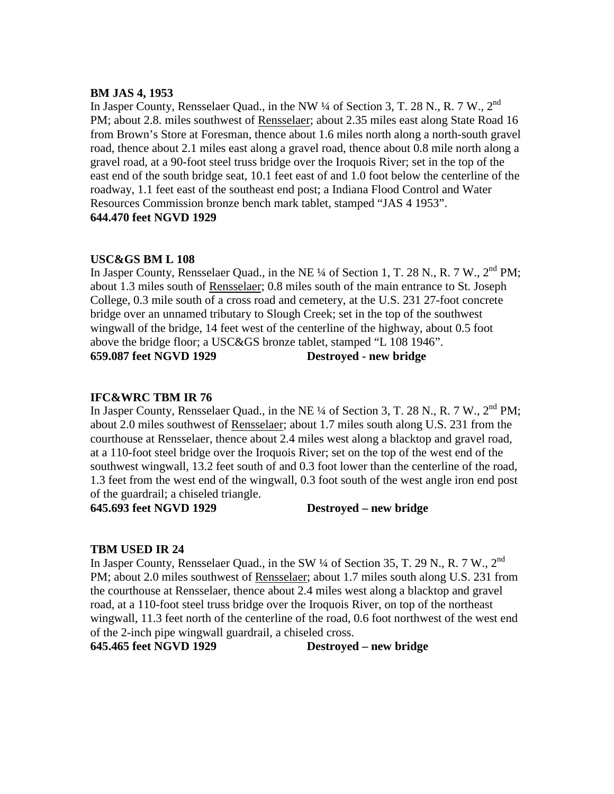# **BM JAS 4, 1953**

In Jasper County, Rensselaer Quad., in the NW  $\frac{1}{4}$  of Section 3, T. 28 N., R. 7 W., 2<sup>nd</sup> PM; about 2.8. miles southwest of Rensselaer; about 2.35 miles east along State Road 16 from Brown's Store at Foresman, thence about 1.6 miles north along a north-south gravel road, thence about 2.1 miles east along a gravel road, thence about 0.8 mile north along a gravel road, at a 90-foot steel truss bridge over the Iroquois River; set in the top of the east end of the south bridge seat, 10.1 feet east of and 1.0 foot below the centerline of the roadway, 1.1 feet east of the southeast end post; a Indiana Flood Control and Water Resources Commission bronze bench mark tablet, stamped "JAS 4 1953". **644.470 feet NGVD 1929**

# **USC&GS BM L 108**

In Jasper County, Rensselaer Quad., in the NE  $\frac{1}{4}$  of Section 1, T. 28 N., R. 7 W., 2<sup>nd</sup> PM; about 1.3 miles south of Rensselaer; 0.8 miles south of the main entrance to St. Joseph College, 0.3 mile south of a cross road and cemetery, at the U.S. 231 27-foot concrete bridge over an unnamed tributary to Slough Creek; set in the top of the southwest wingwall of the bridge, 14 feet west of the centerline of the highway, about 0.5 foot above the bridge floor; a USC&GS bronze tablet, stamped "L 108 1946". **659.087 feet NGVD 1929 Destroyed - new bridge**

# **IFC&WRC TBM IR 76**

In Jasper County, Rensselaer Quad., in the NE ¼ of Section 3, T. 28 N., R. 7 W., 2<sup>nd</sup> PM; about 2.0 miles southwest of Rensselaer; about 1.7 miles south along U.S. 231 from the courthouse at Rensselaer, thence about 2.4 miles west along a blacktop and gravel road, at a 110-foot steel bridge over the Iroquois River; set on the top of the west end of the southwest wingwall, 13.2 feet south of and 0.3 foot lower than the centerline of the road, 1.3 feet from the west end of the wingwall, 0.3 foot south of the west angle iron end post of the guardrail; a chiseled triangle.

**645.693 feet NGVD 1929 Destroyed – new bridge**

#### **TBM USED IR 24**

In Jasper County, Rensselaer Quad., in the SW  $\frac{1}{4}$  of Section 35, T. 29 N., R. 7 W., 2<sup>nd</sup> PM; about 2.0 miles southwest of Rensselaer; about 1.7 miles south along U.S. 231 from the courthouse at Rensselaer, thence about 2.4 miles west along a blacktop and gravel road, at a 110-foot steel truss bridge over the Iroquois River, on top of the northeast wingwall, 11.3 feet north of the centerline of the road, 0.6 foot northwest of the west end of the 2-inch pipe wingwall guardrail, a chiseled cross.

**645.465 feet NGVD 1929 Destroyed – new bridge**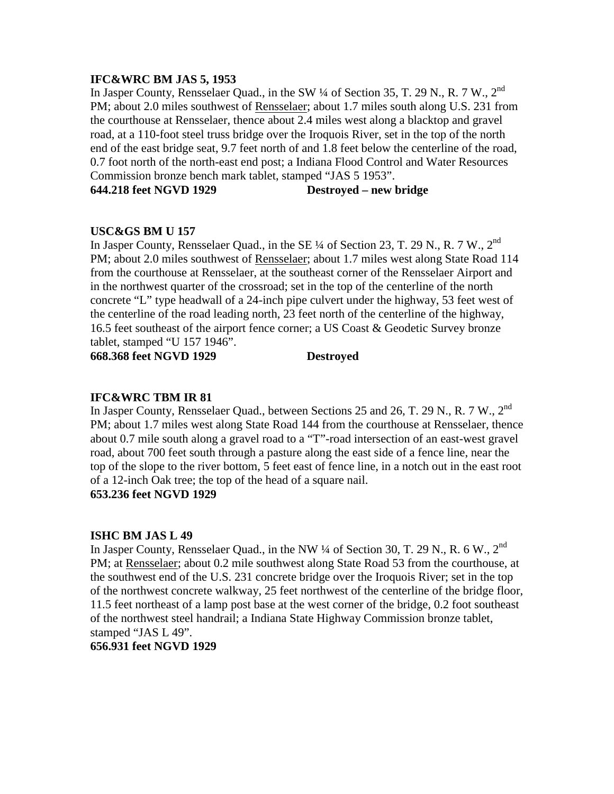# **IFC&WRC BM JAS 5, 1953**

In Jasper County, Rensselaer Quad., in the SW ¼ of Section 35, T. 29 N., R. 7 W., 2nd PM; about 2.0 miles southwest of Rensselaer; about 1.7 miles south along U.S. 231 from the courthouse at Rensselaer, thence about 2.4 miles west along a blacktop and gravel road, at a 110-foot steel truss bridge over the Iroquois River, set in the top of the north end of the east bridge seat, 9.7 feet north of and 1.8 feet below the centerline of the road, 0.7 foot north of the north-east end post; a Indiana Flood Control and Water Resources Commission bronze bench mark tablet, stamped "JAS 5 1953".

**644.218 feet NGVD 1929 Destroyed – new bridge**

# **USC&GS BM U 157**

In Jasper County, Rensselaer Quad., in the SE  $\frac{1}{4}$  of Section 23, T. 29 N., R. 7 W., 2<sup>nd</sup> PM; about 2.0 miles southwest of Rensselaer; about 1.7 miles west along State Road 114 from the courthouse at Rensselaer, at the southeast corner of the Rensselaer Airport and in the northwest quarter of the crossroad; set in the top of the centerline of the north concrete "L" type headwall of a 24-inch pipe culvert under the highway, 53 feet west of the centerline of the road leading north, 23 feet north of the centerline of the highway, 16.5 feet southeast of the airport fence corner; a US Coast & Geodetic Survey bronze tablet, stamped "U 157 1946".

**668.368 feet NGVD 1929 Destroyed**

# **IFC&WRC TBM IR 81**

In Jasper County, Rensselaer Quad., between Sections 25 and 26, T. 29 N., R. 7 W., 2<sup>nd</sup> PM; about 1.7 miles west along State Road 144 from the courthouse at Rensselaer, thence about 0.7 mile south along a gravel road to a "T"-road intersection of an east-west gravel road, about 700 feet south through a pasture along the east side of a fence line, near the top of the slope to the river bottom, 5 feet east of fence line, in a notch out in the east root of a 12-inch Oak tree; the top of the head of a square nail.

# **653.236 feet NGVD 1929**

# **ISHC BM JAS L 49**

In Jasper County, Rensselaer Quad., in the NW  $\frac{1}{4}$  of Section 30, T. 29 N., R. 6 W., 2<sup>nd</sup> PM; at Rensselaer; about 0.2 mile southwest along State Road 53 from the courthouse, at the southwest end of the U.S. 231 concrete bridge over the Iroquois River; set in the top of the northwest concrete walkway, 25 feet northwest of the centerline of the bridge floor, 11.5 feet northeast of a lamp post base at the west corner of the bridge, 0.2 foot southeast of the northwest steel handrail; a Indiana State Highway Commission bronze tablet, stamped "JAS L 49".

#### **656.931 feet NGVD 1929**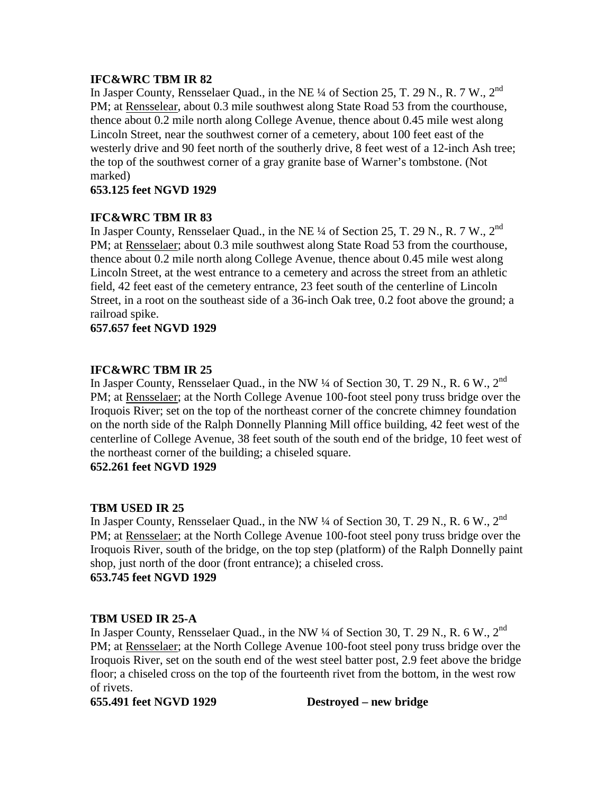# **IFC&WRC TBM IR 82**

In Jasper County, Rensselaer Quad., in the NE ¼ of Section 25, T. 29 N., R. 7 W., 2nd PM; at Rensselear, about 0.3 mile southwest along State Road 53 from the courthouse, thence about 0.2 mile north along College Avenue, thence about 0.45 mile west along Lincoln Street, near the southwest corner of a cemetery, about 100 feet east of the westerly drive and 90 feet north of the southerly drive, 8 feet west of a 12-inch Ash tree; the top of the southwest corner of a gray granite base of Warner's tombstone. (Not marked)

# **653.125 feet NGVD 1929**

# **IFC&WRC TBM IR 83**

In Jasper County, Rensselaer Quad., in the NE <sup>1</sup>/4 of Section 25, T. 29 N., R. 7 W., 2<sup>nd</sup> PM; at Rensselaer; about 0.3 mile southwest along State Road 53 from the courthouse, thence about 0.2 mile north along College Avenue, thence about 0.45 mile west along Lincoln Street, at the west entrance to a cemetery and across the street from an athletic field, 42 feet east of the cemetery entrance, 23 feet south of the centerline of Lincoln Street, in a root on the southeast side of a 36-inch Oak tree, 0.2 foot above the ground; a railroad spike.

# **657.657 feet NGVD 1929**

# **IFC&WRC TBM IR 25**

In Jasper County, Rensselaer Quad., in the NW  $\frac{1}{4}$  of Section 30, T. 29 N., R. 6 W., 2<sup>nd</sup> PM; at Rensselaer; at the North College Avenue 100-foot steel pony truss bridge over the Iroquois River; set on the top of the northeast corner of the concrete chimney foundation on the north side of the Ralph Donnelly Planning Mill office building, 42 feet west of the centerline of College Avenue, 38 feet south of the south end of the bridge, 10 feet west of the northeast corner of the building; a chiseled square.

**652.261 feet NGVD 1929**

# **TBM USED IR 25**

In Jasper County, Rensselaer Quad., in the NW ¼ of Section 30, T. 29 N., R. 6 W., 2<sup>nd</sup> PM; at Rensselaer; at the North College Avenue 100-foot steel pony truss bridge over the Iroquois River, south of the bridge, on the top step (platform) of the Ralph Donnelly paint shop, just north of the door (front entrance); a chiseled cross. **653.745 feet NGVD 1929**

# **TBM USED IR 25-A**

In Jasper County, Rensselaer Quad., in the NW ¼ of Section 30, T. 29 N., R. 6 W., 2<sup>nd</sup> PM; at Rensselaer; at the North College Avenue 100-foot steel pony truss bridge over the Iroquois River, set on the south end of the west steel batter post, 2.9 feet above the bridge floor; a chiseled cross on the top of the fourteenth rivet from the bottom, in the west row of rivets.

**655.491 feet NGVD 1929 Destroyed – new bridge**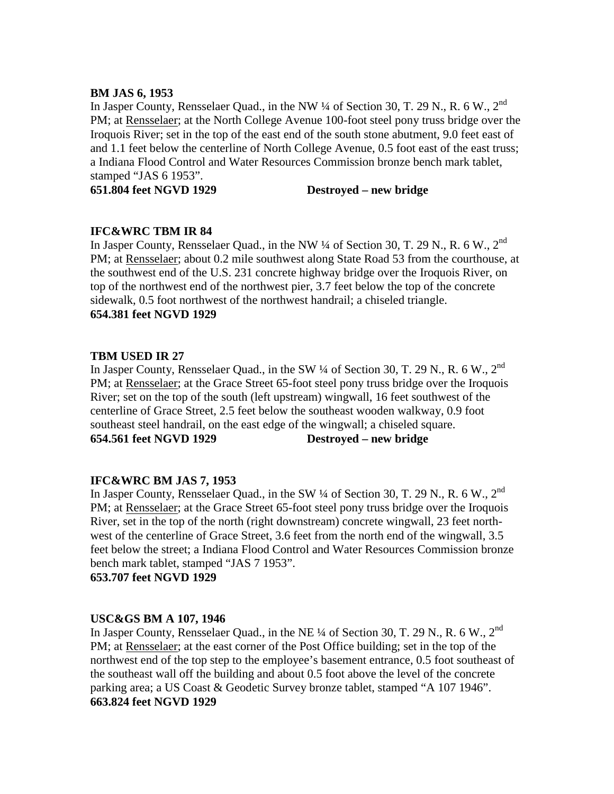# **BM JAS 6, 1953**

In Jasper County, Rensselaer Quad., in the NW  $\frac{1}{4}$  of Section 30, T. 29 N., R. 6 W., 2<sup>nd</sup> PM; at Rensselaer; at the North College Avenue 100-foot steel pony truss bridge over the Iroquois River; set in the top of the east end of the south stone abutment, 9.0 feet east of and 1.1 feet below the centerline of North College Avenue, 0.5 foot east of the east truss; a Indiana Flood Control and Water Resources Commission bronze bench mark tablet, stamped "JAS 6 1953".

**651.804 feet NGVD 1929 Destroyed – new bridge**

# **IFC&WRC TBM IR 84**

In Jasper County, Rensselaer Quad., in the NW  $\frac{1}{4}$  of Section 30, T. 29 N., R. 6 W., 2<sup>nd</sup> PM; at Rensselaer; about 0.2 mile southwest along State Road 53 from the courthouse, at the southwest end of the U.S. 231 concrete highway bridge over the Iroquois River, on top of the northwest end of the northwest pier, 3.7 feet below the top of the concrete sidewalk, 0.5 foot northwest of the northwest handrail; a chiseled triangle. **654.381 feet NGVD 1929**

# **TBM USED IR 27**

In Jasper County, Rensselaer Quad., in the SW  $\frac{1}{4}$  of Section 30, T. 29 N., R. 6 W., 2<sup>nd</sup> PM; at Rensselaer; at the Grace Street 65-foot steel pony truss bridge over the Iroquois River; set on the top of the south (left upstream) wingwall, 16 feet southwest of the centerline of Grace Street, 2.5 feet below the southeast wooden walkway, 0.9 foot southeast steel handrail, on the east edge of the wingwall; a chiseled square. **654.561 feet NGVD 1929 Destroyed – new bridge**

#### **IFC&WRC BM JAS 7, 1953**

In Jasper County, Rensselaer Quad., in the SW  $\frac{1}{4}$  of Section 30, T. 29 N., R. 6 W., 2<sup>nd</sup> PM; at Rensselaer; at the Grace Street 65-foot steel pony truss bridge over the Iroquois River, set in the top of the north (right downstream) concrete wingwall, 23 feet northwest of the centerline of Grace Street, 3.6 feet from the north end of the wingwall, 3.5 feet below the street; a Indiana Flood Control and Water Resources Commission bronze bench mark tablet, stamped "JAS 7 1953".

**653.707 feet NGVD 1929**

# **USC&GS BM A 107, 1946**

In Jasper County, Rensselaer Quad., in the NE  $\frac{1}{4}$  of Section 30, T. 29 N., R. 6 W., 2<sup>nd</sup> PM; at Rensselaer; at the east corner of the Post Office building; set in the top of the northwest end of the top step to the employee's basement entrance, 0.5 foot southeast of the southeast wall off the building and about 0.5 foot above the level of the concrete parking area; a US Coast & Geodetic Survey bronze tablet, stamped "A 107 1946". **663.824 feet NGVD 1929**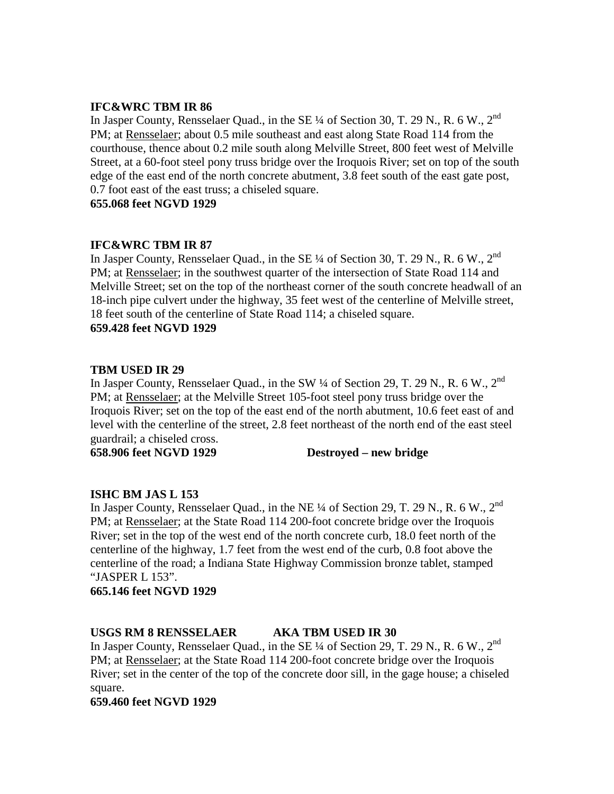# **IFC&WRC TBM IR 86**

In Jasper County, Rensselaer Quad., in the SE 1/4 of Section 30, T. 29 N., R. 6 W., 2<sup>nd</sup> PM; at Rensselaer; about 0.5 mile southeast and east along State Road 114 from the courthouse, thence about 0.2 mile south along Melville Street, 800 feet west of Melville Street, at a 60-foot steel pony truss bridge over the Iroquois River; set on top of the south edge of the east end of the north concrete abutment, 3.8 feet south of the east gate post, 0.7 foot east of the east truss; a chiseled square.

**655.068 feet NGVD 1929**

# **IFC&WRC TBM IR 87**

In Jasper County, Rensselaer Quad., in the SE  $\frac{1}{4}$  of Section 30, T. 29 N., R. 6 W., 2<sup>nd</sup> PM; at Rensselaer; in the southwest quarter of the intersection of State Road 114 and Melville Street; set on the top of the northeast corner of the south concrete headwall of an 18-inch pipe culvert under the highway, 35 feet west of the centerline of Melville street, 18 feet south of the centerline of State Road 114; a chiseled square. **659.428 feet NGVD 1929**

# **TBM USED IR 29**

In Jasper County, Rensselaer Quad., in the SW  $\frac{1}{4}$  of Section 29, T. 29 N., R. 6 W., 2<sup>nd</sup> PM; at Rensselaer; at the Melville Street 105-foot steel pony truss bridge over the Iroquois River; set on the top of the east end of the north abutment, 10.6 feet east of and level with the centerline of the street, 2.8 feet northeast of the north end of the east steel guardrail; a chiseled cross.

**658.906 feet NGVD 1929 Destroyed – new bridge**

# **ISHC BM JAS L 153**

In Jasper County, Rensselaer Quad., in the NE ¼ of Section 29, T. 29 N., R. 6 W., 2nd PM; at Rensselaer; at the State Road 114 200-foot concrete bridge over the Iroquois River; set in the top of the west end of the north concrete curb, 18.0 feet north of the centerline of the highway, 1.7 feet from the west end of the curb, 0.8 foot above the centerline of the road; a Indiana State Highway Commission bronze tablet, stamped "JASPER L 153".

#### **665.146 feet NGVD 1929**

# **USGS RM 8 RENSSELAER AKA TBM USED IR 30**

In Jasper County, Rensselaer Quad., in the SE 1/4 of Section 29, T. 29 N., R. 6 W., 2<sup>nd</sup> PM; at Rensselaer; at the State Road 114 200-foot concrete bridge over the Iroquois River; set in the center of the top of the concrete door sill, in the gage house; a chiseled square.

**659.460 feet NGVD 1929**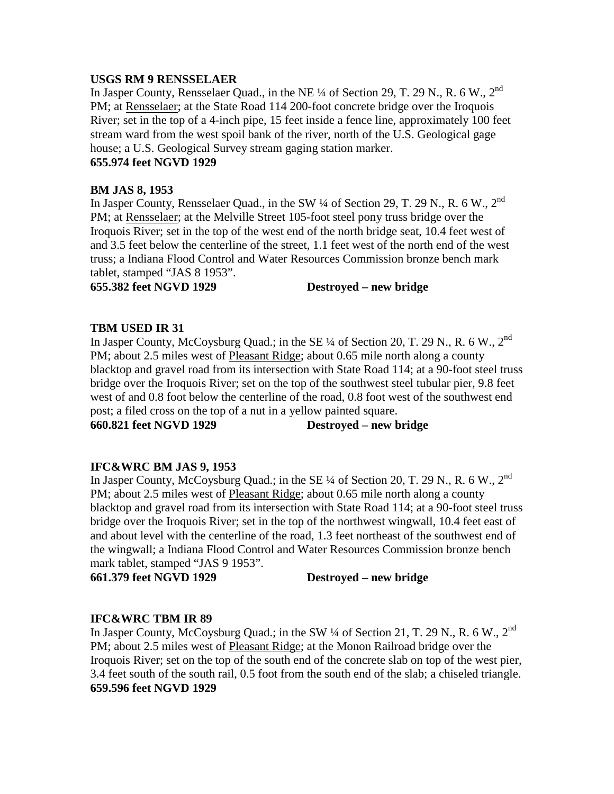# **USGS RM 9 RENSSELAER**

In Jasper County, Rensselaer Quad., in the NE <sup>1</sup>/4 of Section 29, T. 29 N., R. 6 W., 2<sup>nd</sup> PM; at Rensselaer; at the State Road 114 200-foot concrete bridge over the Iroquois River; set in the top of a 4-inch pipe, 15 feet inside a fence line, approximately 100 feet stream ward from the west spoil bank of the river, north of the U.S. Geological gage house; a U.S. Geological Survey stream gaging station marker.

# **655.974 feet NGVD 1929**

# **BM JAS 8, 1953**

In Jasper County, Rensselaer Quad., in the SW 1/4 of Section 29, T. 29 N., R. 6 W., 2<sup>nd</sup> PM; at Rensselaer; at the Melville Street 105-foot steel pony truss bridge over the Iroquois River; set in the top of the west end of the north bridge seat, 10.4 feet west of and 3.5 feet below the centerline of the street, 1.1 feet west of the north end of the west truss; a Indiana Flood Control and Water Resources Commission bronze bench mark tablet, stamped "JAS 8 1953".

**655.382 feet NGVD 1929 Destroyed – new bridge**

# **TBM USED IR 31**

In Jasper County, McCoysburg Quad.; in the SE 1/4 of Section 20, T. 29 N., R. 6 W., 2<sup>nd</sup> PM; about 2.5 miles west of Pleasant Ridge; about 0.65 mile north along a county blacktop and gravel road from its intersection with State Road 114; at a 90-foot steel truss bridge over the Iroquois River; set on the top of the southwest steel tubular pier, 9.8 feet west of and 0.8 foot below the centerline of the road, 0.8 foot west of the southwest end post; a filed cross on the top of a nut in a yellow painted square.

**660.821 feet NGVD 1929 Destroyed – new bridge**

# **IFC&WRC BM JAS 9, 1953**

In Jasper County, McCoysburg Quad.; in the SE ¼ of Section 20, T. 29 N., R. 6 W., 2<sup>nd</sup> PM; about 2.5 miles west of Pleasant Ridge; about 0.65 mile north along a county blacktop and gravel road from its intersection with State Road 114; at a 90-foot steel truss bridge over the Iroquois River; set in the top of the northwest wingwall, 10.4 feet east of and about level with the centerline of the road, 1.3 feet northeast of the southwest end of the wingwall; a Indiana Flood Control and Water Resources Commission bronze bench mark tablet, stamped "JAS 9 1953".

**661.379 feet NGVD 1929 Destroyed – new bridge**

# **IFC&WRC TBM IR 89**

In Jasper County, McCoysburg Quad.; in the SW 1/4 of Section 21, T. 29 N., R. 6 W., 2<sup>nd</sup> PM; about 2.5 miles west of Pleasant Ridge; at the Monon Railroad bridge over the Iroquois River; set on the top of the south end of the concrete slab on top of the west pier, 3.4 feet south of the south rail, 0.5 foot from the south end of the slab; a chiseled triangle. **659.596 feet NGVD 1929**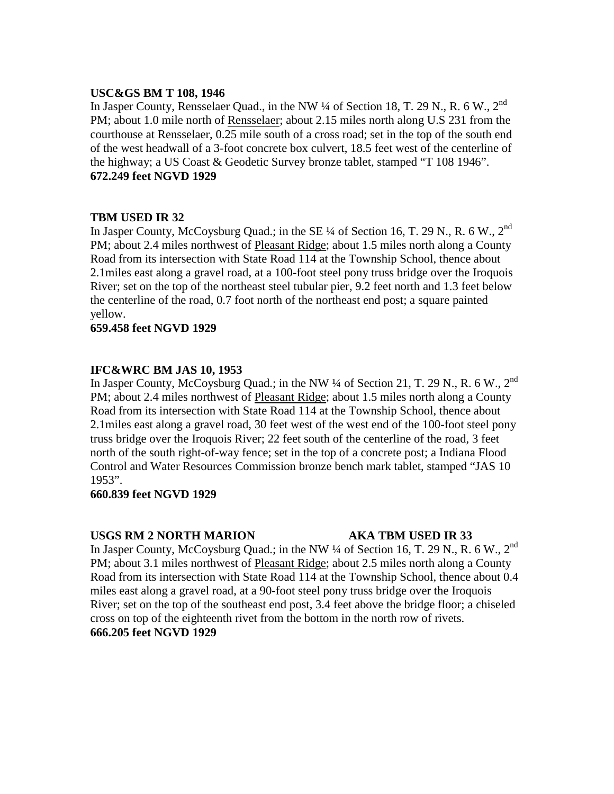# **USC&GS BM T 108, 1946**

In Jasper County, Rensselaer Quad., in the NW  $\frac{1}{4}$  of Section 18, T. 29 N., R. 6 W., 2<sup>nd</sup> PM; about 1.0 mile north of Rensselaer; about 2.15 miles north along U.S 231 from the courthouse at Rensselaer, 0.25 mile south of a cross road; set in the top of the south end of the west headwall of a 3-foot concrete box culvert, 18.5 feet west of the centerline of the highway; a US Coast & Geodetic Survey bronze tablet, stamped "T 108 1946". **672.249 feet NGVD 1929**

# **TBM USED IR 32**

In Jasper County, McCoysburg Quad.; in the SE 1/4 of Section 16, T. 29 N., R. 6 W., 2<sup>nd</sup> PM; about 2.4 miles northwest of Pleasant Ridge; about 1.5 miles north along a County Road from its intersection with State Road 114 at the Township School, thence about 2.1miles east along a gravel road, at a 100-foot steel pony truss bridge over the Iroquois River; set on the top of the northeast steel tubular pier, 9.2 feet north and 1.3 feet below the centerline of the road, 0.7 foot north of the northeast end post; a square painted yellow.

# **659.458 feet NGVD 1929**

# **IFC&WRC BM JAS 10, 1953**

In Jasper County, McCoysburg Quad.; in the NW  $\frac{1}{4}$  of Section 21, T. 29 N., R. 6 W., 2<sup>nd</sup> PM; about 2.4 miles northwest of Pleasant Ridge; about 1.5 miles north along a County Road from its intersection with State Road 114 at the Township School, thence about 2.1miles east along a gravel road, 30 feet west of the west end of the 100-foot steel pony truss bridge over the Iroquois River; 22 feet south of the centerline of the road, 3 feet north of the south right-of-way fence; set in the top of a concrete post; a Indiana Flood Control and Water Resources Commission bronze bench mark tablet, stamped "JAS 10 1953".

#### **660.839 feet NGVD 1929**

#### **USGS RM 2 NORTH MARION AKA TBM USED IR 33**

In Jasper County, McCoysburg Quad.; in the NW  $\frac{1}{4}$  of Section 16, T. 29 N., R. 6 W., 2<sup>nd</sup> PM; about 3.1 miles northwest of Pleasant Ridge; about 2.5 miles north along a County Road from its intersection with State Road 114 at the Township School, thence about 0.4 miles east along a gravel road, at a 90-foot steel pony truss bridge over the Iroquois River; set on the top of the southeast end post, 3.4 feet above the bridge floor; a chiseled cross on top of the eighteenth rivet from the bottom in the north row of rivets. **666.205 feet NGVD 1929**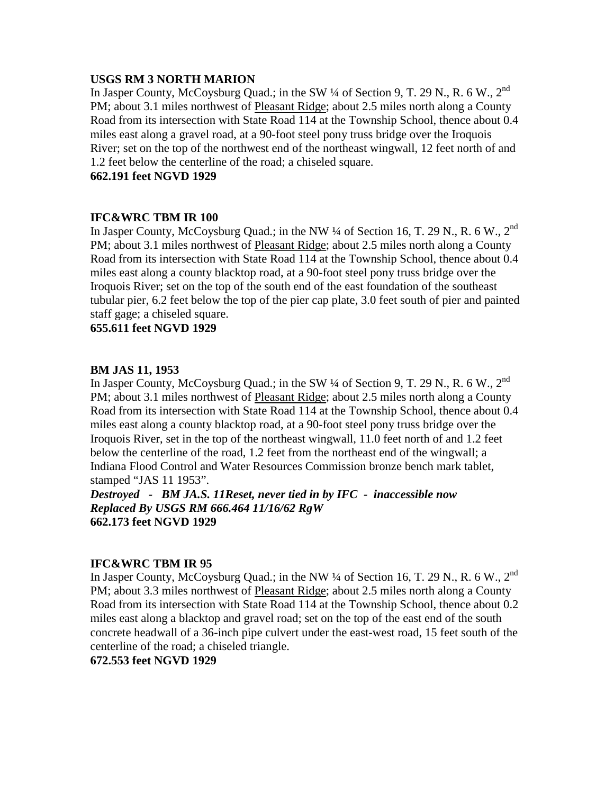# **USGS RM 3 NORTH MARION**

In Jasper County, McCoysburg Quad.; in the SW 1/4 of Section 9, T. 29 N., R. 6 W., 2<sup>nd</sup> PM; about 3.1 miles northwest of Pleasant Ridge; about 2.5 miles north along a County Road from its intersection with State Road 114 at the Township School, thence about 0.4 miles east along a gravel road, at a 90-foot steel pony truss bridge over the Iroquois River; set on the top of the northwest end of the northeast wingwall, 12 feet north of and 1.2 feet below the centerline of the road; a chiseled square.

**662.191 feet NGVD 1929**

# **IFC&WRC TBM IR 100**

In Jasper County, McCoysburg Quad.; in the NW 1/4 of Section 16, T. 29 N., R. 6 W., 2<sup>nd</sup> PM; about 3.1 miles northwest of Pleasant Ridge; about 2.5 miles north along a County Road from its intersection with State Road 114 at the Township School, thence about 0.4 miles east along a county blacktop road, at a 90-foot steel pony truss bridge over the Iroquois River; set on the top of the south end of the east foundation of the southeast tubular pier, 6.2 feet below the top of the pier cap plate, 3.0 feet south of pier and painted staff gage; a chiseled square.

**655.611 feet NGVD 1929**

# **BM JAS 11, 1953**

In Jasper County, McCoysburg Quad.; in the SW  $\frac{1}{4}$  of Section 9, T. 29 N., R. 6 W., 2<sup>nd</sup> PM; about 3.1 miles northwest of Pleasant Ridge; about 2.5 miles north along a County Road from its intersection with State Road 114 at the Township School, thence about 0.4 miles east along a county blacktop road, at a 90-foot steel pony truss bridge over the Iroquois River, set in the top of the northeast wingwall, 11.0 feet north of and 1.2 feet below the centerline of the road, 1.2 feet from the northeast end of the wingwall; a Indiana Flood Control and Water Resources Commission bronze bench mark tablet, stamped "JAS 11 1953".

*Destroyed - BM JA.S. 11Reset, never tied in by IFC - inaccessible now Replaced By USGS RM 666.464 11/16/62 RgW* **662.173 feet NGVD 1929**

#### **IFC&WRC TBM IR 95**

In Jasper County, McCoysburg Quad.; in the NW ¼ of Section 16, T. 29 N., R. 6 W., 2<sup>nd</sup> PM; about 3.3 miles northwest of Pleasant Ridge; about 2.5 miles north along a County Road from its intersection with State Road 114 at the Township School, thence about 0.2 miles east along a blacktop and gravel road; set on the top of the east end of the south concrete headwall of a 36-inch pipe culvert under the east-west road, 15 feet south of the centerline of the road; a chiseled triangle.

**672.553 feet NGVD 1929**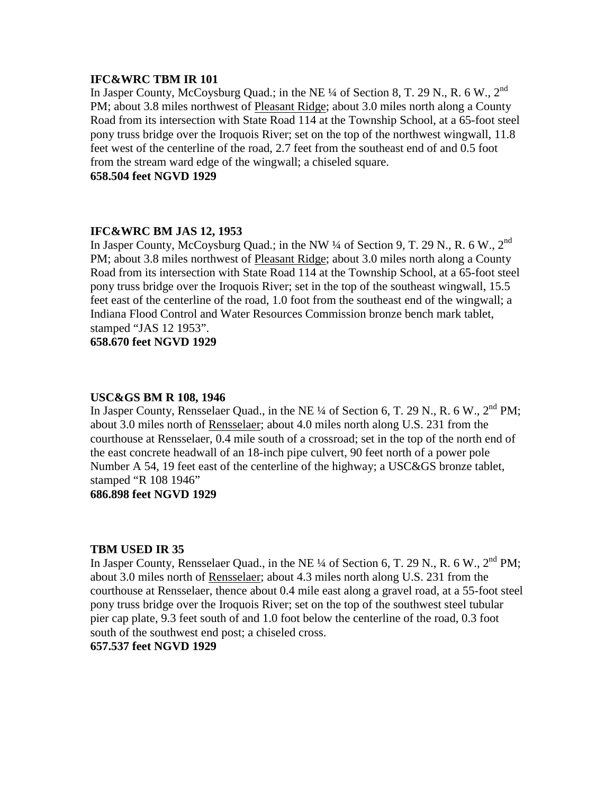# **IFC&WRC TBM IR 101**

In Jasper County, McCoysburg Quad.; in the NE ¼ of Section 8, T. 29 N., R. 6 W., 2<sup>nd</sup> PM; about 3.8 miles northwest of Pleasant Ridge; about 3.0 miles north along a County Road from its intersection with State Road 114 at the Township School, at a 65-foot steel pony truss bridge over the Iroquois River; set on the top of the northwest wingwall, 11.8 feet west of the centerline of the road, 2.7 feet from the southeast end of and 0.5 foot from the stream ward edge of the wingwall; a chiseled square.

**658.504 feet NGVD 1929**

# **IFC&WRC BM JAS 12, 1953**

In Jasper County, McCoysburg Quad.; in the NW  $\frac{1}{4}$  of Section 9, T. 29 N., R. 6 W., 2<sup>nd</sup> PM; about 3.8 miles northwest of Pleasant Ridge; about 3.0 miles north along a County Road from its intersection with State Road 114 at the Township School, at a 65-foot steel pony truss bridge over the Iroquois River; set in the top of the southeast wingwall, 15.5 feet east of the centerline of the road, 1.0 foot from the southeast end of the wingwall; a Indiana Flood Control and Water Resources Commission bronze bench mark tablet, stamped "JAS 12 1953".

**658.670 feet NGVD 1929**

#### **USC&GS BM R 108, 1946**

In Jasper County, Rensselaer Quad., in the NE  $\frac{1}{4}$  of Section 6, T. 29 N., R. 6 W., 2<sup>nd</sup> PM; about 3.0 miles north of Rensselaer; about 4.0 miles north along U.S. 231 from the courthouse at Rensselaer, 0.4 mile south of a crossroad; set in the top of the north end of the east concrete headwall of an 18-inch pipe culvert, 90 feet north of a power pole Number A 54, 19 feet east of the centerline of the highway; a USC&GS bronze tablet, stamped "R 108 1946"

# **686.898 feet NGVD 1929**

#### **TBM USED IR 35**

In Jasper County, Rensselaer Quad., in the NE ¼ of Section 6, T. 29 N., R. 6 W., 2<sup>nd</sup> PM; about 3.0 miles north of Rensselaer; about 4.3 miles north along U.S. 231 from the courthouse at Rensselaer, thence about 0.4 mile east along a gravel road, at a 55-foot steel pony truss bridge over the Iroquois River; set on the top of the southwest steel tubular pier cap plate, 9.3 feet south of and 1.0 foot below the centerline of the road, 0.3 foot south of the southwest end post; a chiseled cross.

#### **657.537 feet NGVD 1929**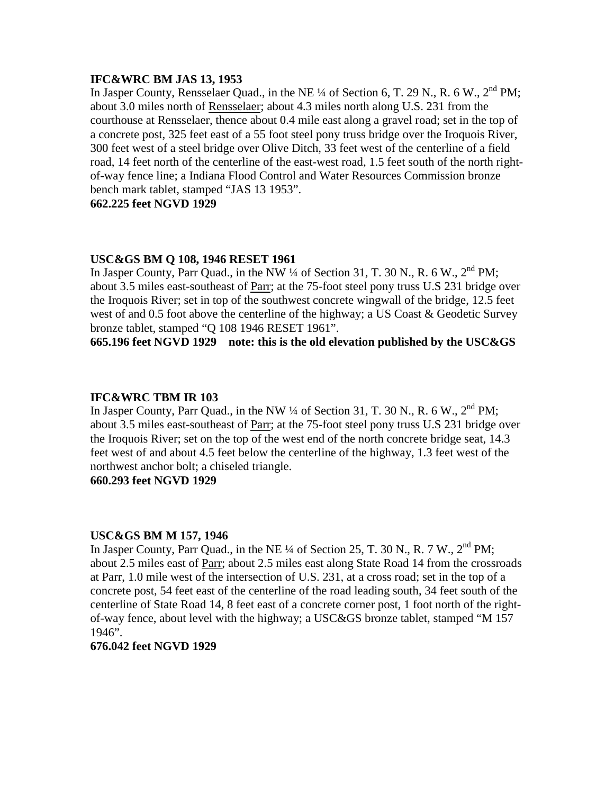#### **IFC&WRC BM JAS 13, 1953**

In Jasper County, Rensselaer Quad., in the NE  $\frac{1}{4}$  of Section 6, T. 29 N., R. 6 W., 2<sup>nd</sup> PM; about 3.0 miles north of Rensselaer; about 4.3 miles north along U.S. 231 from the courthouse at Rensselaer, thence about 0.4 mile east along a gravel road; set in the top of a concrete post, 325 feet east of a 55 foot steel pony truss bridge over the Iroquois River, 300 feet west of a steel bridge over Olive Ditch, 33 feet west of the centerline of a field road, 14 feet north of the centerline of the east-west road, 1.5 feet south of the north rightof-way fence line; a Indiana Flood Control and Water Resources Commission bronze bench mark tablet, stamped "JAS 13 1953".

**662.225 feet NGVD 1929**

# **USC&GS BM Q 108, 1946 RESET 1961**

In Jasper County, Parr Quad., in the NW  $\frac{1}{4}$  of Section 31, T. 30 N., R. 6 W.,  $2^{nd}$  PM; about 3.5 miles east-southeast of Parr; at the 75-foot steel pony truss U.S 231 bridge over the Iroquois River; set in top of the southwest concrete wingwall of the bridge, 12.5 feet west of and 0.5 foot above the centerline of the highway; a US Coast & Geodetic Survey bronze tablet, stamped "Q 108 1946 RESET 1961".

**665.196 feet NGVD 1929 note: this is the old elevation published by the USC&GS**

#### **IFC&WRC TBM IR 103**

In Jasper County, Parr Quad., in the NW  $\frac{1}{4}$  of Section 31, T. 30 N., R. 6 W.,  $2^{nd}$  PM; about 3.5 miles east-southeast of Parr; at the 75-foot steel pony truss U.S 231 bridge over the Iroquois River; set on the top of the west end of the north concrete bridge seat, 14.3 feet west of and about 4.5 feet below the centerline of the highway, 1.3 feet west of the northwest anchor bolt; a chiseled triangle.

**660.293 feet NGVD 1929**

#### **USC&GS BM M 157, 1946**

In Jasper County, Parr Quad., in the NE  $\frac{1}{4}$  of Section 25, T. 30 N., R. 7 W.,  $2^{nd}$  PM; about 2.5 miles east of Parr; about 2.5 miles east along State Road 14 from the crossroads at Parr, 1.0 mile west of the intersection of U.S. 231, at a cross road; set in the top of a concrete post, 54 feet east of the centerline of the road leading south, 34 feet south of the centerline of State Road 14, 8 feet east of a concrete corner post, 1 foot north of the rightof-way fence, about level with the highway; a USC&GS bronze tablet, stamped "M 157 1946".

#### **676.042 feet NGVD 1929**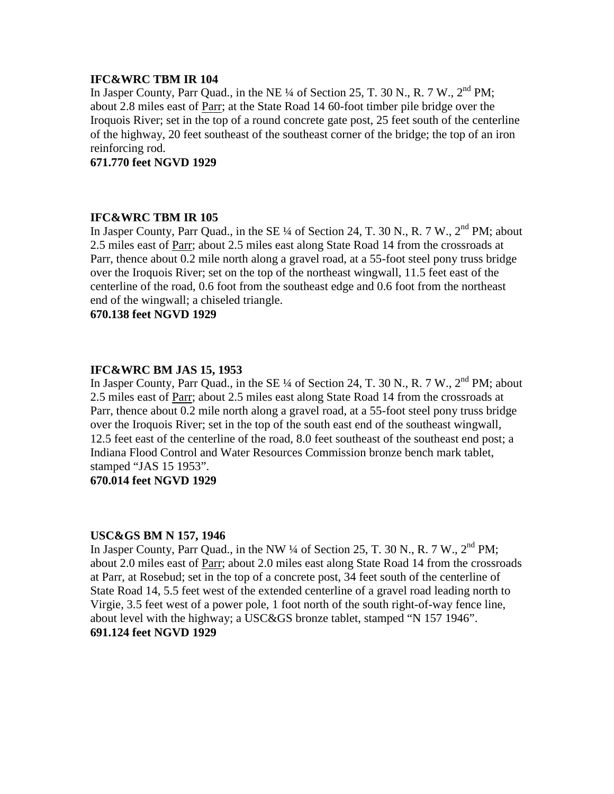# **IFC&WRC TBM IR 104**

In Jasper County, Parr Quad., in the NE  $\frac{1}{4}$  of Section 25, T. 30 N., R. 7 W.,  $2^{nd}$  PM; about 2.8 miles east of Parr; at the State Road 14 60-foot timber pile bridge over the Iroquois River; set in the top of a round concrete gate post, 25 feet south of the centerline of the highway, 20 feet southeast of the southeast corner of the bridge; the top of an iron reinforcing rod.

**671.770 feet NGVD 1929**

# **IFC&WRC TBM IR 105**

In Jasper County, Parr Quad., in the SE  $\frac{1}{4}$  of Section 24, T. 30 N., R. 7 W.,  $2^{nd}$  PM; about 2.5 miles east of Parr; about 2.5 miles east along State Road 14 from the crossroads at Parr, thence about 0.2 mile north along a gravel road, at a 55-foot steel pony truss bridge over the Iroquois River; set on the top of the northeast wingwall, 11.5 feet east of the centerline of the road, 0.6 foot from the southeast edge and 0.6 foot from the northeast end of the wingwall; a chiseled triangle.

**670.138 feet NGVD 1929**

# **IFC&WRC BM JAS 15, 1953**

In Jasper County, Parr Quad., in the SE  $\frac{1}{4}$  of Section 24, T. 30 N., R. 7 W.,  $2^{nd}$  PM; about 2.5 miles east of Parr; about 2.5 miles east along State Road 14 from the crossroads at Parr, thence about 0.2 mile north along a gravel road, at a 55-foot steel pony truss bridge over the Iroquois River; set in the top of the south east end of the southeast wingwall, 12.5 feet east of the centerline of the road, 8.0 feet southeast of the southeast end post; a Indiana Flood Control and Water Resources Commission bronze bench mark tablet, stamped "JAS 15 1953".

# **670.014 feet NGVD 1929**

#### **USC&GS BM N 157, 1946**

In Jasper County, Parr Quad., in the NW  $\frac{1}{4}$  of Section 25, T. 30 N., R. 7 W.,  $2^{nd}$  PM; about 2.0 miles east of Parr; about 2.0 miles east along State Road 14 from the crossroads at Parr, at Rosebud; set in the top of a concrete post, 34 feet south of the centerline of State Road 14, 5.5 feet west of the extended centerline of a gravel road leading north to Virgie, 3.5 feet west of a power pole, 1 foot north of the south right-of-way fence line, about level with the highway; a USC&GS bronze tablet, stamped "N 157 1946". **691.124 feet NGVD 1929**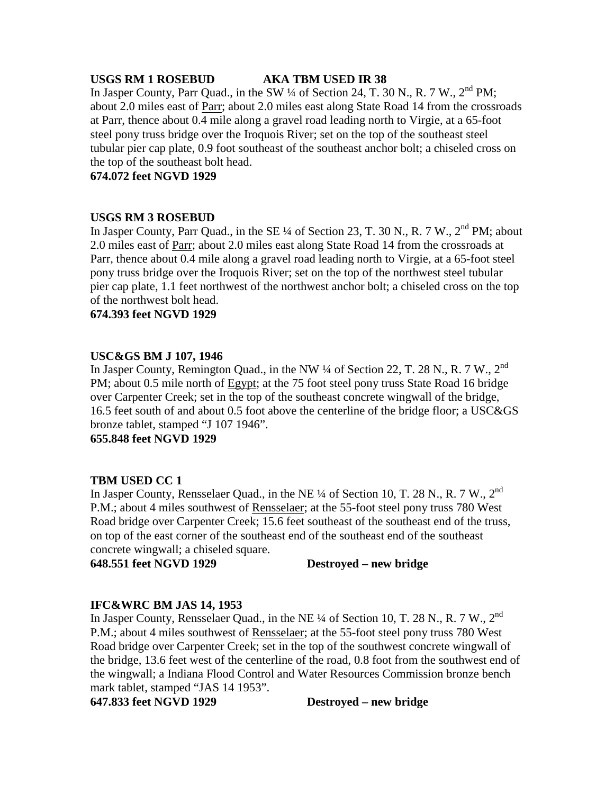#### **USGS RM 1 ROSEBUD AKA TBM USED IR 38**

In Jasper County, Parr Quad., in the SW 1/4 of Section 24, T. 30 N., R. 7 W., 2<sup>nd</sup> PM; about 2.0 miles east of Parr; about 2.0 miles east along State Road 14 from the crossroads at Parr, thence about 0.4 mile along a gravel road leading north to Virgie, at a 65-foot steel pony truss bridge over the Iroquois River; set on the top of the southeast steel tubular pier cap plate, 0.9 foot southeast of the southeast anchor bolt; a chiseled cross on the top of the southeast bolt head.

**674.072 feet NGVD 1929**

# **USGS RM 3 ROSEBUD**

In Jasper County, Parr Quad., in the SE  $\frac{1}{4}$  of Section 23, T. 30 N., R. 7 W.,  $2^{nd}$  PM; about 2.0 miles east of Parr; about 2.0 miles east along State Road 14 from the crossroads at Parr, thence about 0.4 mile along a gravel road leading north to Virgie, at a 65-foot steel pony truss bridge over the Iroquois River; set on the top of the northwest steel tubular pier cap plate, 1.1 feet northwest of the northwest anchor bolt; a chiseled cross on the top of the northwest bolt head.

**674.393 feet NGVD 1929**

# **USC&GS BM J 107, 1946**

In Jasper County, Remington Quad., in the NW 1/4 of Section 22, T. 28 N., R. 7 W., 2<sup>nd</sup> PM; about 0.5 mile north of Egypt; at the 75 foot steel pony truss State Road 16 bridge over Carpenter Creek; set in the top of the southeast concrete wingwall of the bridge, 16.5 feet south of and about 0.5 foot above the centerline of the bridge floor; a USC&GS bronze tablet, stamped "J 107 1946".

**655.848 feet NGVD 1929**

# **TBM USED CC 1**

In Jasper County, Rensselaer Quad., in the NE  $\frac{1}{4}$  of Section 10, T. 28 N., R. 7 W., 2<sup>nd</sup> P.M.; about 4 miles southwest of Rensselaer; at the 55-foot steel pony truss 780 West Road bridge over Carpenter Creek; 15.6 feet southeast of the southeast end of the truss, on top of the east corner of the southeast end of the southeast end of the southeast concrete wingwall; a chiseled square.

**648.551 feet NGVD 1929 Destroyed – new bridge**

# **IFC&WRC BM JAS 14, 1953**

In Jasper County, Rensselaer Quad., in the NE  $\frac{1}{4}$  of Section 10, T. 28 N., R. 7 W., 2<sup>nd</sup> P.M.; about 4 miles southwest of Rensselaer; at the 55-foot steel pony truss 780 West Road bridge over Carpenter Creek; set in the top of the southwest concrete wingwall of the bridge, 13.6 feet west of the centerline of the road, 0.8 foot from the southwest end of the wingwall; a Indiana Flood Control and Water Resources Commission bronze bench mark tablet, stamped "JAS 14 1953".

**647.833 feet NGVD 1929 Destroyed – new bridge**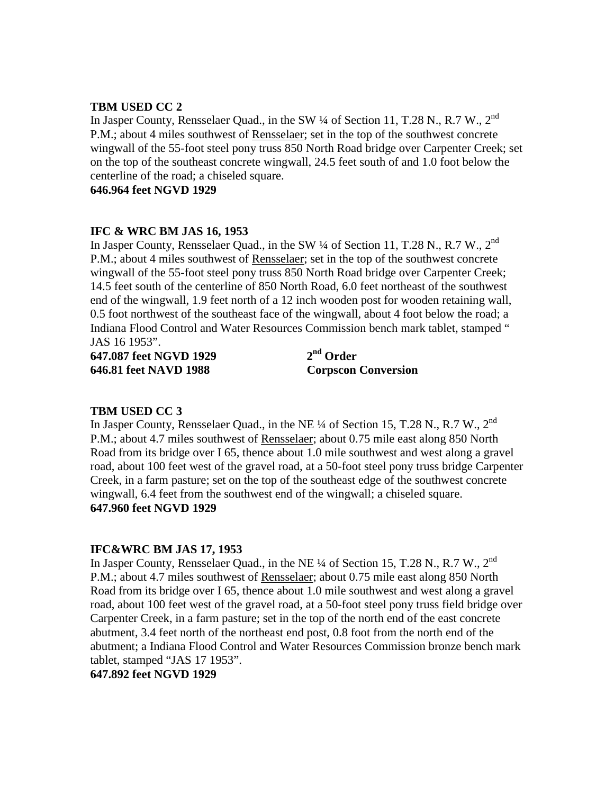# **TBM USED CC 2**

In Jasper County, Rensselaer Quad., in the SW 1/4 of Section 11, T.28 N., R.7 W., 2<sup>nd</sup> P.M.; about 4 miles southwest of Rensselaer; set in the top of the southwest concrete wingwall of the 55-foot steel pony truss 850 North Road bridge over Carpenter Creek; set on the top of the southeast concrete wingwall, 24.5 feet south of and 1.0 foot below the centerline of the road; a chiseled square.

**646.964 feet NGVD 1929**

# **IFC & WRC BM JAS 16, 1953**

In Jasper County, Rensselaer Quad., in the SW  $\frac{1}{4}$  of Section 11, T.28 N., R.7 W., 2<sup>nd</sup> P.M.; about 4 miles southwest of Rensselaer; set in the top of the southwest concrete wingwall of the 55-foot steel pony truss 850 North Road bridge over Carpenter Creek; 14.5 feet south of the centerline of 850 North Road, 6.0 feet northeast of the southwest end of the wingwall, 1.9 feet north of a 12 inch wooden post for wooden retaining wall, 0.5 foot northwest of the southeast face of the wingwall, about 4 foot below the road; a Indiana Flood Control and Water Resources Commission bench mark tablet, stamped " JAS 16 1953".

**647.087 feet NGVD 1929 2nd Order 646.81 feet NAVD 1988 Corpscon Conversion**

#### **TBM USED CC 3**

In Jasper County, Rensselaer Quad., in the NE  $\frac{1}{4}$  of Section 15, T.28 N., R.7 W., 2<sup>nd</sup> P.M.; about 4.7 miles southwest of Rensselaer; about 0.75 mile east along 850 North Road from its bridge over I 65, thence about 1.0 mile southwest and west along a gravel road, about 100 feet west of the gravel road, at a 50-foot steel pony truss bridge Carpenter Creek, in a farm pasture; set on the top of the southeast edge of the southwest concrete wingwall, 6.4 feet from the southwest end of the wingwall; a chiseled square. **647.960 feet NGVD 1929**

#### **IFC&WRC BM JAS 17, 1953**

In Jasper County, Rensselaer Quad., in the NE  $\frac{1}{4}$  of Section 15, T.28 N., R.7 W., 2<sup>nd</sup> P.M.; about 4.7 miles southwest of Rensselaer; about 0.75 mile east along 850 North Road from its bridge over I 65, thence about 1.0 mile southwest and west along a gravel road, about 100 feet west of the gravel road, at a 50-foot steel pony truss field bridge over Carpenter Creek, in a farm pasture; set in the top of the north end of the east concrete abutment, 3.4 feet north of the northeast end post, 0.8 foot from the north end of the abutment; a Indiana Flood Control and Water Resources Commission bronze bench mark tablet, stamped "JAS 17 1953".

**647.892 feet NGVD 1929**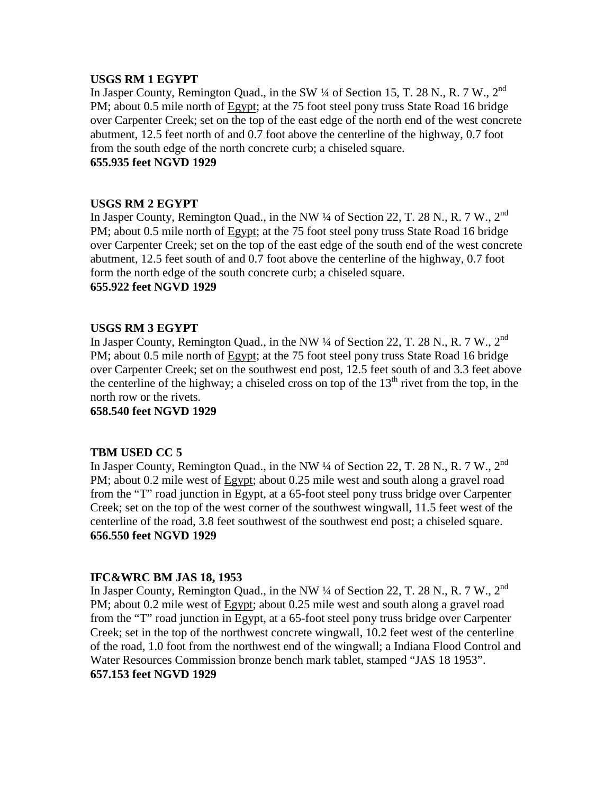#### **USGS RM 1 EGYPT**

In Jasper County, Remington Quad., in the SW 1/4 of Section 15, T. 28 N., R. 7 W., 2<sup>nd</sup> PM; about 0.5 mile north of Egypt; at the 75 foot steel pony truss State Road 16 bridge over Carpenter Creek; set on the top of the east edge of the north end of the west concrete abutment, 12.5 feet north of and 0.7 foot above the centerline of the highway, 0.7 foot from the south edge of the north concrete curb; a chiseled square. **655.935 feet NGVD 1929**

# **USGS RM 2 EGYPT**

In Jasper County, Remington Quad., in the NW  $\frac{1}{4}$  of Section 22, T. 28 N., R. 7 W., 2<sup>nd</sup> PM; about 0.5 mile north of Egypt; at the 75 foot steel pony truss State Road 16 bridge over Carpenter Creek; set on the top of the east edge of the south end of the west concrete abutment, 12.5 feet south of and 0.7 foot above the centerline of the highway, 0.7 foot form the north edge of the south concrete curb; a chiseled square.

# **655.922 feet NGVD 1929**

# **USGS RM 3 EGYPT**

In Jasper County, Remington Quad., in the NW  $\frac{1}{4}$  of Section 22, T. 28 N., R. 7 W., 2<sup>nd</sup> PM; about 0.5 mile north of Egypt; at the 75 foot steel pony truss State Road 16 bridge over Carpenter Creek; set on the southwest end post, 12.5 feet south of and 3.3 feet above the centerline of the highway; a chiseled cross on top of the  $13<sup>th</sup>$  rivet from the top, in the north row or the rivets.

**658.540 feet NGVD 1929**

#### **TBM USED CC 5**

In Jasper County, Remington Quad., in the NW 1/4 of Section 22, T. 28 N., R. 7 W., 2<sup>nd</sup> PM; about 0.2 mile west of Egypt; about 0.25 mile west and south along a gravel road from the "T" road junction in Egypt, at a 65-foot steel pony truss bridge over Carpenter Creek; set on the top of the west corner of the southwest wingwall, 11.5 feet west of the centerline of the road, 3.8 feet southwest of the southwest end post; a chiseled square. **656.550 feet NGVD 1929**

# **IFC&WRC BM JAS 18, 1953**

In Jasper County, Remington Quad., in the NW  $\frac{1}{4}$  of Section 22, T. 28 N., R. 7 W., 2<sup>nd</sup> PM; about 0.2 mile west of Egypt; about 0.25 mile west and south along a gravel road from the "T" road junction in Egypt, at a 65-foot steel pony truss bridge over Carpenter Creek; set in the top of the northwest concrete wingwall, 10.2 feet west of the centerline of the road, 1.0 foot from the northwest end of the wingwall; a Indiana Flood Control and Water Resources Commission bronze bench mark tablet, stamped "JAS 18 1953". **657.153 feet NGVD 1929**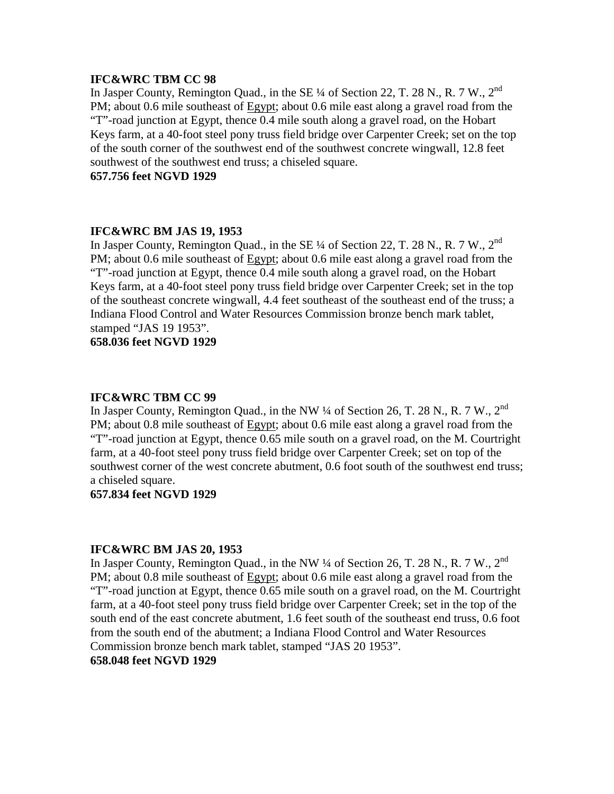## **IFC&WRC TBM CC 98**

In Jasper County, Remington Quad., in the SE 1/4 of Section 22, T. 28 N., R. 7 W., 2<sup>nd</sup> PM; about 0.6 mile southeast of Egypt; about 0.6 mile east along a gravel road from the "T"-road junction at Egypt, thence 0.4 mile south along a gravel road, on the Hobart Keys farm, at a 40-foot steel pony truss field bridge over Carpenter Creek; set on the top of the south corner of the southwest end of the southwest concrete wingwall, 12.8 feet southwest of the southwest end truss; a chiseled square.

**657.756 feet NGVD 1929**

#### **IFC&WRC BM JAS 19, 1953**

In Jasper County, Remington Quad., in the SE  $\frac{1}{4}$  of Section 22, T. 28 N., R. 7 W., 2<sup>nd</sup> PM; about 0.6 mile southeast of Egypt; about 0.6 mile east along a gravel road from the "T"-road junction at Egypt, thence 0.4 mile south along a gravel road, on the Hobart Keys farm, at a 40-foot steel pony truss field bridge over Carpenter Creek; set in the top of the southeast concrete wingwall, 4.4 feet southeast of the southeast end of the truss; a Indiana Flood Control and Water Resources Commission bronze bench mark tablet, stamped "JAS 19 1953".

**658.036 feet NGVD 1929**

#### **IFC&WRC TBM CC 99**

In Jasper County, Remington Quad., in the NW ¼ of Section 26, T. 28 N., R. 7 W., 2<sup>nd</sup> PM; about 0.8 mile southeast of Egypt; about 0.6 mile east along a gravel road from the "T"-road junction at Egypt, thence 0.65 mile south on a gravel road, on the M. Courtright farm, at a 40-foot steel pony truss field bridge over Carpenter Creek; set on top of the southwest corner of the west concrete abutment, 0.6 foot south of the southwest end truss; a chiseled square.

#### **657.834 feet NGVD 1929**

#### **IFC&WRC BM JAS 20, 1953**

In Jasper County, Remington Quad., in the NW ¼ of Section 26, T. 28 N., R. 7 W., 2<sup>nd</sup> PM; about 0.8 mile southeast of Egypt; about 0.6 mile east along a gravel road from the "T"-road junction at Egypt, thence 0.65 mile south on a gravel road, on the M. Courtright farm, at a 40-foot steel pony truss field bridge over Carpenter Creek; set in the top of the south end of the east concrete abutment, 1.6 feet south of the southeast end truss, 0.6 foot from the south end of the abutment; a Indiana Flood Control and Water Resources Commission bronze bench mark tablet, stamped "JAS 20 1953".

### **658.048 feet NGVD 1929**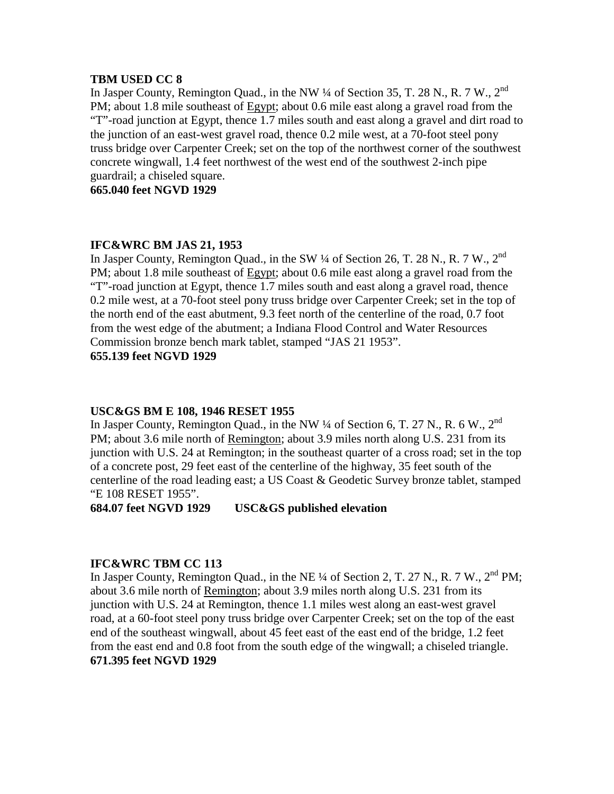#### **TBM USED CC 8**

In Jasper County, Remington Quad., in the NW 1/4 of Section 35, T. 28 N., R. 7 W., 2<sup>nd</sup> PM; about 1.8 mile southeast of Egypt; about 0.6 mile east along a gravel road from the "T"-road junction at Egypt, thence 1.7 miles south and east along a gravel and dirt road to the junction of an east-west gravel road, thence 0.2 mile west, at a 70-foot steel pony truss bridge over Carpenter Creek; set on the top of the northwest corner of the southwest concrete wingwall, 1.4 feet northwest of the west end of the southwest 2-inch pipe guardrail; a chiseled square.

**665.040 feet NGVD 1929**

# **IFC&WRC BM JAS 21, 1953**

In Jasper County, Remington Quad., in the SW  $\frac{1}{4}$  of Section 26, T. 28 N., R. 7 W., 2<sup>nd</sup> PM; about 1.8 mile southeast of Egypt; about 0.6 mile east along a gravel road from the "T"-road junction at Egypt, thence 1.7 miles south and east along a gravel road, thence 0.2 mile west, at a 70-foot steel pony truss bridge over Carpenter Creek; set in the top of the north end of the east abutment, 9.3 feet north of the centerline of the road, 0.7 foot from the west edge of the abutment; a Indiana Flood Control and Water Resources Commission bronze bench mark tablet, stamped "JAS 21 1953".

# **655.139 feet NGVD 1929**

# **USC&GS BM E 108, 1946 RESET 1955**

In Jasper County, Remington Quad., in the NW  $\frac{1}{4}$  of Section 6, T. 27 N., R. 6 W., 2<sup>nd</sup> PM; about 3.6 mile north of Remington; about 3.9 miles north along U.S. 231 from its junction with U.S. 24 at Remington; in the southeast quarter of a cross road; set in the top of a concrete post, 29 feet east of the centerline of the highway, 35 feet south of the centerline of the road leading east; a US Coast & Geodetic Survey bronze tablet, stamped "E 108 RESET 1955".

**684.07 feet NGVD 1929 USC&GS published elevation**

# **IFC&WRC TBM CC 113**

In Jasper County, Remington Quad., in the NE  $\frac{1}{4}$  of Section 2, T. 27 N., R. 7 W., 2<sup>nd</sup> PM; about 3.6 mile north of Remington; about 3.9 miles north along U.S. 231 from its junction with U.S. 24 at Remington, thence 1.1 miles west along an east-west gravel road, at a 60-foot steel pony truss bridge over Carpenter Creek; set on the top of the east end of the southeast wingwall, about 45 feet east of the east end of the bridge, 1.2 feet from the east end and 0.8 foot from the south edge of the wingwall; a chiseled triangle. **671.395 feet NGVD 1929**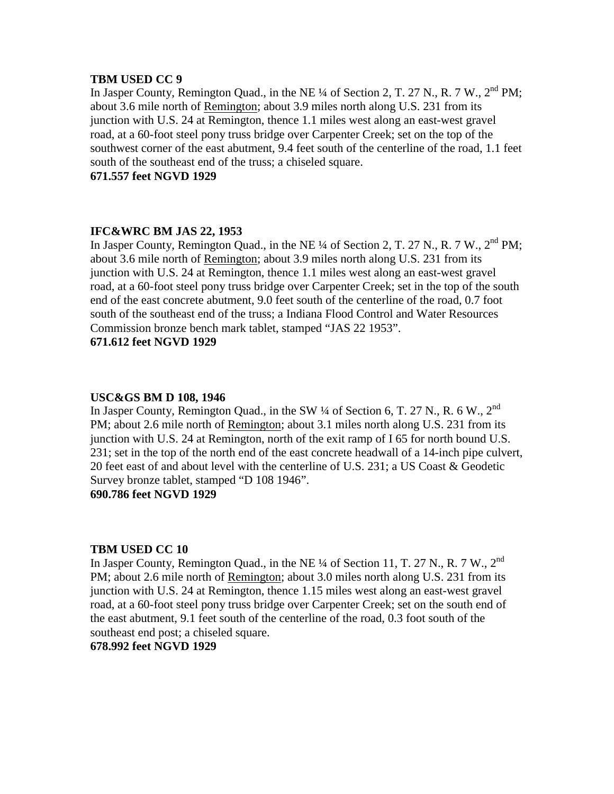#### **TBM USED CC 9**

In Jasper County, Remington Quad., in the NE ¼ of Section 2, T. 27 N., R. 7 W., 2<sup>nd</sup> PM; about 3.6 mile north of Remington; about 3.9 miles north along U.S. 231 from its junction with U.S. 24 at Remington, thence 1.1 miles west along an east-west gravel road, at a 60-foot steel pony truss bridge over Carpenter Creek; set on the top of the southwest corner of the east abutment, 9.4 feet south of the centerline of the road, 1.1 feet south of the southeast end of the truss; a chiseled square.

**671.557 feet NGVD 1929**

# **IFC&WRC BM JAS 22, 1953**

In Jasper County, Remington Quad., in the NE  $\frac{1}{4}$  of Section 2, T. 27 N., R. 7 W., 2<sup>nd</sup> PM; about 3.6 mile north of Remington; about 3.9 miles north along U.S. 231 from its junction with U.S. 24 at Remington, thence 1.1 miles west along an east-west gravel road, at a 60-foot steel pony truss bridge over Carpenter Creek; set in the top of the south end of the east concrete abutment, 9.0 feet south of the centerline of the road, 0.7 foot south of the southeast end of the truss; a Indiana Flood Control and Water Resources Commission bronze bench mark tablet, stamped "JAS 22 1953".

# **671.612 feet NGVD 1929**

# **USC&GS BM D 108, 1946**

In Jasper County, Remington Quad., in the SW  $\frac{1}{4}$  of Section 6, T. 27 N., R. 6 W., 2<sup>nd</sup> PM; about 2.6 mile north of Remington; about 3.1 miles north along U.S. 231 from its junction with U.S. 24 at Remington, north of the exit ramp of I 65 for north bound U.S. 231; set in the top of the north end of the east concrete headwall of a 14-inch pipe culvert, 20 feet east of and about level with the centerline of U.S. 231; a US Coast & Geodetic Survey bronze tablet, stamped "D 108 1946".

# **690.786 feet NGVD 1929**

# **TBM USED CC 10**

In Jasper County, Remington Quad., in the NE 1/4 of Section 11, T. 27 N., R. 7 W., 2<sup>nd</sup> PM; about 2.6 mile north of Remington; about 3.0 miles north along U.S. 231 from its junction with U.S. 24 at Remington, thence 1.15 miles west along an east-west gravel road, at a 60-foot steel pony truss bridge over Carpenter Creek; set on the south end of the east abutment, 9.1 feet south of the centerline of the road, 0.3 foot south of the southeast end post; a chiseled square.

# **678.992 feet NGVD 1929**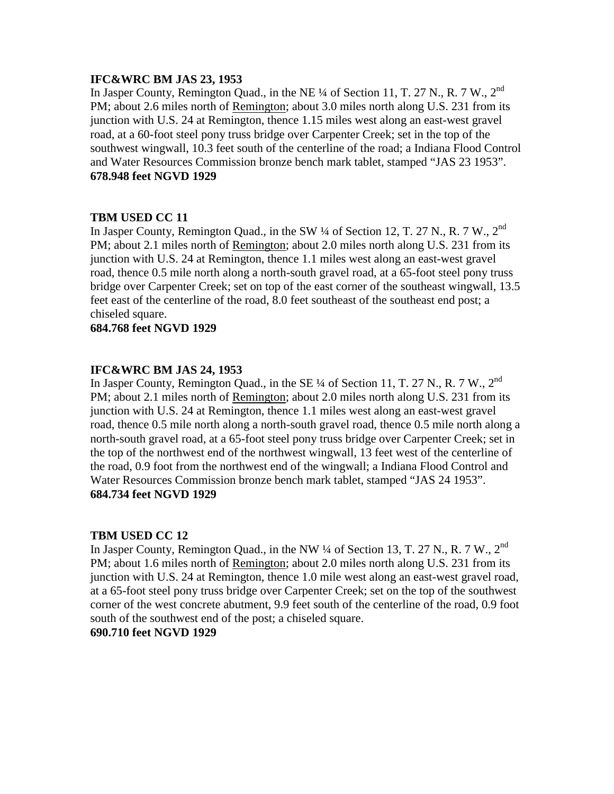# **IFC&WRC BM JAS 23, 1953**

In Jasper County, Remington Quad., in the NE <sup>1</sup>/4 of Section 11, T. 27 N., R. 7 W., 2<sup>nd</sup> PM; about 2.6 miles north of Remington; about 3.0 miles north along U.S. 231 from its junction with U.S. 24 at Remington, thence 1.15 miles west along an east-west gravel road, at a 60-foot steel pony truss bridge over Carpenter Creek; set in the top of the southwest wingwall, 10.3 feet south of the centerline of the road; a Indiana Flood Control and Water Resources Commission bronze bench mark tablet, stamped "JAS 23 1953". **678.948 feet NGVD 1929**

# **TBM USED CC 11**

In Jasper County, Remington Quad., in the SW 1/4 of Section 12, T. 27 N., R. 7 W., 2<sup>nd</sup> PM; about 2.1 miles north of Remington; about 2.0 miles north along U.S. 231 from its junction with U.S. 24 at Remington, thence 1.1 miles west along an east-west gravel road, thence 0.5 mile north along a north-south gravel road, at a 65-foot steel pony truss bridge over Carpenter Creek; set on top of the east corner of the southeast wingwall, 13.5 feet east of the centerline of the road, 8.0 feet southeast of the southeast end post; a chiseled square.

# **684.768 feet NGVD 1929**

# **IFC&WRC BM JAS 24, 1953**

In Jasper County, Remington Quad., in the SE  $\frac{1}{4}$  of Section 11, T. 27 N., R. 7 W.,  $2^{nd}$ PM; about 2.1 miles north of Remington; about 2.0 miles north along U.S. 231 from its junction with U.S. 24 at Remington, thence 1.1 miles west along an east-west gravel road, thence 0.5 mile north along a north-south gravel road, thence 0.5 mile north along a north-south gravel road, at a 65-foot steel pony truss bridge over Carpenter Creek; set in the top of the northwest end of the northwest wingwall, 13 feet west of the centerline of the road, 0.9 foot from the northwest end of the wingwall; a Indiana Flood Control and Water Resources Commission bronze bench mark tablet, stamped "JAS 24 1953". **684.734 feet NGVD 1929**

# **TBM USED CC 12**

In Jasper County, Remington Quad., in the NW  $\frac{1}{4}$  of Section 13, T. 27 N., R. 7 W., 2<sup>nd</sup> PM; about 1.6 miles north of Remington; about 2.0 miles north along U.S. 231 from its junction with U.S. 24 at Remington, thence 1.0 mile west along an east-west gravel road, at a 65-foot steel pony truss bridge over Carpenter Creek; set on the top of the southwest corner of the west concrete abutment, 9.9 feet south of the centerline of the road, 0.9 foot south of the southwest end of the post; a chiseled square.

#### **690.710 feet NGVD 1929**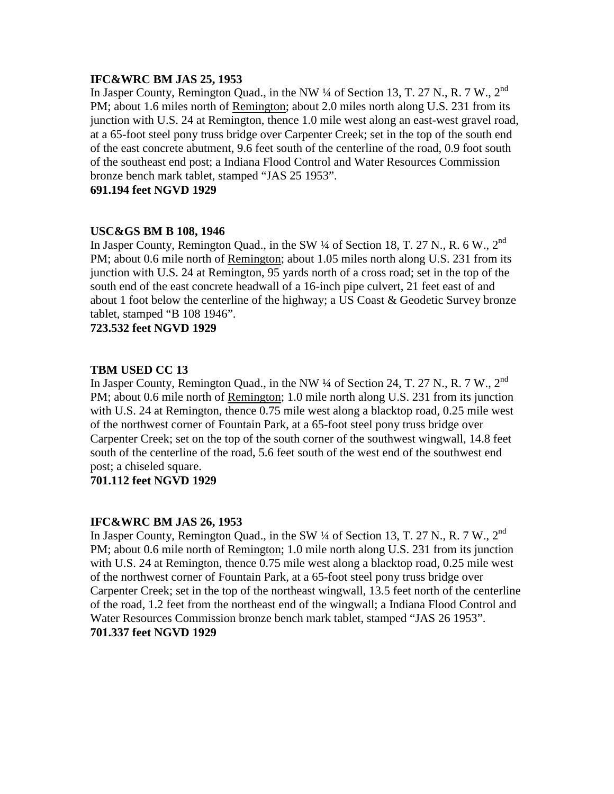# **IFC&WRC BM JAS 25, 1953**

In Jasper County, Remington Quad., in the NW  $\frac{1}{4}$  of Section 13, T. 27 N., R. 7 W., 2<sup>nd</sup> PM; about 1.6 miles north of Remington; about 2.0 miles north along U.S. 231 from its junction with U.S. 24 at Remington, thence 1.0 mile west along an east-west gravel road, at a 65-foot steel pony truss bridge over Carpenter Creek; set in the top of the south end of the east concrete abutment, 9.6 feet south of the centerline of the road, 0.9 foot south of the southeast end post; a Indiana Flood Control and Water Resources Commission bronze bench mark tablet, stamped "JAS 25 1953".

### **691.194 feet NGVD 1929**

# **USC&GS BM B 108, 1946**

In Jasper County, Remington Quad., in the SW  $\frac{1}{4}$  of Section 18, T. 27 N., R. 6 W., 2<sup>nd</sup> PM; about 0.6 mile north of Remington; about 1.05 miles north along U.S. 231 from its junction with U.S. 24 at Remington, 95 yards north of a cross road; set in the top of the south end of the east concrete headwall of a 16-inch pipe culvert, 21 feet east of and about 1 foot below the centerline of the highway; a US Coast & Geodetic Survey bronze tablet, stamped "B 108 1946".

**723.532 feet NGVD 1929**

# **TBM USED CC 13**

In Jasper County, Remington Quad., in the NW  $\frac{1}{4}$  of Section 24, T. 27 N., R. 7 W., 2<sup>nd</sup> PM; about 0.6 mile north of Remington; 1.0 mile north along U.S. 231 from its junction with U.S. 24 at Remington, thence 0.75 mile west along a blacktop road, 0.25 mile west of the northwest corner of Fountain Park, at a 65-foot steel pony truss bridge over Carpenter Creek; set on the top of the south corner of the southwest wingwall, 14.8 feet south of the centerline of the road, 5.6 feet south of the west end of the southwest end post; a chiseled square.

# **701.112 feet NGVD 1929**

# **IFC&WRC BM JAS 26, 1953**

In Jasper County, Remington Quad., in the SW  $\frac{1}{4}$  of Section 13, T. 27 N., R. 7 W., 2<sup>nd</sup> PM; about 0.6 mile north of Remington; 1.0 mile north along U.S. 231 from its junction with U.S. 24 at Remington, thence 0.75 mile west along a blacktop road, 0.25 mile west of the northwest corner of Fountain Park, at a 65-foot steel pony truss bridge over Carpenter Creek; set in the top of the northeast wingwall, 13.5 feet north of the centerline of the road, 1.2 feet from the northeast end of the wingwall; a Indiana Flood Control and Water Resources Commission bronze bench mark tablet, stamped "JAS 26 1953". **701.337 feet NGVD 1929**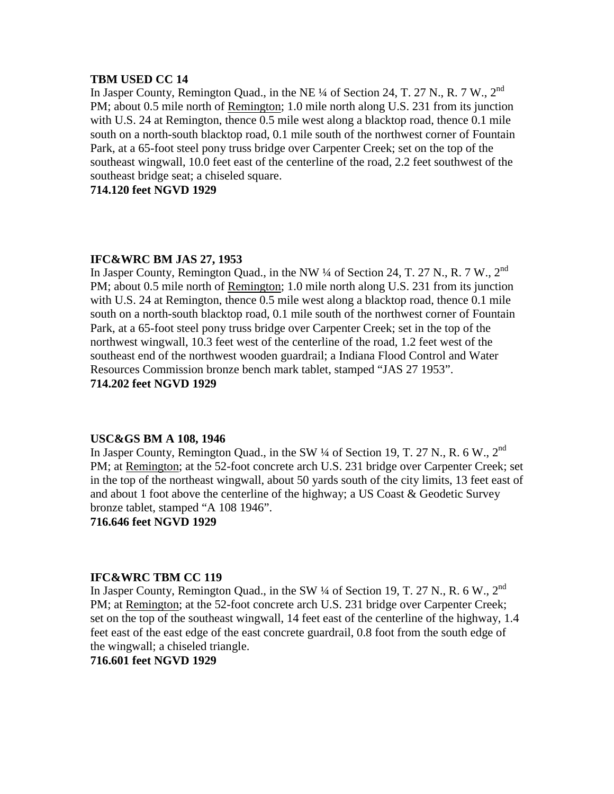#### **TBM USED CC 14**

In Jasper County, Remington Quad., in the NE <sup>1</sup>/4 of Section 24, T. 27 N., R. 7 W., 2<sup>nd</sup> PM; about 0.5 mile north of Remington; 1.0 mile north along U.S. 231 from its junction with U.S. 24 at Remington, thence 0.5 mile west along a blacktop road, thence 0.1 mile south on a north-south blacktop road, 0.1 mile south of the northwest corner of Fountain Park, at a 65-foot steel pony truss bridge over Carpenter Creek; set on the top of the southeast wingwall, 10.0 feet east of the centerline of the road, 2.2 feet southwest of the southeast bridge seat; a chiseled square.

# **714.120 feet NGVD 1929**

#### **IFC&WRC BM JAS 27, 1953**

In Jasper County, Remington Quad., in the NW  $\frac{1}{4}$  of Section 24, T. 27 N., R. 7 W., 2<sup>nd</sup> PM; about 0.5 mile north of Remington; 1.0 mile north along U.S. 231 from its junction with U.S. 24 at Remington, thence 0.5 mile west along a blacktop road, thence 0.1 mile south on a north-south blacktop road, 0.1 mile south of the northwest corner of Fountain Park, at a 65-foot steel pony truss bridge over Carpenter Creek; set in the top of the northwest wingwall, 10.3 feet west of the centerline of the road, 1.2 feet west of the southeast end of the northwest wooden guardrail; a Indiana Flood Control and Water Resources Commission bronze bench mark tablet, stamped "JAS 27 1953". **714.202 feet NGVD 1929**

#### **USC&GS BM A 108, 1946**

In Jasper County, Remington Quad., in the SW 1/4 of Section 19, T. 27 N., R. 6 W., 2<sup>nd</sup> PM; at Remington; at the 52-foot concrete arch U.S. 231 bridge over Carpenter Creek; set in the top of the northeast wingwall, about 50 yards south of the city limits, 13 feet east of and about 1 foot above the centerline of the highway; a US Coast & Geodetic Survey bronze tablet, stamped "A 108 1946".

#### **716.646 feet NGVD 1929**

#### **IFC&WRC TBM CC 119**

In Jasper County, Remington Quad., in the SW  $\frac{1}{4}$  of Section 19, T. 27 N., R. 6 W., 2<sup>nd</sup> PM; at Remington; at the 52-foot concrete arch U.S. 231 bridge over Carpenter Creek; set on the top of the southeast wingwall, 14 feet east of the centerline of the highway, 1.4 feet east of the east edge of the east concrete guardrail, 0.8 foot from the south edge of the wingwall; a chiseled triangle.

# **716.601 feet NGVD 1929**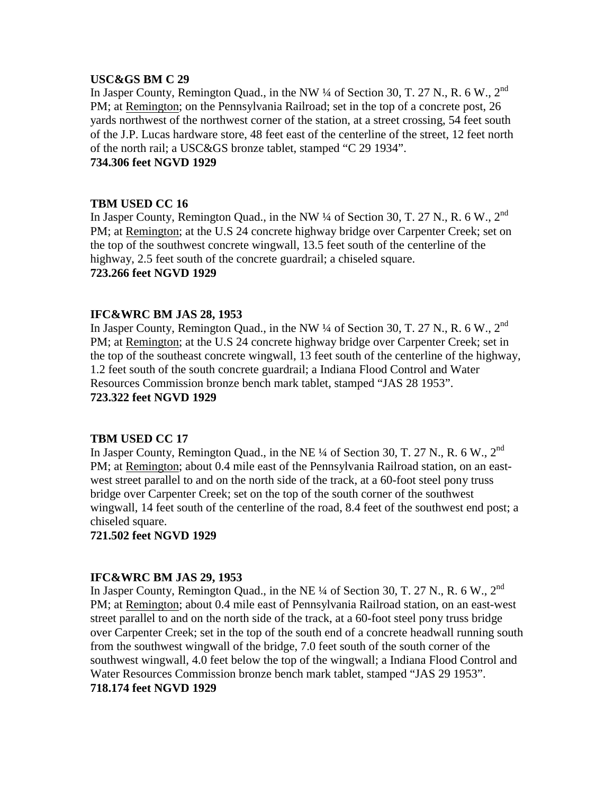#### **USC&GS BM C 29**

In Jasper County, Remington Quad., in the NW ¼ of Section 30, T. 27 N., R. 6 W., 2<sup>nd</sup> PM; at Remington; on the Pennsylvania Railroad; set in the top of a concrete post, 26 yards northwest of the northwest corner of the station, at a street crossing, 54 feet south of the J.P. Lucas hardware store, 48 feet east of the centerline of the street, 12 feet north of the north rail; a USC&GS bronze tablet, stamped "C 29 1934".

# **734.306 feet NGVD 1929**

#### **TBM USED CC 16**

In Jasper County, Remington Quad., in the NW 1/4 of Section 30, T. 27 N., R. 6 W., 2<sup>nd</sup> PM; at Remington; at the U.S 24 concrete highway bridge over Carpenter Creek; set on the top of the southwest concrete wingwall, 13.5 feet south of the centerline of the highway, 2.5 feet south of the concrete guardrail; a chiseled square. **723.266 feet NGVD 1929**

#### **IFC&WRC BM JAS 28, 1953**

In Jasper County, Remington Quad., in the NW ¼ of Section 30, T. 27 N., R. 6 W., 2<sup>nd</sup> PM; at Remington; at the U.S 24 concrete highway bridge over Carpenter Creek; set in the top of the southeast concrete wingwall, 13 feet south of the centerline of the highway, 1.2 feet south of the south concrete guardrail; a Indiana Flood Control and Water Resources Commission bronze bench mark tablet, stamped "JAS 28 1953". **723.322 feet NGVD 1929**

#### **TBM USED CC 17**

In Jasper County, Remington Quad., in the NE <sup>1</sup>/4 of Section 30, T. 27 N., R. 6 W., 2<sup>nd</sup> PM; at Remington; about 0.4 mile east of the Pennsylvania Railroad station, on an eastwest street parallel to and on the north side of the track, at a 60-foot steel pony truss bridge over Carpenter Creek; set on the top of the south corner of the southwest wingwall, 14 feet south of the centerline of the road, 8.4 feet of the southwest end post; a chiseled square.

**721.502 feet NGVD 1929**

#### **IFC&WRC BM JAS 29, 1953**

In Jasper County, Remington Quad., in the NE  $\frac{1}{4}$  of Section 30, T. 27 N., R. 6 W., 2<sup>nd</sup> PM; at Remington; about 0.4 mile east of Pennsylvania Railroad station, on an east-west street parallel to and on the north side of the track, at a 60-foot steel pony truss bridge over Carpenter Creek; set in the top of the south end of a concrete headwall running south from the southwest wingwall of the bridge, 7.0 feet south of the south corner of the southwest wingwall, 4.0 feet below the top of the wingwall; a Indiana Flood Control and Water Resources Commission bronze bench mark tablet, stamped "JAS 29 1953".

# **718.174 feet NGVD 1929**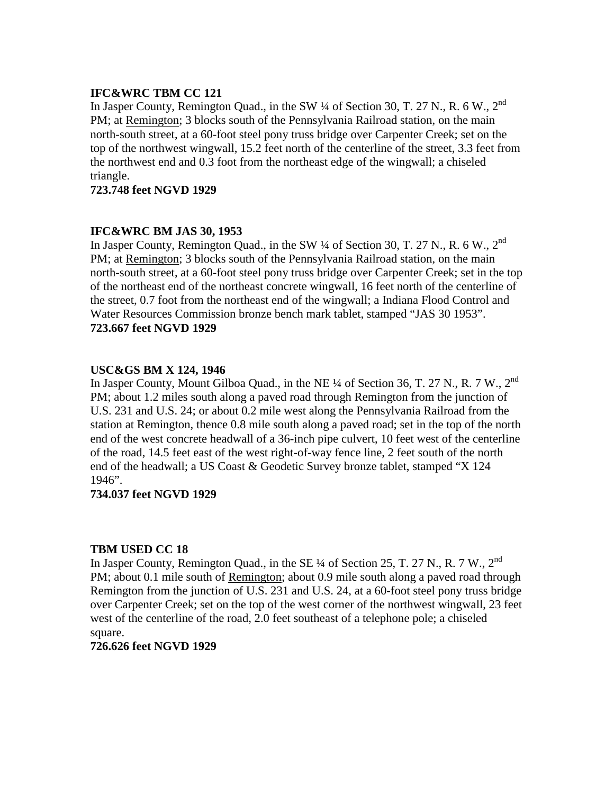# **IFC&WRC TBM CC 121**

In Jasper County, Remington Quad., in the SW ¼ of Section 30, T. 27 N., R. 6 W., 2<sup>nd</sup> PM; at Remington; 3 blocks south of the Pennsylvania Railroad station, on the main north-south street, at a 60-foot steel pony truss bridge over Carpenter Creek; set on the top of the northwest wingwall, 15.2 feet north of the centerline of the street, 3.3 feet from the northwest end and 0.3 foot from the northeast edge of the wingwall; a chiseled triangle.

# **723.748 feet NGVD 1929**

# **IFC&WRC BM JAS 30, 1953**

In Jasper County, Remington Quad., in the SW  $\frac{1}{4}$  of Section 30, T. 27 N., R. 6 W., 2<sup>nd</sup> PM; at Remington; 3 blocks south of the Pennsylvania Railroad station, on the main north-south street, at a 60-foot steel pony truss bridge over Carpenter Creek; set in the top of the northeast end of the northeast concrete wingwall, 16 feet north of the centerline of the street, 0.7 foot from the northeast end of the wingwall; a Indiana Flood Control and Water Resources Commission bronze bench mark tablet, stamped "JAS 30 1953". **723.667 feet NGVD 1929**

# **USC&GS BM X 124, 1946**

In Jasper County, Mount Gilboa Quad., in the NE ¼ of Section 36, T. 27 N., R. 7 W., 2<sup>nd</sup> PM; about 1.2 miles south along a paved road through Remington from the junction of U.S. 231 and U.S. 24; or about 0.2 mile west along the Pennsylvania Railroad from the station at Remington, thence 0.8 mile south along a paved road; set in the top of the north end of the west concrete headwall of a 36-inch pipe culvert, 10 feet west of the centerline of the road, 14.5 feet east of the west right-of-way fence line, 2 feet south of the north end of the headwall; a US Coast & Geodetic Survey bronze tablet, stamped "X 124 1946".

# **734.037 feet NGVD 1929**

# **TBM USED CC 18**

In Jasper County, Remington Quad., in the SE  $\frac{1}{4}$  of Section 25, T. 27 N., R. 7 W., 2<sup>nd</sup> PM; about 0.1 mile south of Remington; about 0.9 mile south along a paved road through Remington from the junction of U.S. 231 and U.S. 24, at a 60-foot steel pony truss bridge over Carpenter Creek; set on the top of the west corner of the northwest wingwall, 23 feet west of the centerline of the road, 2.0 feet southeast of a telephone pole; a chiseled square.

#### **726.626 feet NGVD 1929**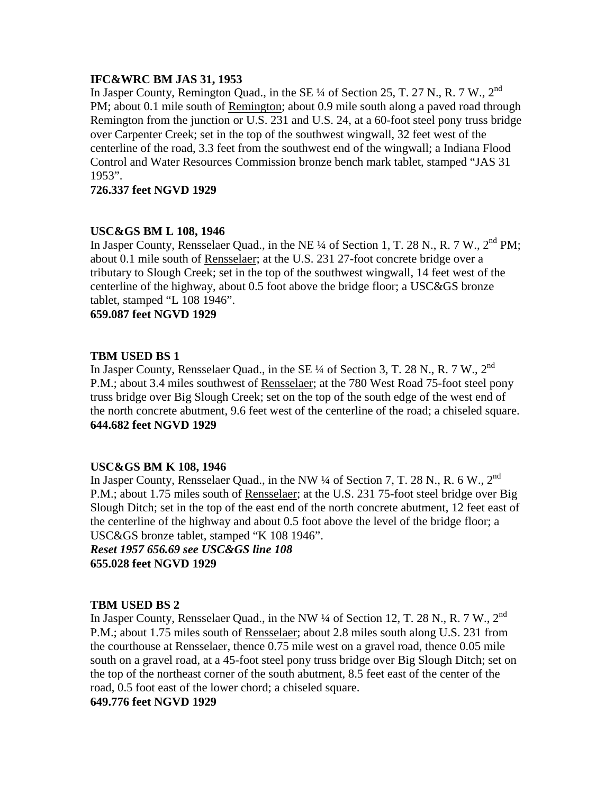# **IFC&WRC BM JAS 31, 1953**

In Jasper County, Remington Quad., in the SE 1/4 of Section 25, T. 27 N., R. 7 W., 2<sup>nd</sup> PM; about 0.1 mile south of Remington; about 0.9 mile south along a paved road through Remington from the junction or U.S. 231 and U.S. 24, at a 60-foot steel pony truss bridge over Carpenter Creek; set in the top of the southwest wingwall, 32 feet west of the centerline of the road, 3.3 feet from the southwest end of the wingwall; a Indiana Flood Control and Water Resources Commission bronze bench mark tablet, stamped "JAS 31 1953".

**726.337 feet NGVD 1929**

# **USC&GS BM L 108, 1946**

In Jasper County, Rensselaer Quad., in the NE  $\frac{1}{4}$  of Section 1, T. 28 N., R. 7 W., 2<sup>nd</sup> PM; about 0.1 mile south of Rensselaer; at the U.S. 231 27-foot concrete bridge over a tributary to Slough Creek; set in the top of the southwest wingwall, 14 feet west of the centerline of the highway, about 0.5 foot above the bridge floor; a USC&GS bronze tablet, stamped "L 108 1946".

**659.087 feet NGVD 1929**

# **TBM USED BS 1**

In Jasper County, Rensselaer Quad., in the SE 1/4 of Section 3, T. 28 N., R. 7 W., 2<sup>nd</sup> P.M.; about 3.4 miles southwest of Rensselaer; at the 780 West Road 75-foot steel pony truss bridge over Big Slough Creek; set on the top of the south edge of the west end of the north concrete abutment, 9.6 feet west of the centerline of the road; a chiseled square. **644.682 feet NGVD 1929**

#### **USC&GS BM K 108, 1946**

In Jasper County, Rensselaer Quad., in the NW ¼ of Section 7, T. 28 N., R. 6 W., 2<sup>nd</sup> P.M.; about 1.75 miles south of Rensselaer; at the U.S. 231 75-foot steel bridge over Big Slough Ditch; set in the top of the east end of the north concrete abutment, 12 feet east of the centerline of the highway and about 0.5 foot above the level of the bridge floor; a USC&GS bronze tablet, stamped "K 108 1946".

*Reset 1957 656.69 see USC&GS line 108* **655.028 feet NGVD 1929**

# **TBM USED BS 2**

In Jasper County, Rensselaer Quad., in the NW  $\frac{1}{4}$  of Section 12, T. 28 N., R. 7 W., 2<sup>nd</sup> P.M.; about 1.75 miles south of Rensselaer; about 2.8 miles south along U.S. 231 from the courthouse at Rensselaer, thence 0.75 mile west on a gravel road, thence 0.05 mile south on a gravel road, at a 45-foot steel pony truss bridge over Big Slough Ditch; set on the top of the northeast corner of the south abutment, 8.5 feet east of the center of the road, 0.5 foot east of the lower chord; a chiseled square.

**649.776 feet NGVD 1929**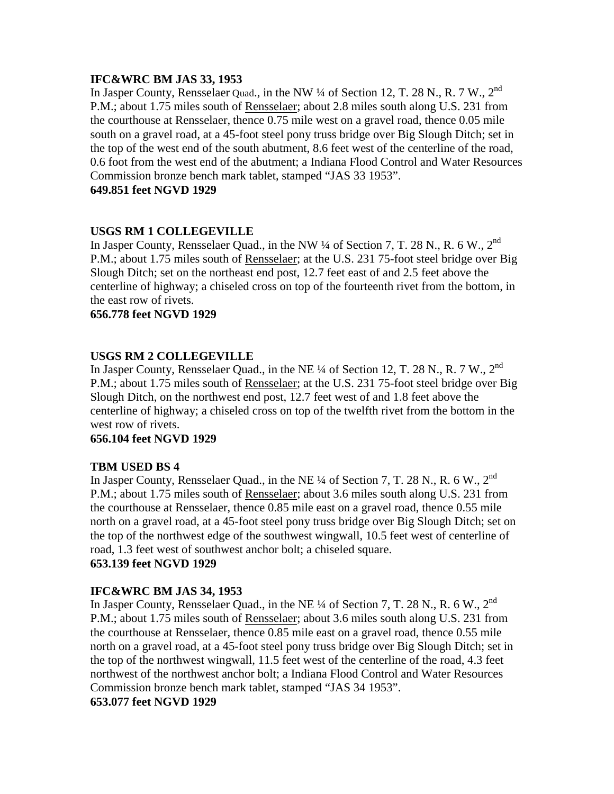# **IFC&WRC BM JAS 33, 1953**

In Jasper County, Rensselaer Quad., in the NW 1/4 of Section 12, T. 28 N., R. 7 W., 2<sup>nd</sup> P.M.; about 1.75 miles south of Rensselaer; about 2.8 miles south along U.S. 231 from the courthouse at Rensselaer, thence 0.75 mile west on a gravel road, thence 0.05 mile south on a gravel road, at a 45-foot steel pony truss bridge over Big Slough Ditch; set in the top of the west end of the south abutment, 8.6 feet west of the centerline of the road, 0.6 foot from the west end of the abutment; a Indiana Flood Control and Water Resources Commission bronze bench mark tablet, stamped "JAS 33 1953".

### **649.851 feet NGVD 1929**

# **USGS RM 1 COLLEGEVILLE**

In Jasper County, Rensselaer Quad., in the NW  $\frac{1}{4}$  of Section 7, T. 28 N., R. 6 W., 2<sup>nd</sup> P.M.; about 1.75 miles south of Rensselaer; at the U.S. 231 75-foot steel bridge over Big Slough Ditch; set on the northeast end post, 12.7 feet east of and 2.5 feet above the centerline of highway; a chiseled cross on top of the fourteenth rivet from the bottom, in the east row of rivets.

# **656.778 feet NGVD 1929**

# **USGS RM 2 COLLEGEVILLE**

In Jasper County, Rensselaer Quad., in the NE  $\frac{1}{4}$  of Section 12, T. 28 N., R. 7 W., 2<sup>nd</sup> P.M.; about 1.75 miles south of Rensselaer; at the U.S. 231 75-foot steel bridge over Big Slough Ditch, on the northwest end post, 12.7 feet west of and 1.8 feet above the centerline of highway; a chiseled cross on top of the twelfth rivet from the bottom in the west row of rivets.

### **656.104 feet NGVD 1929**

# **TBM USED BS 4**

In Jasper County, Rensselaer Quad., in the NE  $\frac{1}{4}$  of Section 7, T. 28 N., R. 6 W., 2<sup>nd</sup> P.M.; about 1.75 miles south of Rensselaer; about 3.6 miles south along U.S. 231 from the courthouse at Rensselaer, thence 0.85 mile east on a gravel road, thence 0.55 mile north on a gravel road, at a 45-foot steel pony truss bridge over Big Slough Ditch; set on the top of the northwest edge of the southwest wingwall, 10.5 feet west of centerline of road, 1.3 feet west of southwest anchor bolt; a chiseled square. **653.139 feet NGVD 1929**

# **IFC&WRC BM JAS 34, 1953**

In Jasper County, Rensselaer Quad., in the NE ¼ of Section 7, T. 28 N., R. 6 W., 2<sup>nd</sup> P.M.; about 1.75 miles south of Rensselaer; about 3.6 miles south along U.S. 231 from the courthouse at Rensselaer, thence 0.85 mile east on a gravel road, thence 0.55 mile north on a gravel road, at a 45-foot steel pony truss bridge over Big Slough Ditch; set in the top of the northwest wingwall, 11.5 feet west of the centerline of the road, 4.3 feet northwest of the northwest anchor bolt; a Indiana Flood Control and Water Resources Commission bronze bench mark tablet, stamped "JAS 34 1953".

# **653.077 feet NGVD 1929**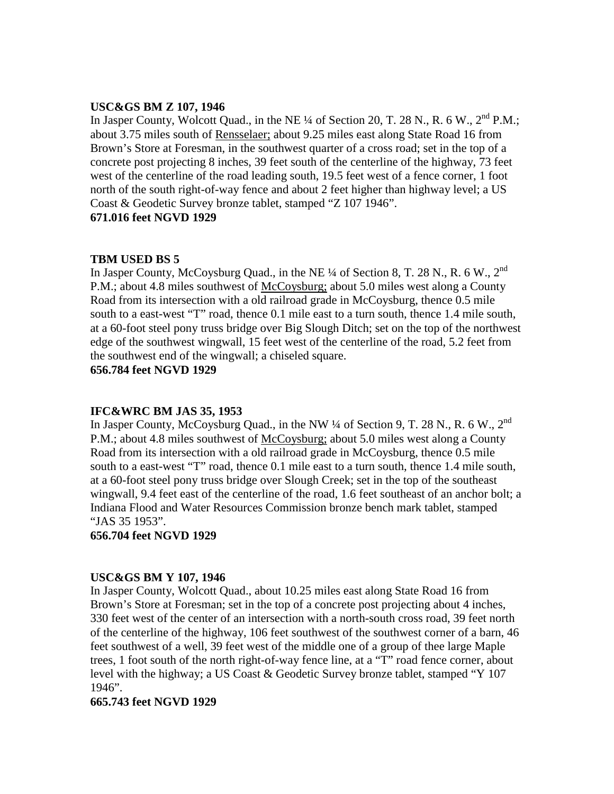# **USC&GS BM Z 107, 1946**

In Jasper County, Wolcott Quad., in the NE ¼ of Section 20, T. 28 N., R. 6 W., 2<sup>nd</sup> P.M.; about 3.75 miles south of Rensselaer; about 9.25 miles east along State Road 16 from Brown's Store at Foresman, in the southwest quarter of a cross road; set in the top of a concrete post projecting 8 inches, 39 feet south of the centerline of the highway, 73 feet west of the centerline of the road leading south, 19.5 feet west of a fence corner, 1 foot north of the south right-of-way fence and about 2 feet higher than highway level; a US Coast & Geodetic Survey bronze tablet, stamped "Z 107 1946". **671.016 feet NGVD 1929**

# **TBM USED BS 5**

In Jasper County, McCoysburg Quad., in the NE  $\frac{1}{4}$  of Section 8, T. 28 N., R. 6 W., 2<sup>nd</sup> P.M.; about 4.8 miles southwest of McCoysburg; about 5.0 miles west along a County Road from its intersection with a old railroad grade in McCoysburg, thence 0.5 mile south to a east-west "T" road, thence 0.1 mile east to a turn south, thence 1.4 mile south, at a 60-foot steel pony truss bridge over Big Slough Ditch; set on the top of the northwest edge of the southwest wingwall, 15 feet west of the centerline of the road, 5.2 feet from the southwest end of the wingwall; a chiseled square.

**656.784 feet NGVD 1929**

#### **IFC&WRC BM JAS 35, 1953**

In Jasper County, McCoysburg Quad., in the NW  $\frac{1}{4}$  of Section 9, T. 28 N., R. 6 W., 2<sup>nd</sup> P.M.; about 4.8 miles southwest of McCoysburg; about 5.0 miles west along a County Road from its intersection with a old railroad grade in McCoysburg, thence 0.5 mile south to a east-west "T" road, thence 0.1 mile east to a turn south, thence 1.4 mile south, at a 60-foot steel pony truss bridge over Slough Creek; set in the top of the southeast wingwall, 9.4 feet east of the centerline of the road, 1.6 feet southeast of an anchor bolt; a Indiana Flood and Water Resources Commission bronze bench mark tablet, stamped "JAS 35 1953".

**656.704 feet NGVD 1929**

#### **USC&GS BM Y 107, 1946**

In Jasper County, Wolcott Quad., about 10.25 miles east along State Road 16 from Brown's Store at Foresman; set in the top of a concrete post projecting about 4 inches, 330 feet west of the center of an intersection with a north-south cross road, 39 feet north of the centerline of the highway, 106 feet southwest of the southwest corner of a barn, 46 feet southwest of a well, 39 feet west of the middle one of a group of thee large Maple trees, 1 foot south of the north right-of-way fence line, at a "T" road fence corner, about level with the highway; a US Coast & Geodetic Survey bronze tablet, stamped "Y 107 1946".

# **665.743 feet NGVD 1929**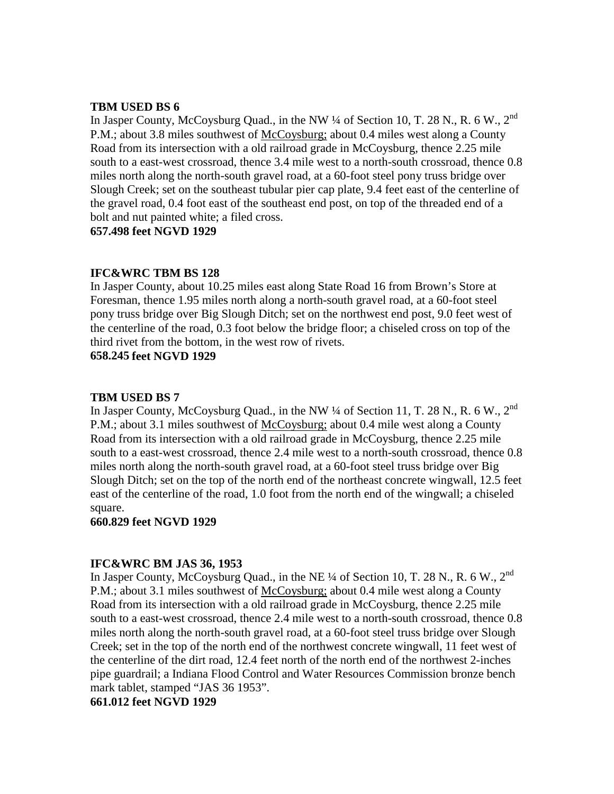#### **TBM USED BS 6**

In Jasper County, McCoysburg Quad., in the NW 1/4 of Section 10, T. 28 N., R. 6 W., 2<sup>nd</sup> P.M.; about 3.8 miles southwest of McCoysburg; about 0.4 miles west along a County Road from its intersection with a old railroad grade in McCoysburg, thence 2.25 mile south to a east-west crossroad, thence 3.4 mile west to a north-south crossroad, thence 0.8 miles north along the north-south gravel road, at a 60-foot steel pony truss bridge over Slough Creek; set on the southeast tubular pier cap plate, 9.4 feet east of the centerline of the gravel road, 0.4 foot east of the southeast end post, on top of the threaded end of a bolt and nut painted white; a filed cross.

**657.498 feet NGVD 1929**

# **IFC&WRC TBM BS 128**

In Jasper County, about 10.25 miles east along State Road 16 from Brown's Store at Foresman, thence 1.95 miles north along a north-south gravel road, at a 60-foot steel pony truss bridge over Big Slough Ditch; set on the northwest end post, 9.0 feet west of the centerline of the road, 0.3 foot below the bridge floor; a chiseled cross on top of the third rivet from the bottom, in the west row of rivets.

**658.245 feet NGVD 1929**

# **TBM USED BS 7**

In Jasper County, McCoysburg Quad., in the NW  $\frac{1}{4}$  of Section 11, T. 28 N., R. 6 W., 2<sup>nd</sup> P.M.; about 3.1 miles southwest of McCoysburg; about 0.4 mile west along a County Road from its intersection with a old railroad grade in McCoysburg, thence 2.25 mile south to a east-west crossroad, thence 2.4 mile west to a north-south crossroad, thence 0.8 miles north along the north-south gravel road, at a 60-foot steel truss bridge over Big Slough Ditch; set on the top of the north end of the northeast concrete wingwall, 12.5 feet east of the centerline of the road, 1.0 foot from the north end of the wingwall; a chiseled square.

#### **660.829 feet NGVD 1929**

# **IFC&WRC BM JAS 36, 1953**

In Jasper County, McCoysburg Quad., in the NE ¼ of Section 10, T. 28 N., R. 6 W., 2<sup>nd</sup> P.M.; about 3.1 miles southwest of McCoysburg; about 0.4 mile west along a County Road from its intersection with a old railroad grade in McCoysburg, thence 2.25 mile south to a east-west crossroad, thence 2.4 mile west to a north-south crossroad, thence 0.8 miles north along the north-south gravel road, at a 60-foot steel truss bridge over Slough Creek; set in the top of the north end of the northwest concrete wingwall, 11 feet west of the centerline of the dirt road, 12.4 feet north of the north end of the northwest 2-inches pipe guardrail; a Indiana Flood Control and Water Resources Commission bronze bench mark tablet, stamped "JAS 36 1953".

# **661.012 feet NGVD 1929**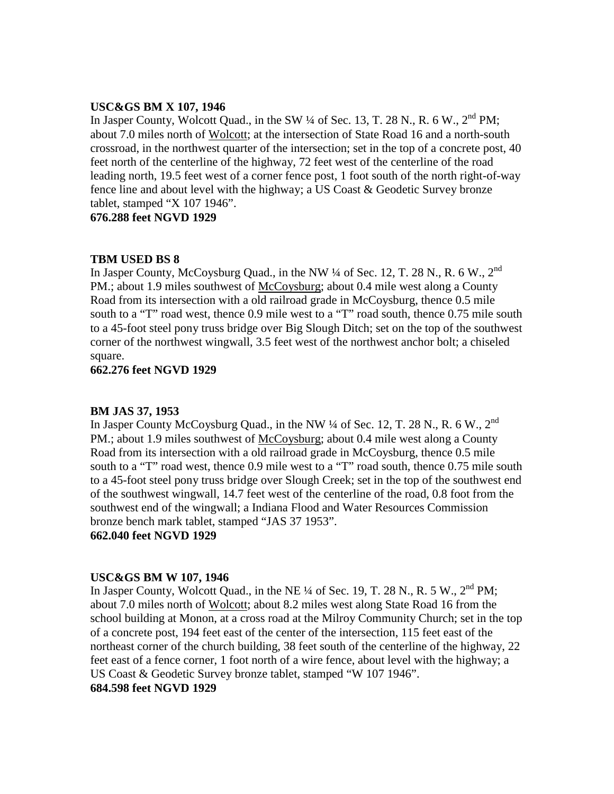# **USC&GS BM X 107, 1946**

In Jasper County, Wolcott Quad., in the SW 1/4 of Sec. 13, T. 28 N., R. 6 W., 2<sup>nd</sup> PM; about 7.0 miles north of Wolcott; at the intersection of State Road 16 and a north-south crossroad, in the northwest quarter of the intersection; set in the top of a concrete post, 40 feet north of the centerline of the highway, 72 feet west of the centerline of the road leading north, 19.5 feet west of a corner fence post, 1 foot south of the north right-of-way fence line and about level with the highway; a US Coast & Geodetic Survey bronze tablet, stamped "X 107 1946".

**676.288 feet NGVD 1929**

#### **TBM USED BS 8**

In Jasper County, McCoysburg Quad., in the NW  $\frac{1}{4}$  of Sec. 12, T. 28 N., R. 6 W., 2<sup>nd</sup> PM.; about 1.9 miles southwest of McCoysburg; about 0.4 mile west along a County Road from its intersection with a old railroad grade in McCoysburg, thence 0.5 mile south to a "T" road west, thence 0.9 mile west to a "T" road south, thence 0.75 mile south to a 45-foot steel pony truss bridge over Big Slough Ditch; set on the top of the southwest corner of the northwest wingwall, 3.5 feet west of the northwest anchor bolt; a chiseled square.

**662.276 feet NGVD 1929**

#### **BM JAS 37, 1953**

In Jasper County McCoysburg Quad., in the NW  $\frac{1}{4}$  of Sec. 12, T. 28 N., R. 6 W., 2<sup>nd</sup> PM.; about 1.9 miles southwest of McCoysburg; about 0.4 mile west along a County Road from its intersection with a old railroad grade in McCoysburg, thence 0.5 mile south to a "T" road west, thence 0.9 mile west to a "T" road south, thence 0.75 mile south to a 45-foot steel pony truss bridge over Slough Creek; set in the top of the southwest end of the southwest wingwall, 14.7 feet west of the centerline of the road, 0.8 foot from the southwest end of the wingwall; a Indiana Flood and Water Resources Commission bronze bench mark tablet, stamped "JAS 37 1953".

**662.040 feet NGVD 1929**

#### **USC&GS BM W 107, 1946**

In Jasper County, Wolcott Quad., in the NE <sup>1</sup>/4 of Sec. 19, T. 28 N., R. 5 W., 2<sup>nd</sup> PM; about 7.0 miles north of Wolcott; about 8.2 miles west along State Road 16 from the school building at Monon, at a cross road at the Milroy Community Church; set in the top of a concrete post, 194 feet east of the center of the intersection, 115 feet east of the northeast corner of the church building, 38 feet south of the centerline of the highway, 22 feet east of a fence corner, 1 foot north of a wire fence, about level with the highway; a US Coast & Geodetic Survey bronze tablet, stamped "W 107 1946".

## **684.598 feet NGVD 1929**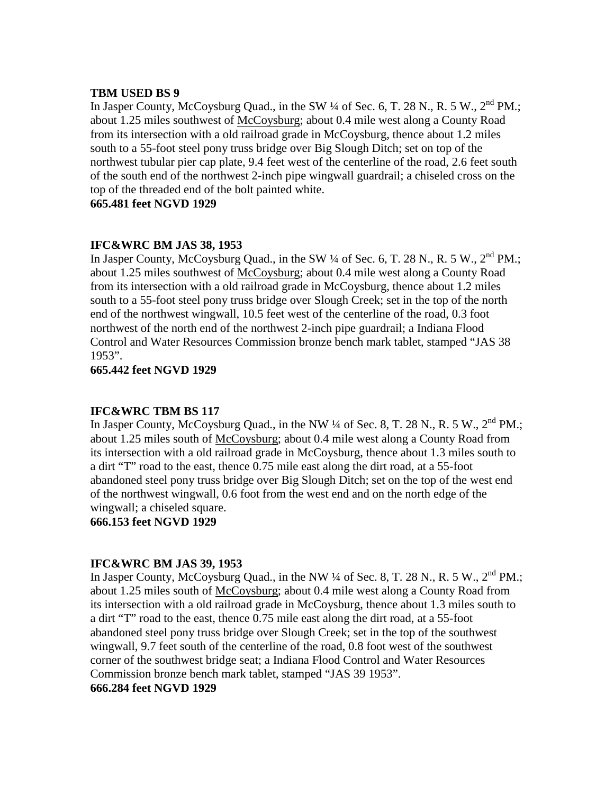#### **TBM USED BS 9**

In Jasper County, McCoysburg Quad., in the SW  $\frac{1}{4}$  of Sec. 6, T. 28 N., R. 5 W.,  $2^{nd}$  PM.; about 1.25 miles southwest of McCoysburg; about 0.4 mile west along a County Road from its intersection with a old railroad grade in McCoysburg, thence about 1.2 miles south to a 55-foot steel pony truss bridge over Big Slough Ditch; set on top of the northwest tubular pier cap plate, 9.4 feet west of the centerline of the road, 2.6 feet south of the south end of the northwest 2-inch pipe wingwall guardrail; a chiseled cross on the top of the threaded end of the bolt painted white.

**665.481 feet NGVD 1929**

#### **IFC&WRC BM JAS 38, 1953**

In Jasper County, McCoysburg Quad., in the SW  $\frac{1}{4}$  of Sec. 6, T. 28 N., R. 5 W.,  $2^{nd}$  PM.; about 1.25 miles southwest of McCoysburg; about 0.4 mile west along a County Road from its intersection with a old railroad grade in McCoysburg, thence about 1.2 miles south to a 55-foot steel pony truss bridge over Slough Creek; set in the top of the north end of the northwest wingwall, 10.5 feet west of the centerline of the road, 0.3 foot northwest of the north end of the northwest 2-inch pipe guardrail; a Indiana Flood Control and Water Resources Commission bronze bench mark tablet, stamped "JAS 38 1953".

**665.442 feet NGVD 1929**

#### **IFC&WRC TBM BS 117**

In Jasper County, McCoysburg Quad., in the NW  $\frac{1}{4}$  of Sec. 8, T. 28 N., R. 5 W.,  $2<sup>nd</sup>$  PM.; about 1.25 miles south of McCoysburg; about 0.4 mile west along a County Road from its intersection with a old railroad grade in McCoysburg, thence about 1.3 miles south to a dirt "T" road to the east, thence 0.75 mile east along the dirt road, at a 55-foot abandoned steel pony truss bridge over Big Slough Ditch; set on the top of the west end of the northwest wingwall, 0.6 foot from the west end and on the north edge of the wingwall; a chiseled square.

**666.153 feet NGVD 1929**

## **IFC&WRC BM JAS 39, 1953**

In Jasper County, McCoysburg Quad., in the NW  $\frac{1}{4}$  of Sec. 8, T. 28 N., R. 5 W.,  $2<sup>nd</sup>$  PM.; about 1.25 miles south of McCoysburg; about 0.4 mile west along a County Road from its intersection with a old railroad grade in McCoysburg, thence about 1.3 miles south to a dirt "T" road to the east, thence 0.75 mile east along the dirt road, at a 55-foot abandoned steel pony truss bridge over Slough Creek; set in the top of the southwest wingwall, 9.7 feet south of the centerline of the road, 0.8 foot west of the southwest corner of the southwest bridge seat; a Indiana Flood Control and Water Resources Commission bronze bench mark tablet, stamped "JAS 39 1953".

## **666.284 feet NGVD 1929**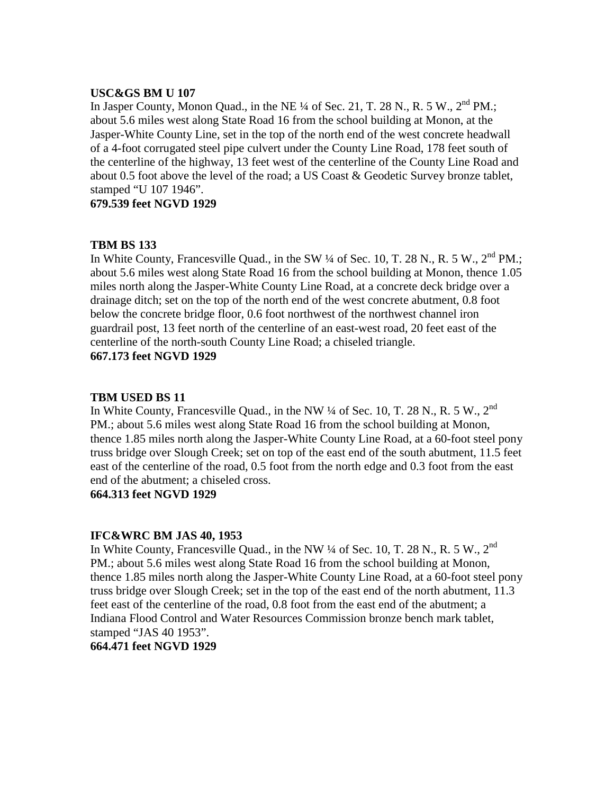#### **USC&GS BM U 107**

In Jasper County, Monon Quad., in the NE  $\frac{1}{4}$  of Sec. 21, T. 28 N., R. 5 W.,  $2^{nd}$  PM.; about 5.6 miles west along State Road 16 from the school building at Monon, at the Jasper-White County Line, set in the top of the north end of the west concrete headwall of a 4-foot corrugated steel pipe culvert under the County Line Road, 178 feet south of the centerline of the highway, 13 feet west of the centerline of the County Line Road and about 0.5 foot above the level of the road; a US Coast & Geodetic Survey bronze tablet, stamped "U 107 1946".

**679.539 feet NGVD 1929**

# **TBM BS 133**

In White County, Francesville Quad., in the SW  $\frac{1}{4}$  of Sec. 10, T. 28 N., R. 5 W.,  $2<sup>nd</sup>$  PM.: about 5.6 miles west along State Road 16 from the school building at Monon, thence 1.05 miles north along the Jasper-White County Line Road, at a concrete deck bridge over a drainage ditch; set on the top of the north end of the west concrete abutment, 0.8 foot below the concrete bridge floor, 0.6 foot northwest of the northwest channel iron guardrail post, 13 feet north of the centerline of an east-west road, 20 feet east of the centerline of the north-south County Line Road; a chiseled triangle. **667.173 feet NGVD 1929**

# **TBM USED BS 11**

In White County, Francesville Quad., in the NW  $\frac{1}{4}$  of Sec. 10, T. 28 N., R. 5 W.,  $2^{nd}$ PM.; about 5.6 miles west along State Road 16 from the school building at Monon, thence 1.85 miles north along the Jasper-White County Line Road, at a 60-foot steel pony truss bridge over Slough Creek; set on top of the east end of the south abutment, 11.5 feet east of the centerline of the road, 0.5 foot from the north edge and 0.3 foot from the east end of the abutment; a chiseled cross.

# **664.313 feet NGVD 1929**

# **IFC&WRC BM JAS 40, 1953**

In White County, Francesville Quad., in the NW  $\frac{1}{4}$  of Sec. 10, T. 28 N., R. 5 W., 2<sup>nd</sup> PM.; about 5.6 miles west along State Road 16 from the school building at Monon, thence 1.85 miles north along the Jasper-White County Line Road, at a 60-foot steel pony truss bridge over Slough Creek; set in the top of the east end of the north abutment, 11.3 feet east of the centerline of the road, 0.8 foot from the east end of the abutment; a Indiana Flood Control and Water Resources Commission bronze bench mark tablet, stamped "JAS 40 1953".

# **664.471 feet NGVD 1929**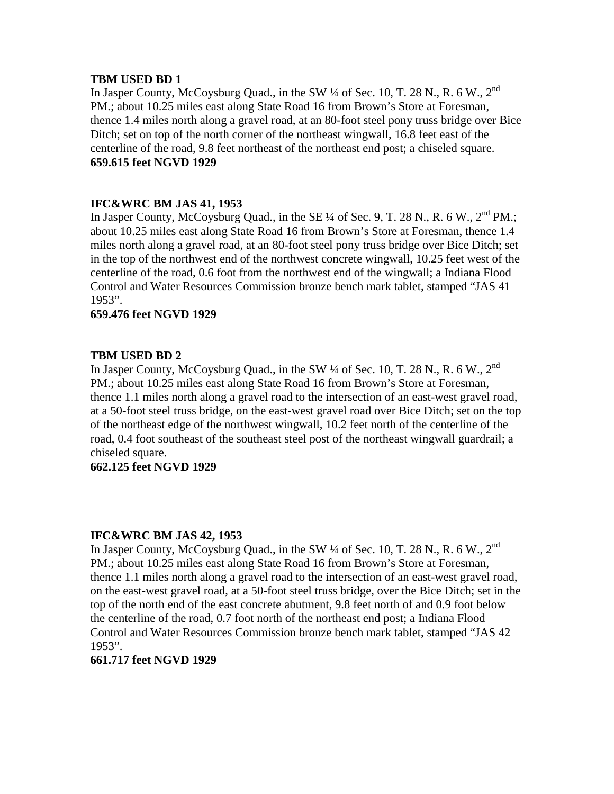# **TBM USED BD 1**

In Jasper County, McCoysburg Quad., in the SW ¼ of Sec. 10, T. 28 N., R. 6 W., 2nd PM.; about 10.25 miles east along State Road 16 from Brown's Store at Foresman, thence 1.4 miles north along a gravel road, at an 80-foot steel pony truss bridge over Bice Ditch; set on top of the north corner of the northeast wingwall, 16.8 feet east of the centerline of the road, 9.8 feet northeast of the northeast end post; a chiseled square. **659.615 feet NGVD 1929**

# **IFC&WRC BM JAS 41, 1953**

In Jasper County, McCoysburg Quad., in the SE  $\frac{1}{4}$  of Sec. 9, T. 28 N., R. 6 W.,  $2<sup>nd</sup>$  PM.; about 10.25 miles east along State Road 16 from Brown's Store at Foresman, thence 1.4 miles north along a gravel road, at an 80-foot steel pony truss bridge over Bice Ditch; set in the top of the northwest end of the northwest concrete wingwall, 10.25 feet west of the centerline of the road, 0.6 foot from the northwest end of the wingwall; a Indiana Flood Control and Water Resources Commission bronze bench mark tablet, stamped "JAS 41 1953".

# **659.476 feet NGVD 1929**

# **TBM USED BD 2**

In Jasper County, McCoysburg Quad., in the SW ¼ of Sec. 10, T. 28 N., R. 6 W., 2nd PM.; about 10.25 miles east along State Road 16 from Brown's Store at Foresman, thence 1.1 miles north along a gravel road to the intersection of an east-west gravel road, at a 50-foot steel truss bridge, on the east-west gravel road over Bice Ditch; set on the top of the northeast edge of the northwest wingwall, 10.2 feet north of the centerline of the road, 0.4 foot southeast of the southeast steel post of the northeast wingwall guardrail; a chiseled square.

# **662.125 feet NGVD 1929**

# **IFC&WRC BM JAS 42, 1953**

In Jasper County, McCoysburg Quad., in the SW  $\frac{1}{4}$  of Sec. 10, T. 28 N., R. 6 W., 2<sup>nd</sup> PM.; about 10.25 miles east along State Road 16 from Brown's Store at Foresman, thence 1.1 miles north along a gravel road to the intersection of an east-west gravel road, on the east-west gravel road, at a 50-foot steel truss bridge, over the Bice Ditch; set in the top of the north end of the east concrete abutment, 9.8 feet north of and 0.9 foot below the centerline of the road, 0.7 foot north of the northeast end post; a Indiana Flood Control and Water Resources Commission bronze bench mark tablet, stamped "JAS 42 1953".

#### **661.717 feet NGVD 1929**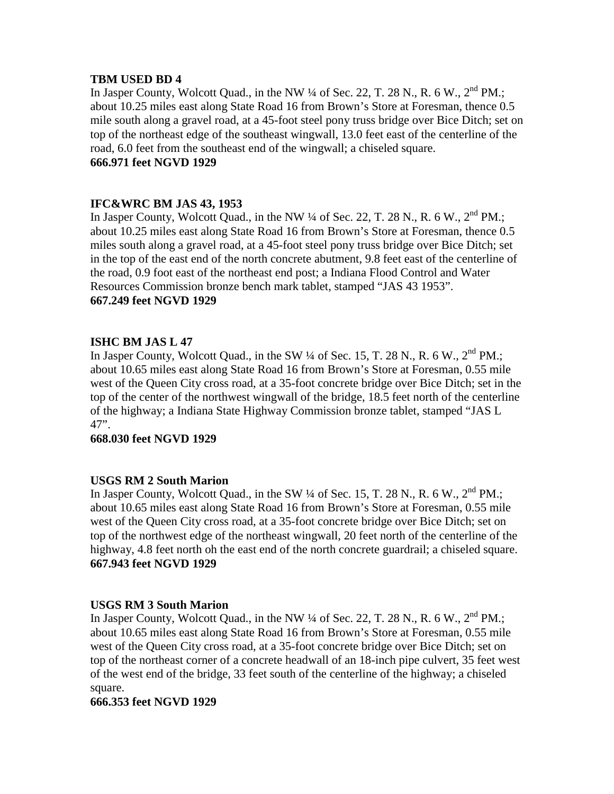# **TBM USED BD 4**

In Jasper County, Wolcott Quad., in the NW  $\frac{1}{4}$  of Sec. 22, T. 28 N., R. 6 W.,  $2^{nd}$  PM.; about 10.25 miles east along State Road 16 from Brown's Store at Foresman, thence 0.5 mile south along a gravel road, at a 45-foot steel pony truss bridge over Bice Ditch; set on top of the northeast edge of the southeast wingwall, 13.0 feet east of the centerline of the road, 6.0 feet from the southeast end of the wingwall; a chiseled square. **666.971 feet NGVD 1929**

# **IFC&WRC BM JAS 43, 1953**

In Jasper County, Wolcott Quad., in the NW  $\frac{1}{4}$  of Sec. 22, T. 28 N., R. 6 W.,  $2^{nd}$  PM.; about 10.25 miles east along State Road 16 from Brown's Store at Foresman, thence 0.5 miles south along a gravel road, at a 45-foot steel pony truss bridge over Bice Ditch; set in the top of the east end of the north concrete abutment, 9.8 feet east of the centerline of the road, 0.9 foot east of the northeast end post; a Indiana Flood Control and Water Resources Commission bronze bench mark tablet, stamped "JAS 43 1953". **667.249 feet NGVD 1929**

# **ISHC BM JAS L 47**

In Jasper County, Wolcott Quad., in the SW 1/4 of Sec. 15, T. 28 N., R. 6 W., 2<sup>nd</sup> PM.; about 10.65 miles east along State Road 16 from Brown's Store at Foresman, 0.55 mile west of the Queen City cross road, at a 35-foot concrete bridge over Bice Ditch; set in the top of the center of the northwest wingwall of the bridge, 18.5 feet north of the centerline of the highway; a Indiana State Highway Commission bronze tablet, stamped "JAS L 47".

#### **668.030 feet NGVD 1929**

# **USGS RM 2 South Marion**

In Jasper County, Wolcott Quad., in the SW  $\frac{1}{4}$  of Sec. 15, T. 28 N., R. 6 W.,  $2^{nd}$  PM.; about 10.65 miles east along State Road 16 from Brown's Store at Foresman, 0.55 mile west of the Queen City cross road, at a 35-foot concrete bridge over Bice Ditch; set on top of the northwest edge of the northeast wingwall, 20 feet north of the centerline of the highway, 4.8 feet north oh the east end of the north concrete guardrail; a chiseled square. **667.943 feet NGVD 1929**

#### **USGS RM 3 South Marion**

In Jasper County, Wolcott Quad., in the NW  $\frac{1}{4}$  of Sec. 22, T. 28 N., R. 6 W.,  $2^{nd}$  PM.; about 10.65 miles east along State Road 16 from Brown's Store at Foresman, 0.55 mile west of the Queen City cross road, at a 35-foot concrete bridge over Bice Ditch; set on top of the northeast corner of a concrete headwall of an 18-inch pipe culvert, 35 feet west of the west end of the bridge, 33 feet south of the centerline of the highway; a chiseled square.

#### **666.353 feet NGVD 1929**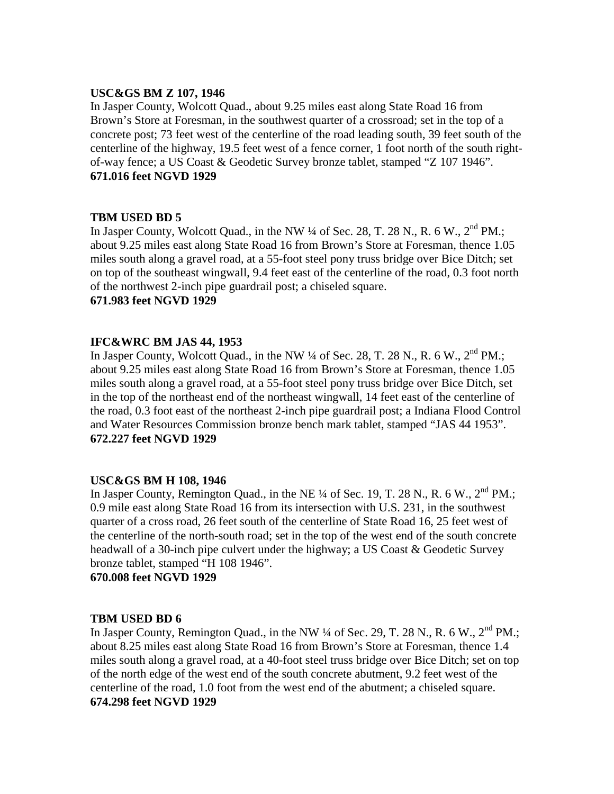# **USC&GS BM Z 107, 1946**

In Jasper County, Wolcott Quad., about 9.25 miles east along State Road 16 from Brown's Store at Foresman, in the southwest quarter of a crossroad; set in the top of a concrete post; 73 feet west of the centerline of the road leading south, 39 feet south of the centerline of the highway, 19.5 feet west of a fence corner, 1 foot north of the south rightof-way fence; a US Coast & Geodetic Survey bronze tablet, stamped "Z 107 1946". **671.016 feet NGVD 1929**

# **TBM USED BD 5**

In Jasper County, Wolcott Quad., in the NW  $\frac{1}{4}$  of Sec. 28, T. 28 N., R. 6 W.,  $2^{nd}$  PM.; about 9.25 miles east along State Road 16 from Brown's Store at Foresman, thence 1.05 miles south along a gravel road, at a 55-foot steel pony truss bridge over Bice Ditch; set on top of the southeast wingwall, 9.4 feet east of the centerline of the road, 0.3 foot north of the northwest 2-inch pipe guardrail post; a chiseled square. **671.983 feet NGVD 1929**

# **IFC&WRC BM JAS 44, 1953**

In Jasper County, Wolcott Quad., in the NW  $\frac{1}{4}$  of Sec. 28, T. 28 N., R. 6 W.,  $2^{nd}$  PM.; about 9.25 miles east along State Road 16 from Brown's Store at Foresman, thence 1.05 miles south along a gravel road, at a 55-foot steel pony truss bridge over Bice Ditch, set in the top of the northeast end of the northeast wingwall, 14 feet east of the centerline of the road, 0.3 foot east of the northeast 2-inch pipe guardrail post; a Indiana Flood Control and Water Resources Commission bronze bench mark tablet, stamped "JAS 44 1953". **672.227 feet NGVD 1929**

#### **USC&GS BM H 108, 1946**

In Jasper County, Remington Quad., in the NE  $\frac{1}{4}$  of Sec. 19, T. 28 N., R. 6 W.,  $2<sup>nd</sup>$  PM.; 0.9 mile east along State Road 16 from its intersection with U.S. 231, in the southwest quarter of a cross road, 26 feet south of the centerline of State Road 16, 25 feet west of the centerline of the north-south road; set in the top of the west end of the south concrete headwall of a 30-inch pipe culvert under the highway; a US Coast & Geodetic Survey bronze tablet, stamped "H 108 1946".

**670.008 feet NGVD 1929**

# **TBM USED BD 6**

In Jasper County, Remington Quad., in the NW  $\frac{1}{4}$  of Sec. 29, T. 28 N., R. 6 W.,  $2^{nd}$  PM.: about 8.25 miles east along State Road 16 from Brown's Store at Foresman, thence 1.4 miles south along a gravel road, at a 40-foot steel truss bridge over Bice Ditch; set on top of the north edge of the west end of the south concrete abutment, 9.2 feet west of the centerline of the road, 1.0 foot from the west end of the abutment; a chiseled square. **674.298 feet NGVD 1929**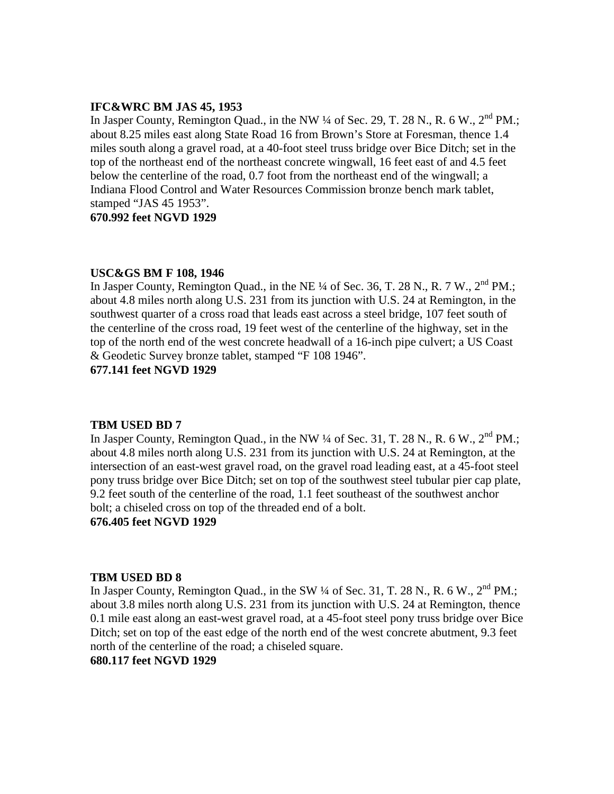# **IFC&WRC BM JAS 45, 1953**

In Jasper County, Remington Quad., in the NW ¼ of Sec. 29, T. 28 N., R. 6 W., 2<sup>nd</sup> PM.; about 8.25 miles east along State Road 16 from Brown's Store at Foresman, thence 1.4 miles south along a gravel road, at a 40-foot steel truss bridge over Bice Ditch; set in the top of the northeast end of the northeast concrete wingwall, 16 feet east of and 4.5 feet below the centerline of the road, 0.7 foot from the northeast end of the wingwall; a Indiana Flood Control and Water Resources Commission bronze bench mark tablet, stamped "JAS 45 1953".

**670.992 feet NGVD 1929**

#### **USC&GS BM F 108, 1946**

In Jasper County, Remington Quad., in the NE  $\frac{1}{4}$  of Sec. 36, T. 28 N., R. 7 W.,  $2<sup>nd</sup>$  PM.; about 4.8 miles north along U.S. 231 from its junction with U.S. 24 at Remington, in the southwest quarter of a cross road that leads east across a steel bridge, 107 feet south of the centerline of the cross road, 19 feet west of the centerline of the highway, set in the top of the north end of the west concrete headwall of a 16-inch pipe culvert; a US Coast & Geodetic Survey bronze tablet, stamped "F 108 1946".

**677.141 feet NGVD 1929**

#### **TBM USED BD 7**

In Jasper County, Remington Quad., in the NW  $\frac{1}{4}$  of Sec. 31, T. 28 N., R. 6 W.,  $2^{nd}$  PM.; about 4.8 miles north along U.S. 231 from its junction with U.S. 24 at Remington, at the intersection of an east-west gravel road, on the gravel road leading east, at a 45-foot steel pony truss bridge over Bice Ditch; set on top of the southwest steel tubular pier cap plate, 9.2 feet south of the centerline of the road, 1.1 feet southeast of the southwest anchor bolt; a chiseled cross on top of the threaded end of a bolt.

#### **676.405 feet NGVD 1929**

#### **TBM USED BD 8**

In Jasper County, Remington Quad., in the SW  $\frac{1}{4}$  of Sec. 31, T. 28 N., R. 6 W.,  $2^{nd}$  PM.; about 3.8 miles north along U.S. 231 from its junction with U.S. 24 at Remington, thence 0.1 mile east along an east-west gravel road, at a 45-foot steel pony truss bridge over Bice Ditch; set on top of the east edge of the north end of the west concrete abutment, 9.3 feet north of the centerline of the road; a chiseled square.

# **680.117 feet NGVD 1929**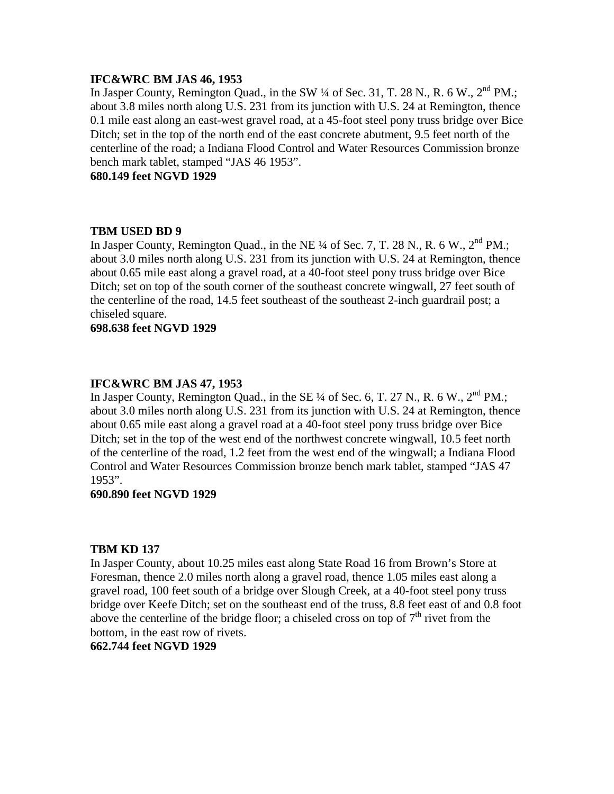#### **IFC&WRC BM JAS 46, 1953**

In Jasper County, Remington Quad., in the SW 1/4 of Sec. 31, T. 28 N., R. 6 W., 2<sup>nd</sup> PM.; about 3.8 miles north along U.S. 231 from its junction with U.S. 24 at Remington, thence 0.1 mile east along an east-west gravel road, at a 45-foot steel pony truss bridge over Bice Ditch; set in the top of the north end of the east concrete abutment, 9.5 feet north of the centerline of the road; a Indiana Flood Control and Water Resources Commission bronze bench mark tablet, stamped "JAS 46 1953".

**680.149 feet NGVD 1929**

# **TBM USED BD 9**

In Jasper County, Remington Quad., in the NE <sup>1/4</sup> of Sec. 7, T. 28 N., R. 6 W., 2<sup>nd</sup> PM.: about 3.0 miles north along U.S. 231 from its junction with U.S. 24 at Remington, thence about 0.65 mile east along a gravel road, at a 40-foot steel pony truss bridge over Bice Ditch; set on top of the south corner of the southeast concrete wingwall, 27 feet south of the centerline of the road, 14.5 feet southeast of the southeast 2-inch guardrail post; a chiseled square.

# **698.638 feet NGVD 1929**

# **IFC&WRC BM JAS 47, 1953**

In Jasper County, Remington Quad., in the SE  $\frac{1}{4}$  of Sec. 6, T. 27 N., R. 6 W.,  $2^{nd}$  PM.; about 3.0 miles north along U.S. 231 from its junction with U.S. 24 at Remington, thence about 0.65 mile east along a gravel road at a 40-foot steel pony truss bridge over Bice Ditch; set in the top of the west end of the northwest concrete wingwall, 10.5 feet north of the centerline of the road, 1.2 feet from the west end of the wingwall; a Indiana Flood Control and Water Resources Commission bronze bench mark tablet, stamped "JAS 47 1953".

#### **690.890 feet NGVD 1929**

#### **TBM KD 137**

In Jasper County, about 10.25 miles east along State Road 16 from Brown's Store at Foresman, thence 2.0 miles north along a gravel road, thence 1.05 miles east along a gravel road, 100 feet south of a bridge over Slough Creek, at a 40-foot steel pony truss bridge over Keefe Ditch; set on the southeast end of the truss, 8.8 feet east of and 0.8 foot above the centerline of the bridge floor; a chiseled cross on top of  $7<sup>th</sup>$  rivet from the bottom, in the east row of rivets.

**662.744 feet NGVD 1929**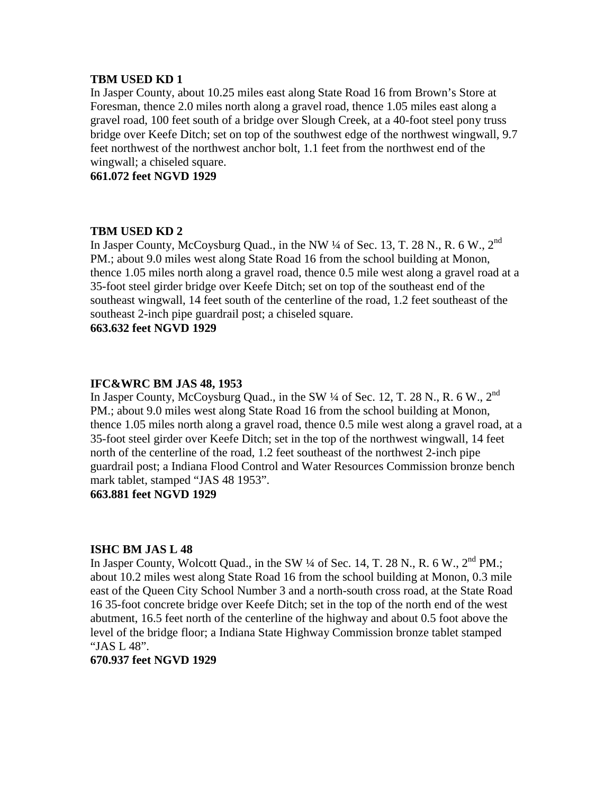# **TBM USED KD 1**

In Jasper County, about 10.25 miles east along State Road 16 from Brown's Store at Foresman, thence 2.0 miles north along a gravel road, thence 1.05 miles east along a gravel road, 100 feet south of a bridge over Slough Creek, at a 40-foot steel pony truss bridge over Keefe Ditch; set on top of the southwest edge of the northwest wingwall, 9.7 feet northwest of the northwest anchor bolt, 1.1 feet from the northwest end of the wingwall; a chiseled square.

**661.072 feet NGVD 1929**

# **TBM USED KD 2**

In Jasper County, McCoysburg Quad., in the NW  $\frac{1}{4}$  of Sec. 13, T. 28 N., R. 6 W., 2<sup>nd</sup> PM.; about 9.0 miles west along State Road 16 from the school building at Monon, thence 1.05 miles north along a gravel road, thence 0.5 mile west along a gravel road at a 35-foot steel girder bridge over Keefe Ditch; set on top of the southeast end of the southeast wingwall, 14 feet south of the centerline of the road, 1.2 feet southeast of the southeast 2-inch pipe guardrail post; a chiseled square.

**663.632 feet NGVD 1929**

# **IFC&WRC BM JAS 48, 1953**

In Jasper County, McCoysburg Quad., in the SW  $\frac{1}{4}$  of Sec. 12, T. 28 N., R. 6 W., 2<sup>nd</sup> PM.; about 9.0 miles west along State Road 16 from the school building at Monon, thence 1.05 miles north along a gravel road, thence 0.5 mile west along a gravel road, at a 35-foot steel girder over Keefe Ditch; set in the top of the northwest wingwall, 14 feet north of the centerline of the road, 1.2 feet southeast of the northwest 2-inch pipe guardrail post; a Indiana Flood Control and Water Resources Commission bronze bench mark tablet, stamped "JAS 48 1953".

# **663.881 feet NGVD 1929**

#### **ISHC BM JAS L 48**

In Jasper County, Wolcott Quad., in the SW  $\frac{1}{4}$  of Sec. 14, T. 28 N., R. 6 W.,  $2^{nd}$  PM.; about 10.2 miles west along State Road 16 from the school building at Monon, 0.3 mile east of the Queen City School Number 3 and a north-south cross road, at the State Road 16 35-foot concrete bridge over Keefe Ditch; set in the top of the north end of the west abutment, 16.5 feet north of the centerline of the highway and about 0.5 foot above the level of the bridge floor; a Indiana State Highway Commission bronze tablet stamped "JAS L 48".

#### **670.937 feet NGVD 1929**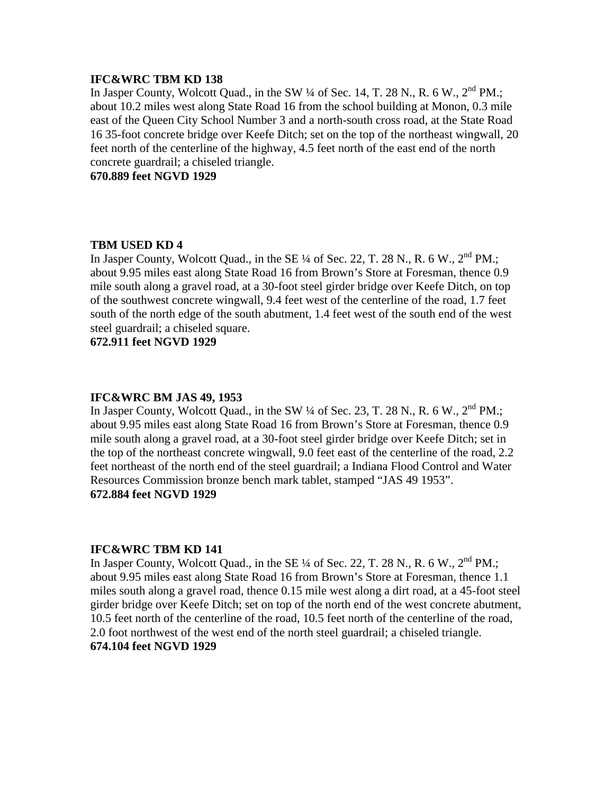# **IFC&WRC TBM KD 138**

In Jasper County, Wolcott Quad., in the SW  $\frac{1}{4}$  of Sec. 14, T. 28 N., R. 6 W.,  $2^{nd}$  PM.; about 10.2 miles west along State Road 16 from the school building at Monon, 0.3 mile east of the Queen City School Number 3 and a north-south cross road, at the State Road 16 35-foot concrete bridge over Keefe Ditch; set on the top of the northeast wingwall, 20 feet north of the centerline of the highway, 4.5 feet north of the east end of the north concrete guardrail; a chiseled triangle.

**670.889 feet NGVD 1929**

# **TBM USED KD 4**

In Jasper County, Wolcott Quad., in the SE  $\frac{1}{4}$  of Sec. 22, T. 28 N., R. 6 W.,  $2^{nd}$  PM.; about 9.95 miles east along State Road 16 from Brown's Store at Foresman, thence 0.9 mile south along a gravel road, at a 30-foot steel girder bridge over Keefe Ditch, on top of the southwest concrete wingwall, 9.4 feet west of the centerline of the road, 1.7 feet south of the north edge of the south abutment, 1.4 feet west of the south end of the west steel guardrail; a chiseled square.

**672.911 feet NGVD 1929**

#### **IFC&WRC BM JAS 49, 1953**

In Jasper County, Wolcott Quad., in the SW  $\frac{1}{4}$  of Sec. 23, T. 28 N., R. 6 W.,  $2^{nd}$  PM.; about 9.95 miles east along State Road 16 from Brown's Store at Foresman, thence 0.9 mile south along a gravel road, at a 30-foot steel girder bridge over Keefe Ditch; set in the top of the northeast concrete wingwall, 9.0 feet east of the centerline of the road, 2.2 feet northeast of the north end of the steel guardrail; a Indiana Flood Control and Water Resources Commission bronze bench mark tablet, stamped "JAS 49 1953". **672.884 feet NGVD 1929**

#### **IFC&WRC TBM KD 141**

In Jasper County, Wolcott Quad., in the SE ¼ of Sec. 22, T. 28 N., R. 6 W., 2<sup>nd</sup> PM.: about 9.95 miles east along State Road 16 from Brown's Store at Foresman, thence 1.1 miles south along a gravel road, thence 0.15 mile west along a dirt road, at a 45-foot steel girder bridge over Keefe Ditch; set on top of the north end of the west concrete abutment, 10.5 feet north of the centerline of the road, 10.5 feet north of the centerline of the road, 2.0 foot northwest of the west end of the north steel guardrail; a chiseled triangle. **674.104 feet NGVD 1929**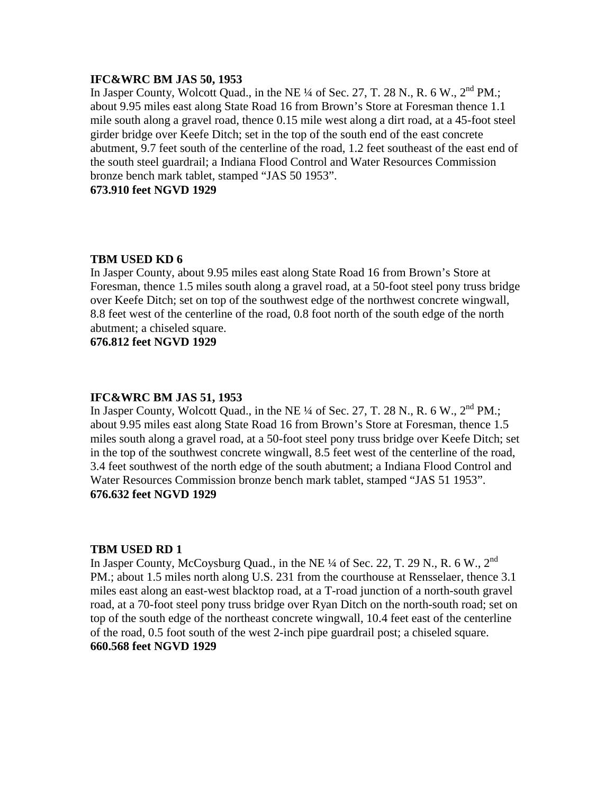#### **IFC&WRC BM JAS 50, 1953**

In Jasper County, Wolcott Quad., in the NE  $\frac{1}{4}$  of Sec. 27, T. 28 N., R. 6 W.,  $2^{nd}$  PM.; about 9.95 miles east along State Road 16 from Brown's Store at Foresman thence 1.1 mile south along a gravel road, thence 0.15 mile west along a dirt road, at a 45-foot steel girder bridge over Keefe Ditch; set in the top of the south end of the east concrete abutment, 9.7 feet south of the centerline of the road, 1.2 feet southeast of the east end of the south steel guardrail; a Indiana Flood Control and Water Resources Commission bronze bench mark tablet, stamped "JAS 50 1953".

# **673.910 feet NGVD 1929**

#### **TBM USED KD 6**

In Jasper County, about 9.95 miles east along State Road 16 from Brown's Store at Foresman, thence 1.5 miles south along a gravel road, at a 50-foot steel pony truss bridge over Keefe Ditch; set on top of the southwest edge of the northwest concrete wingwall, 8.8 feet west of the centerline of the road, 0.8 foot north of the south edge of the north abutment; a chiseled square.

**676.812 feet NGVD 1929**

#### **IFC&WRC BM JAS 51, 1953**

In Jasper County, Wolcott Quad., in the NE  $\frac{1}{4}$  of Sec. 27, T. 28 N., R. 6 W.,  $2^{nd}$  PM.; about 9.95 miles east along State Road 16 from Brown's Store at Foresman, thence 1.5 miles south along a gravel road, at a 50-foot steel pony truss bridge over Keefe Ditch; set in the top of the southwest concrete wingwall, 8.5 feet west of the centerline of the road, 3.4 feet southwest of the north edge of the south abutment; a Indiana Flood Control and Water Resources Commission bronze bench mark tablet, stamped "JAS 51 1953". **676.632 feet NGVD 1929**

#### **TBM USED RD 1**

In Jasper County, McCoysburg Quad., in the NE  $\frac{1}{4}$  of Sec. 22, T. 29 N., R. 6 W., 2<sup>nd</sup> PM.; about 1.5 miles north along U.S. 231 from the courthouse at Rensselaer, thence 3.1 miles east along an east-west blacktop road, at a T-road junction of a north-south gravel road, at a 70-foot steel pony truss bridge over Ryan Ditch on the north-south road; set on top of the south edge of the northeast concrete wingwall, 10.4 feet east of the centerline of the road, 0.5 foot south of the west 2-inch pipe guardrail post; a chiseled square. **660.568 feet NGVD 1929**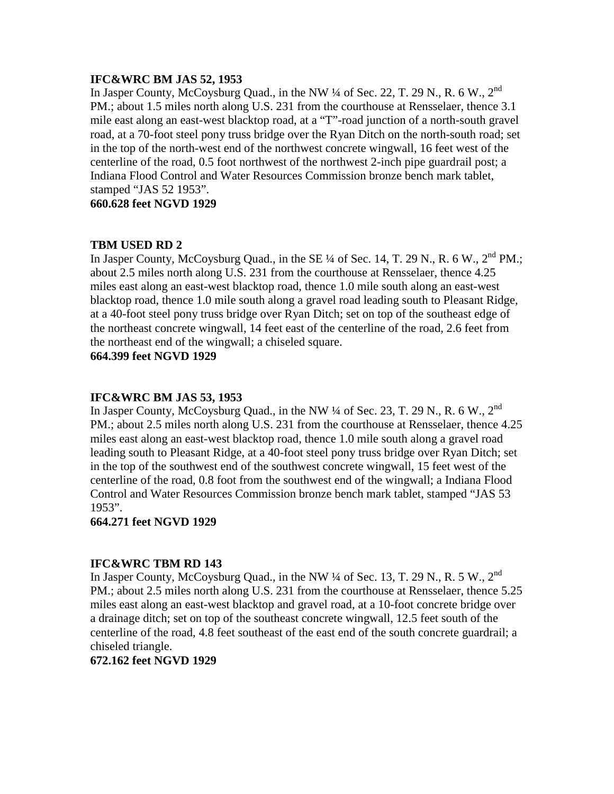#### **IFC&WRC BM JAS 52, 1953**

In Jasper County, McCoysburg Quad., in the NW  $\frac{1}{4}$  of Sec. 22, T. 29 N., R. 6 W., 2<sup>nd</sup> PM.; about 1.5 miles north along U.S. 231 from the courthouse at Rensselaer, thence 3.1 mile east along an east-west blacktop road, at a "T"-road junction of a north-south gravel road, at a 70-foot steel pony truss bridge over the Ryan Ditch on the north-south road; set in the top of the north-west end of the northwest concrete wingwall, 16 feet west of the centerline of the road, 0.5 foot northwest of the northwest 2-inch pipe guardrail post; a Indiana Flood Control and Water Resources Commission bronze bench mark tablet, stamped "JAS 52 1953".

**660.628 feet NGVD 1929**

# **TBM USED RD 2**

In Jasper County, McCoysburg Quad., in the SE  $\frac{1}{4}$  of Sec. 14, T. 29 N., R. 6 W.,  $2^{nd}$  PM.; about 2.5 miles north along U.S. 231 from the courthouse at Rensselaer, thence 4.25 miles east along an east-west blacktop road, thence 1.0 mile south along an east-west blacktop road, thence 1.0 mile south along a gravel road leading south to Pleasant Ridge, at a 40-foot steel pony truss bridge over Ryan Ditch; set on top of the southeast edge of the northeast concrete wingwall, 14 feet east of the centerline of the road, 2.6 feet from the northeast end of the wingwall; a chiseled square.

**664.399 feet NGVD 1929**

# **IFC&WRC BM JAS 53, 1953**

In Jasper County, McCoysburg Quad., in the NW  $\frac{1}{4}$  of Sec. 23, T. 29 N., R. 6 W., 2<sup>nd</sup> PM.; about 2.5 miles north along U.S. 231 from the courthouse at Rensselaer, thence 4.25 miles east along an east-west blacktop road, thence 1.0 mile south along a gravel road leading south to Pleasant Ridge, at a 40-foot steel pony truss bridge over Ryan Ditch; set in the top of the southwest end of the southwest concrete wingwall, 15 feet west of the centerline of the road, 0.8 foot from the southwest end of the wingwall; a Indiana Flood Control and Water Resources Commission bronze bench mark tablet, stamped "JAS 53 1953".

# **664.271 feet NGVD 1929**

# **IFC&WRC TBM RD 143**

In Jasper County, McCoysburg Quad., in the NW 1/4 of Sec. 13, T. 29 N., R. 5 W., 2<sup>nd</sup> PM.; about 2.5 miles north along U.S. 231 from the courthouse at Rensselaer, thence 5.25 miles east along an east-west blacktop and gravel road, at a 10-foot concrete bridge over a drainage ditch; set on top of the southeast concrete wingwall, 12.5 feet south of the centerline of the road, 4.8 feet southeast of the east end of the south concrete guardrail; a chiseled triangle.

# **672.162 feet NGVD 1929**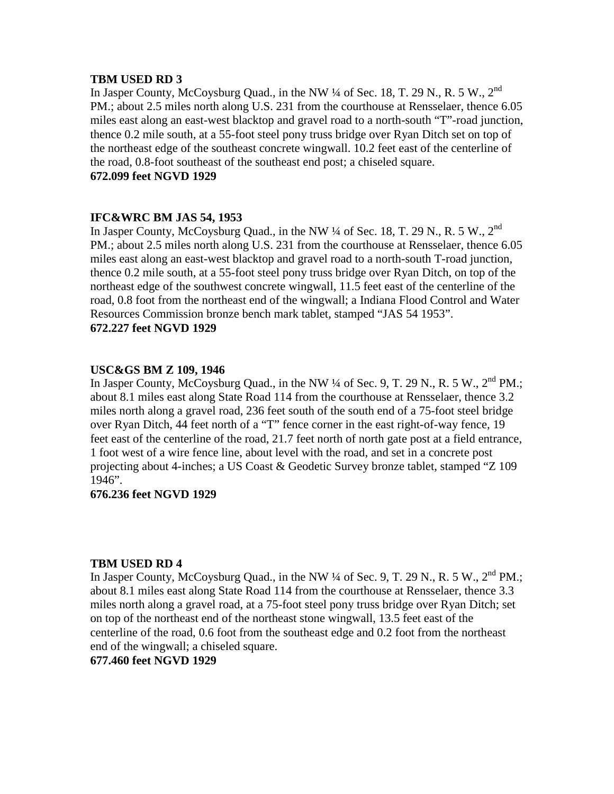# **TBM USED RD 3**

In Jasper County, McCoysburg Quad., in the NW 1/4 of Sec. 18, T. 29 N., R. 5 W., 2<sup>nd</sup> PM.; about 2.5 miles north along U.S. 231 from the courthouse at Rensselaer, thence 6.05 miles east along an east-west blacktop and gravel road to a north-south "T"-road junction, thence 0.2 mile south, at a 55-foot steel pony truss bridge over Ryan Ditch set on top of the northeast edge of the southeast concrete wingwall. 10.2 feet east of the centerline of the road, 0.8-foot southeast of the southeast end post; a chiseled square. **672.099 feet NGVD 1929**

# **IFC&WRC BM JAS 54, 1953**

In Jasper County, McCoysburg Quad., in the NW  $\frac{1}{4}$  of Sec. 18, T. 29 N., R. 5 W., 2<sup>nd</sup> PM.; about 2.5 miles north along U.S. 231 from the courthouse at Rensselaer, thence 6.05 miles east along an east-west blacktop and gravel road to a north-south T-road junction, thence 0.2 mile south, at a 55-foot steel pony truss bridge over Ryan Ditch, on top of the northeast edge of the southwest concrete wingwall, 11.5 feet east of the centerline of the road, 0.8 foot from the northeast end of the wingwall; a Indiana Flood Control and Water Resources Commission bronze bench mark tablet, stamped "JAS 54 1953". **672.227 feet NGVD 1929**

# **USC&GS BM Z 109, 1946**

In Jasper County, McCoysburg Quad., in the NW  $\frac{1}{4}$  of Sec. 9, T. 29 N., R. 5 W.,  $2^{nd}$  PM.; about 8.1 miles east along State Road 114 from the courthouse at Rensselaer, thence 3.2 miles north along a gravel road, 236 feet south of the south end of a 75-foot steel bridge over Ryan Ditch, 44 feet north of a "T" fence corner in the east right-of-way fence, 19 feet east of the centerline of the road, 21.7 feet north of north gate post at a field entrance, 1 foot west of a wire fence line, about level with the road, and set in a concrete post projecting about 4-inches; a US Coast & Geodetic Survey bronze tablet, stamped "Z 109 1946".

# **676.236 feet NGVD 1929**

#### **TBM USED RD 4**

In Jasper County, McCoysburg Quad., in the NW  $\frac{1}{4}$  of Sec. 9, T. 29 N., R. 5 W.,  $2^{nd}$  PM.; about 8.1 miles east along State Road 114 from the courthouse at Rensselaer, thence 3.3 miles north along a gravel road, at a 75-foot steel pony truss bridge over Ryan Ditch; set on top of the northeast end of the northeast stone wingwall, 13.5 feet east of the centerline of the road, 0.6 foot from the southeast edge and 0.2 foot from the northeast end of the wingwall; a chiseled square.

#### **677.460 feet NGVD 1929**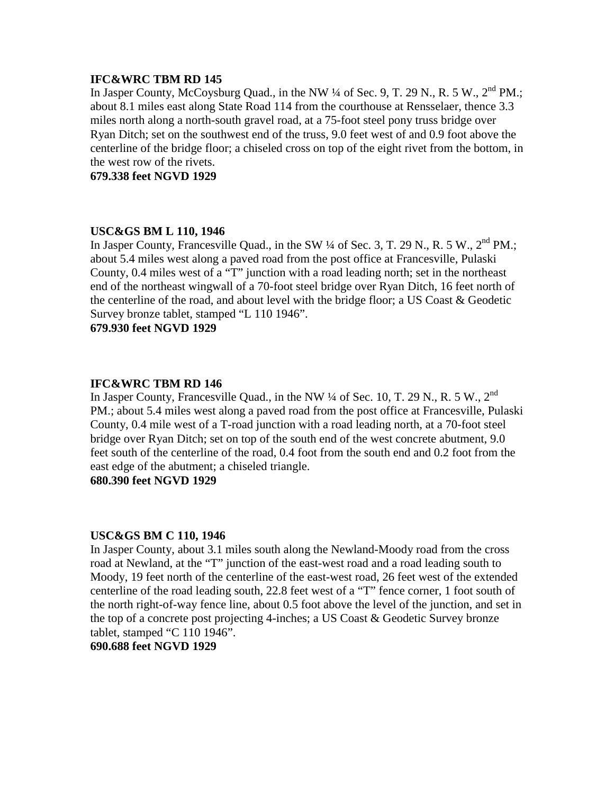# **IFC&WRC TBM RD 145**

In Jasper County, McCoysburg Quad., in the NW  $\frac{1}{4}$  of Sec. 9, T. 29 N., R. 5 W.,  $2^{nd}$  PM.; about 8.1 miles east along State Road 114 from the courthouse at Rensselaer, thence 3.3 miles north along a north-south gravel road, at a 75-foot steel pony truss bridge over Ryan Ditch; set on the southwest end of the truss, 9.0 feet west of and 0.9 foot above the centerline of the bridge floor; a chiseled cross on top of the eight rivet from the bottom, in the west row of the rivets.

**679.338 feet NGVD 1929**

# **USC&GS BM L 110, 1946**

In Jasper County, Francesville Quad., in the SW  $\frac{1}{4}$  of Sec. 3, T. 29 N., R. 5 W.,  $2<sup>nd</sup>$  PM.; about 5.4 miles west along a paved road from the post office at Francesville, Pulaski County, 0.4 miles west of a "T" junction with a road leading north; set in the northeast end of the northeast wingwall of a 70-foot steel bridge over Ryan Ditch, 16 feet north of the centerline of the road, and about level with the bridge floor; a US Coast & Geodetic Survey bronze tablet, stamped "L 110 1946".

**679.930 feet NGVD 1929**

# **IFC&WRC TBM RD 146**

In Jasper County, Francesville Quad., in the NW  $\frac{1}{4}$  of Sec. 10, T. 29 N., R. 5 W., 2<sup>nd</sup> PM.; about 5.4 miles west along a paved road from the post office at Francesville, Pulaski County, 0.4 mile west of a T-road junction with a road leading north, at a 70-foot steel bridge over Ryan Ditch; set on top of the south end of the west concrete abutment, 9.0 feet south of the centerline of the road, 0.4 foot from the south end and 0.2 foot from the east edge of the abutment; a chiseled triangle.

**680.390 feet NGVD 1929**

#### **USC&GS BM C 110, 1946**

In Jasper County, about 3.1 miles south along the Newland-Moody road from the cross road at Newland, at the "T" junction of the east-west road and a road leading south to Moody, 19 feet north of the centerline of the east-west road, 26 feet west of the extended centerline of the road leading south, 22.8 feet west of a "T" fence corner, 1 foot south of the north right-of-way fence line, about 0.5 foot above the level of the junction, and set in the top of a concrete post projecting 4-inches; a US Coast & Geodetic Survey bronze tablet, stamped "C 110 1946".

**690.688 feet NGVD 1929**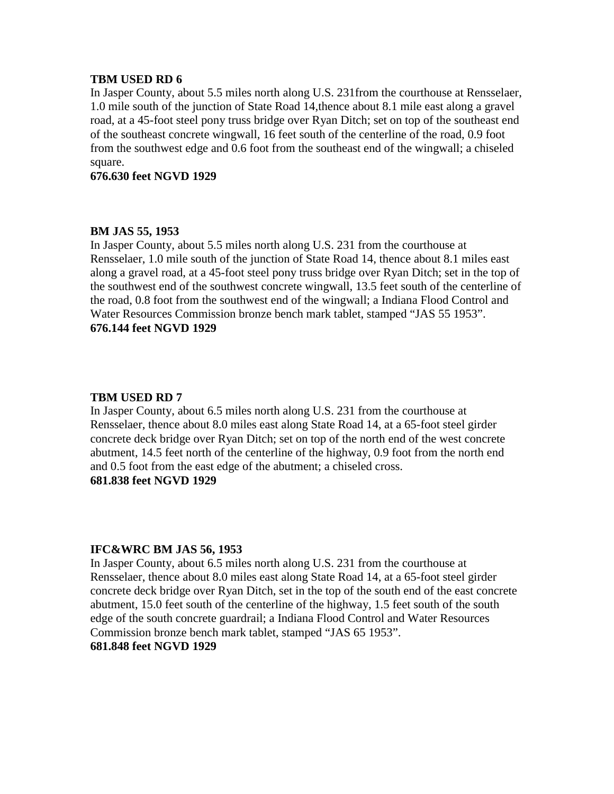# **TBM USED RD 6**

In Jasper County, about 5.5 miles north along U.S. 231from the courthouse at Rensselaer, 1.0 mile south of the junction of State Road 14,thence about 8.1 mile east along a gravel road, at a 45-foot steel pony truss bridge over Ryan Ditch; set on top of the southeast end of the southeast concrete wingwall, 16 feet south of the centerline of the road, 0.9 foot from the southwest edge and 0.6 foot from the southeast end of the wingwall; a chiseled square.

**676.630 feet NGVD 1929**

# **BM JAS 55, 1953**

In Jasper County, about 5.5 miles north along U.S. 231 from the courthouse at Rensselaer, 1.0 mile south of the junction of State Road 14, thence about 8.1 miles east along a gravel road, at a 45-foot steel pony truss bridge over Ryan Ditch; set in the top of the southwest end of the southwest concrete wingwall, 13.5 feet south of the centerline of the road, 0.8 foot from the southwest end of the wingwall; a Indiana Flood Control and Water Resources Commission bronze bench mark tablet, stamped "JAS 55 1953". **676.144 feet NGVD 1929**

# **TBM USED RD 7**

In Jasper County, about 6.5 miles north along U.S. 231 from the courthouse at Rensselaer, thence about 8.0 miles east along State Road 14, at a 65-foot steel girder concrete deck bridge over Ryan Ditch; set on top of the north end of the west concrete abutment, 14.5 feet north of the centerline of the highway, 0.9 foot from the north end and 0.5 foot from the east edge of the abutment; a chiseled cross. **681.838 feet NGVD 1929**

#### **IFC&WRC BM JAS 56, 1953**

In Jasper County, about 6.5 miles north along U.S. 231 from the courthouse at Rensselaer, thence about 8.0 miles east along State Road 14, at a 65-foot steel girder concrete deck bridge over Ryan Ditch, set in the top of the south end of the east concrete abutment, 15.0 feet south of the centerline of the highway, 1.5 feet south of the south edge of the south concrete guardrail; a Indiana Flood Control and Water Resources Commission bronze bench mark tablet, stamped "JAS 65 1953". **681.848 feet NGVD 1929**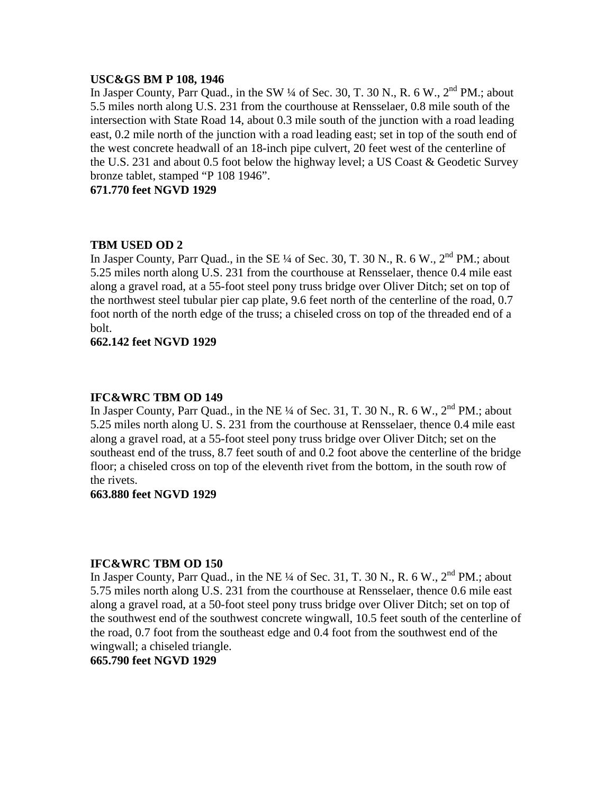#### **USC&GS BM P 108, 1946**

In Jasper County, Parr Quad., in the SW  $\frac{1}{4}$  of Sec. 30, T. 30 N., R. 6 W.,  $2^{nd}$  PM.; about 5.5 miles north along U.S. 231 from the courthouse at Rensselaer, 0.8 mile south of the intersection with State Road 14, about 0.3 mile south of the junction with a road leading east, 0.2 mile north of the junction with a road leading east; set in top of the south end of the west concrete headwall of an 18-inch pipe culvert, 20 feet west of the centerline of the U.S. 231 and about 0.5 foot below the highway level; a US Coast & Geodetic Survey bronze tablet, stamped "P 108 1946".

**671.770 feet NGVD 1929**

# **TBM USED OD 2**

In Jasper County, Parr Quad., in the SE  $\frac{1}{4}$  of Sec. 30, T. 30 N., R. 6 W.,  $2^{nd}$  PM.; about 5.25 miles north along U.S. 231 from the courthouse at Rensselaer, thence 0.4 mile east along a gravel road, at a 55-foot steel pony truss bridge over Oliver Ditch; set on top of the northwest steel tubular pier cap plate, 9.6 feet north of the centerline of the road, 0.7 foot north of the north edge of the truss; a chiseled cross on top of the threaded end of a bolt.

**662.142 feet NGVD 1929**

#### **IFC&WRC TBM OD 149**

In Jasper County, Parr Quad., in the NE  $\frac{1}{4}$  of Sec. 31, T. 30 N., R. 6 W.,  $2^{nd}$  PM.; about 5.25 miles north along U. S. 231 from the courthouse at Rensselaer, thence 0.4 mile east along a gravel road, at a 55-foot steel pony truss bridge over Oliver Ditch; set on the southeast end of the truss, 8.7 feet south of and 0.2 foot above the centerline of the bridge floor; a chiseled cross on top of the eleventh rivet from the bottom, in the south row of the rivets.

#### **663.880 feet NGVD 1929**

## **IFC&WRC TBM OD 150**

In Jasper County, Parr Quad., in the NE  $\frac{1}{4}$  of Sec. 31, T. 30 N., R. 6 W.,  $2^{nd}$  PM.; about 5.75 miles north along U.S. 231 from the courthouse at Rensselaer, thence 0.6 mile east along a gravel road, at a 50-foot steel pony truss bridge over Oliver Ditch; set on top of the southwest end of the southwest concrete wingwall, 10.5 feet south of the centerline of the road, 0.7 foot from the southeast edge and 0.4 foot from the southwest end of the wingwall; a chiseled triangle.

**665.790 feet NGVD 1929**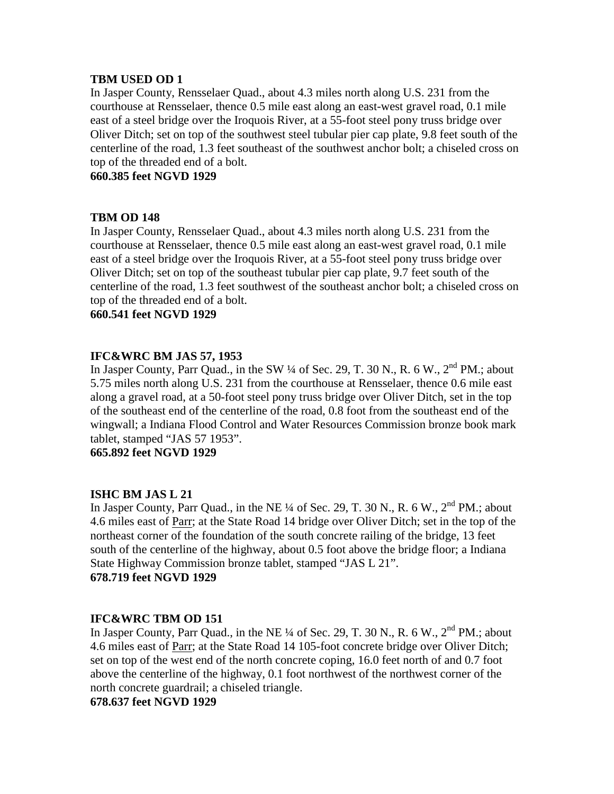# **TBM USED OD 1**

In Jasper County, Rensselaer Quad., about 4.3 miles north along U.S. 231 from the courthouse at Rensselaer, thence 0.5 mile east along an east-west gravel road, 0.1 mile east of a steel bridge over the Iroquois River, at a 55-foot steel pony truss bridge over Oliver Ditch; set on top of the southwest steel tubular pier cap plate, 9.8 feet south of the centerline of the road, 1.3 feet southeast of the southwest anchor bolt; a chiseled cross on top of the threaded end of a bolt.

**660.385 feet NGVD 1929**

# **TBM OD 148**

In Jasper County, Rensselaer Quad., about 4.3 miles north along U.S. 231 from the courthouse at Rensselaer, thence 0.5 mile east along an east-west gravel road, 0.1 mile east of a steel bridge over the Iroquois River, at a 55-foot steel pony truss bridge over Oliver Ditch; set on top of the southeast tubular pier cap plate, 9.7 feet south of the centerline of the road, 1.3 feet southwest of the southeast anchor bolt; a chiseled cross on top of the threaded end of a bolt.

**660.541 feet NGVD 1929**

# **IFC&WRC BM JAS 57, 1953**

In Jasper County, Parr Quad., in the SW  $\frac{1}{4}$  of Sec. 29, T. 30 N., R. 6 W.,  $2^{nd}$  PM.; about 5.75 miles north along U.S. 231 from the courthouse at Rensselaer, thence 0.6 mile east along a gravel road, at a 50-foot steel pony truss bridge over Oliver Ditch, set in the top of the southeast end of the centerline of the road, 0.8 foot from the southeast end of the wingwall; a Indiana Flood Control and Water Resources Commission bronze book mark tablet, stamped "JAS 57 1953".

**665.892 feet NGVD 1929**

# **ISHC BM JAS L 21**

In Jasper County, Parr Quad., in the NE  $\frac{1}{4}$  of Sec. 29, T. 30 N., R. 6 W.,  $2^{nd}$  PM.; about 4.6 miles east of Parr; at the State Road 14 bridge over Oliver Ditch; set in the top of the northeast corner of the foundation of the south concrete railing of the bridge, 13 feet south of the centerline of the highway, about 0.5 foot above the bridge floor; a Indiana State Highway Commission bronze tablet, stamped "JAS L 21". **678.719 feet NGVD 1929**

#### **IFC&WRC TBM OD 151**

In Jasper County, Parr Quad., in the NE  $\frac{1}{4}$  of Sec. 29, T. 30 N., R. 6 W.,  $2<sup>nd</sup>$  PM.; about 4.6 miles east of Parr; at the State Road 14 105-foot concrete bridge over Oliver Ditch; set on top of the west end of the north concrete coping, 16.0 feet north of and 0.7 foot above the centerline of the highway, 0.1 foot northwest of the northwest corner of the north concrete guardrail; a chiseled triangle.

#### **678.637 feet NGVD 1929**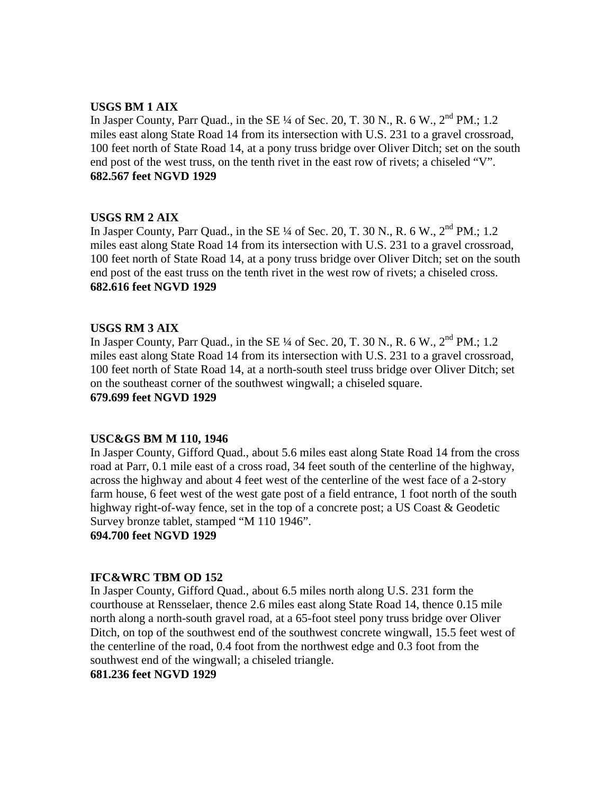# **USGS BM 1 AIX**

In Jasper County, Parr Quad., in the SE  $\frac{1}{4}$  of Sec. 20, T. 30 N., R. 6 W.,  $2^{nd}$  PM.: 1.2 miles east along State Road 14 from its intersection with U.S. 231 to a gravel crossroad, 100 feet north of State Road 14, at a pony truss bridge over Oliver Ditch; set on the south end post of the west truss, on the tenth rivet in the east row of rivets; a chiseled "V". **682.567 feet NGVD 1929**

# **USGS RM 2 AIX**

In Jasper County, Parr Quad., in the SE  $\frac{1}{4}$  of Sec. 20, T. 30 N., R. 6 W.,  $2^{nd}$  PM.; 1.2 miles east along State Road 14 from its intersection with U.S. 231 to a gravel crossroad, 100 feet north of State Road 14, at a pony truss bridge over Oliver Ditch; set on the south end post of the east truss on the tenth rivet in the west row of rivets; a chiseled cross. **682.616 feet NGVD 1929**

# **USGS RM 3 AIX**

In Jasper County, Parr Quad., in the SE  $\frac{1}{4}$  of Sec. 20, T. 30 N., R. 6 W.,  $2^{nd}$  PM.; 1.2 miles east along State Road 14 from its intersection with U.S. 231 to a gravel crossroad, 100 feet north of State Road 14, at a north-south steel truss bridge over Oliver Ditch; set on the southeast corner of the southwest wingwall; a chiseled square. **679.699 feet NGVD 1929**

#### **USC&GS BM M 110, 1946**

In Jasper County, Gifford Quad., about 5.6 miles east along State Road 14 from the cross road at Parr, 0.1 mile east of a cross road, 34 feet south of the centerline of the highway, across the highway and about 4 feet west of the centerline of the west face of a 2-story farm house, 6 feet west of the west gate post of a field entrance, 1 foot north of the south highway right-of-way fence, set in the top of a concrete post; a US Coast & Geodetic Survey bronze tablet, stamped "M 110 1946".

**694.700 feet NGVD 1929**

#### **IFC&WRC TBM OD 152**

In Jasper County, Gifford Quad., about 6.5 miles north along U.S. 231 form the courthouse at Rensselaer, thence 2.6 miles east along State Road 14, thence 0.15 mile north along a north-south gravel road, at a 65-foot steel pony truss bridge over Oliver Ditch, on top of the southwest end of the southwest concrete wingwall, 15.5 feet west of the centerline of the road, 0.4 foot from the northwest edge and 0.3 foot from the southwest end of the wingwall; a chiseled triangle.

#### **681.236 feet NGVD 1929**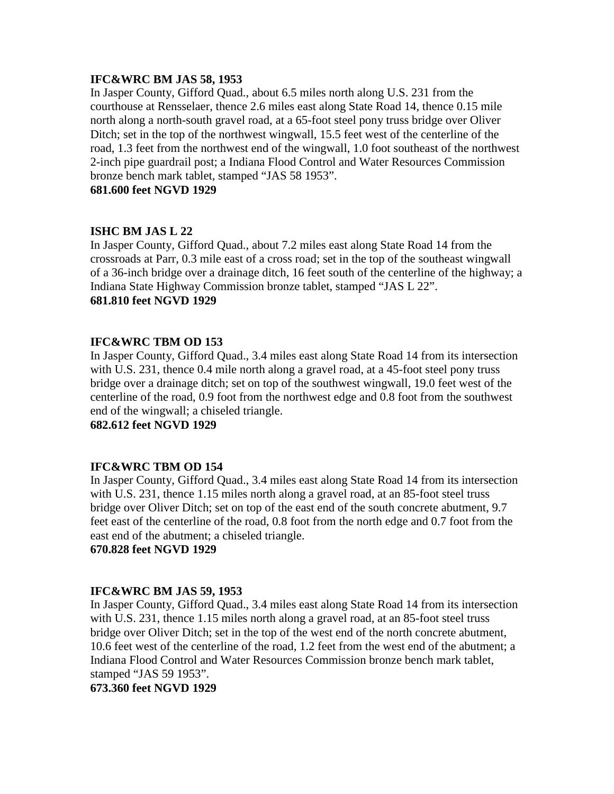# **IFC&WRC BM JAS 58, 1953**

In Jasper County, Gifford Quad., about 6.5 miles north along U.S. 231 from the courthouse at Rensselaer, thence 2.6 miles east along State Road 14, thence 0.15 mile north along a north-south gravel road, at a 65-foot steel pony truss bridge over Oliver Ditch; set in the top of the northwest wingwall, 15.5 feet west of the centerline of the road, 1.3 feet from the northwest end of the wingwall, 1.0 foot southeast of the northwest 2-inch pipe guardrail post; a Indiana Flood Control and Water Resources Commission bronze bench mark tablet, stamped "JAS 58 1953".

**681.600 feet NGVD 1929**

# **ISHC BM JAS L 22**

In Jasper County, Gifford Quad., about 7.2 miles east along State Road 14 from the crossroads at Parr, 0.3 mile east of a cross road; set in the top of the southeast wingwall of a 36-inch bridge over a drainage ditch, 16 feet south of the centerline of the highway; a Indiana State Highway Commission bronze tablet, stamped "JAS L 22". **681.810 feet NGVD 1929**

# **IFC&WRC TBM OD 153**

In Jasper County, Gifford Quad., 3.4 miles east along State Road 14 from its intersection with U.S. 231, thence 0.4 mile north along a gravel road, at a 45-foot steel pony truss bridge over a drainage ditch; set on top of the southwest wingwall, 19.0 feet west of the centerline of the road, 0.9 foot from the northwest edge and 0.8 foot from the southwest end of the wingwall; a chiseled triangle.

**682.612 feet NGVD 1929**

#### **IFC&WRC TBM OD 154**

In Jasper County, Gifford Quad., 3.4 miles east along State Road 14 from its intersection with U.S. 231, thence 1.15 miles north along a gravel road, at an 85-foot steel truss bridge over Oliver Ditch; set on top of the east end of the south concrete abutment, 9.7 feet east of the centerline of the road, 0.8 foot from the north edge and 0.7 foot from the east end of the abutment; a chiseled triangle.

**670.828 feet NGVD 1929**

#### **IFC&WRC BM JAS 59, 1953**

In Jasper County, Gifford Quad., 3.4 miles east along State Road 14 from its intersection with U.S. 231, thence 1.15 miles north along a gravel road, at an 85-foot steel truss bridge over Oliver Ditch; set in the top of the west end of the north concrete abutment, 10.6 feet west of the centerline of the road, 1.2 feet from the west end of the abutment; a Indiana Flood Control and Water Resources Commission bronze bench mark tablet, stamped "JAS 59 1953".

**673.360 feet NGVD 1929**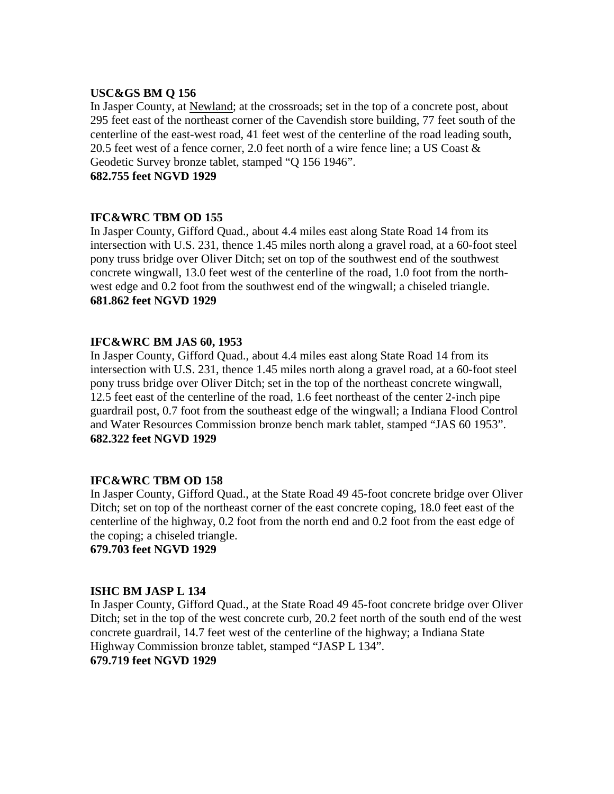# **USC&GS BM Q 156**

In Jasper County, at Newland; at the crossroads; set in the top of a concrete post, about 295 feet east of the northeast corner of the Cavendish store building, 77 feet south of the centerline of the east-west road, 41 feet west of the centerline of the road leading south, 20.5 feet west of a fence corner, 2.0 feet north of a wire fence line; a US Coast & Geodetic Survey bronze tablet, stamped "Q 156 1946".

**682.755 feet NGVD 1929**

# **IFC&WRC TBM OD 155**

In Jasper County, Gifford Quad., about 4.4 miles east along State Road 14 from its intersection with U.S. 231, thence 1.45 miles north along a gravel road, at a 60-foot steel pony truss bridge over Oliver Ditch; set on top of the southwest end of the southwest concrete wingwall, 13.0 feet west of the centerline of the road, 1.0 foot from the northwest edge and 0.2 foot from the southwest end of the wingwall; a chiseled triangle. **681.862 feet NGVD 1929**

# **IFC&WRC BM JAS 60, 1953**

In Jasper County, Gifford Quad., about 4.4 miles east along State Road 14 from its intersection with U.S. 231, thence 1.45 miles north along a gravel road, at a 60-foot steel pony truss bridge over Oliver Ditch; set in the top of the northeast concrete wingwall, 12.5 feet east of the centerline of the road, 1.6 feet northeast of the center 2-inch pipe guardrail post, 0.7 foot from the southeast edge of the wingwall; a Indiana Flood Control and Water Resources Commission bronze bench mark tablet, stamped "JAS 60 1953". **682.322 feet NGVD 1929**

# **IFC&WRC TBM OD 158**

In Jasper County, Gifford Quad., at the State Road 49 45-foot concrete bridge over Oliver Ditch; set on top of the northeast corner of the east concrete coping, 18.0 feet east of the centerline of the highway, 0.2 foot from the north end and 0.2 foot from the east edge of the coping; a chiseled triangle.

**679.703 feet NGVD 1929**

# **ISHC BM JASP L 134**

In Jasper County, Gifford Quad., at the State Road 49 45-foot concrete bridge over Oliver Ditch; set in the top of the west concrete curb, 20.2 feet north of the south end of the west concrete guardrail, 14.7 feet west of the centerline of the highway; a Indiana State Highway Commission bronze tablet, stamped "JASP L 134". **679.719 feet NGVD 1929**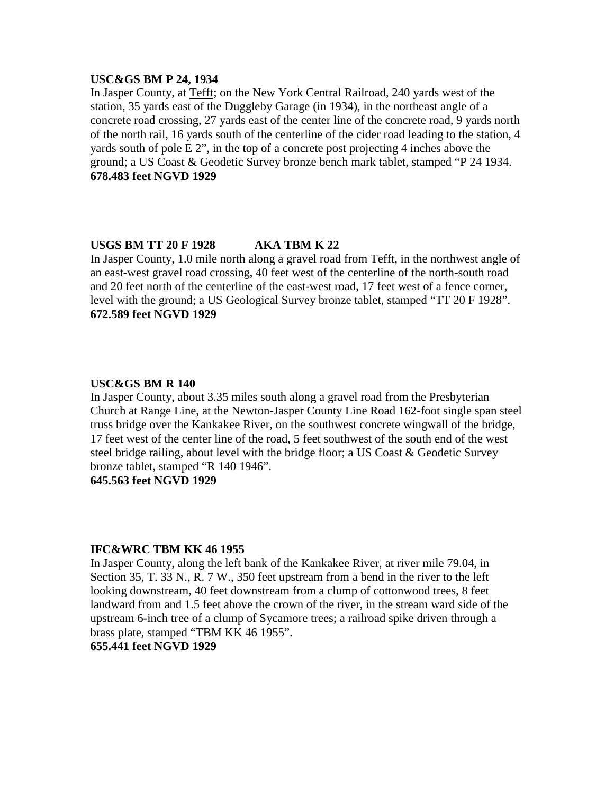#### **USC&GS BM P 24, 1934**

In Jasper County, at Tefft; on the New York Central Railroad, 240 yards west of the station, 35 yards east of the Duggleby Garage (in 1934), in the northeast angle of a concrete road crossing, 27 yards east of the center line of the concrete road, 9 yards north of the north rail, 16 yards south of the centerline of the cider road leading to the station, 4 yards south of pole E 2", in the top of a concrete post projecting 4 inches above the ground; a US Coast & Geodetic Survey bronze bench mark tablet, stamped "P 24 1934. **678.483 feet NGVD 1929**

# **USGS BM TT 20 F 1928 AKA TBM K 22**

In Jasper County, 1.0 mile north along a gravel road from Tefft, in the northwest angle of an east-west gravel road crossing, 40 feet west of the centerline of the north-south road and 20 feet north of the centerline of the east-west road, 17 feet west of a fence corner, level with the ground; a US Geological Survey bronze tablet, stamped "TT 20 F 1928". **672.589 feet NGVD 1929**

#### **USC&GS BM R 140**

In Jasper County, about 3.35 miles south along a gravel road from the Presbyterian Church at Range Line, at the Newton-Jasper County Line Road 162-foot single span steel truss bridge over the Kankakee River, on the southwest concrete wingwall of the bridge, 17 feet west of the center line of the road, 5 feet southwest of the south end of the west steel bridge railing, about level with the bridge floor; a US Coast & Geodetic Survey bronze tablet, stamped "R 140 1946".

**645.563 feet NGVD 1929**

#### **IFC&WRC TBM KK 46 1955**

In Jasper County, along the left bank of the Kankakee River, at river mile 79.04, in Section 35, T. 33 N., R. 7 W., 350 feet upstream from a bend in the river to the left looking downstream, 40 feet downstream from a clump of cottonwood trees, 8 feet landward from and 1.5 feet above the crown of the river, in the stream ward side of the upstream 6-inch tree of a clump of Sycamore trees; a railroad spike driven through a brass plate, stamped "TBM KK 46 1955".

# **655.441 feet NGVD 1929**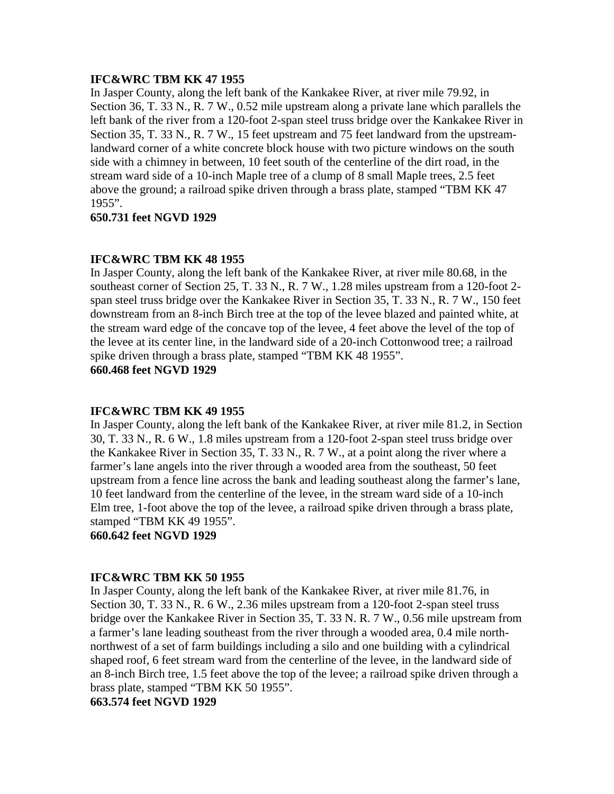# **IFC&WRC TBM KK 47 1955**

In Jasper County, along the left bank of the Kankakee River, at river mile 79.92, in Section 36, T. 33 N., R. 7 W., 0.52 mile upstream along a private lane which parallels the left bank of the river from a 120-foot 2-span steel truss bridge over the Kankakee River in Section 35, T. 33 N., R. 7 W., 15 feet upstream and 75 feet landward from the upstreamlandward corner of a white concrete block house with two picture windows on the south side with a chimney in between, 10 feet south of the centerline of the dirt road, in the stream ward side of a 10-inch Maple tree of a clump of 8 small Maple trees, 2.5 feet above the ground; a railroad spike driven through a brass plate, stamped "TBM KK 47 1955".

# **650.731 feet NGVD 1929**

# **IFC&WRC TBM KK 48 1955**

In Jasper County, along the left bank of the Kankakee River, at river mile 80.68, in the southeast corner of Section 25, T. 33 N., R. 7 W., 1.28 miles upstream from a 120-foot 2 span steel truss bridge over the Kankakee River in Section 35, T. 33 N., R. 7 W., 150 feet downstream from an 8-inch Birch tree at the top of the levee blazed and painted white, at the stream ward edge of the concave top of the levee, 4 feet above the level of the top of the levee at its center line, in the landward side of a 20-inch Cottonwood tree; a railroad spike driven through a brass plate, stamped "TBM KK 48 1955".

**660.468 feet NGVD 1929**

#### **IFC&WRC TBM KK 49 1955**

In Jasper County, along the left bank of the Kankakee River, at river mile 81.2, in Section 30, T. 33 N., R. 6 W., 1.8 miles upstream from a 120-foot 2-span steel truss bridge over the Kankakee River in Section 35, T. 33 N., R. 7 W., at a point along the river where a farmer's lane angels into the river through a wooded area from the southeast, 50 feet upstream from a fence line across the bank and leading southeast along the farmer's lane, 10 feet landward from the centerline of the levee, in the stream ward side of a 10-inch Elm tree, 1-foot above the top of the levee, a railroad spike driven through a brass plate, stamped "TBM KK 49 1955".

**660.642 feet NGVD 1929**

#### **IFC&WRC TBM KK 50 1955**

In Jasper County, along the left bank of the Kankakee River, at river mile 81.76, in Section 30, T. 33 N., R. 6 W., 2.36 miles upstream from a 120-foot 2-span steel truss bridge over the Kankakee River in Section 35, T. 33 N. R. 7 W., 0.56 mile upstream from a farmer's lane leading southeast from the river through a wooded area, 0.4 mile northnorthwest of a set of farm buildings including a silo and one building with a cylindrical shaped roof, 6 feet stream ward from the centerline of the levee, in the landward side of an 8-inch Birch tree, 1.5 feet above the top of the levee; a railroad spike driven through a brass plate, stamped "TBM KK 50 1955".

**663.574 feet NGVD 1929**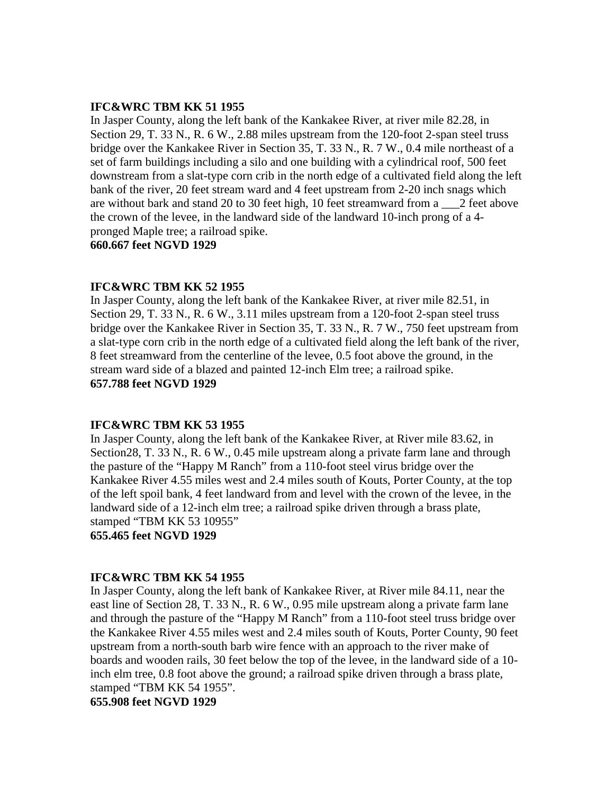#### **IFC&WRC TBM KK 51 1955**

In Jasper County, along the left bank of the Kankakee River, at river mile 82.28, in Section 29, T. 33 N., R. 6 W., 2.88 miles upstream from the 120-foot 2-span steel truss bridge over the Kankakee River in Section 35, T. 33 N., R. 7 W., 0.4 mile northeast of a set of farm buildings including a silo and one building with a cylindrical roof, 500 feet downstream from a slat-type corn crib in the north edge of a cultivated field along the left bank of the river, 20 feet stream ward and 4 feet upstream from 2-20 inch snags which are without bark and stand 20 to 30 feet high, 10 feet streamward from a \_\_\_2 feet above the crown of the levee, in the landward side of the landward 10-inch prong of a 4 pronged Maple tree; a railroad spike.

**660.667 feet NGVD 1929**

# **IFC&WRC TBM KK 52 1955**

In Jasper County, along the left bank of the Kankakee River, at river mile 82.51, in Section 29, T. 33 N., R. 6 W., 3.11 miles upstream from a 120-foot 2-span steel truss bridge over the Kankakee River in Section 35, T. 33 N., R. 7 W., 750 feet upstream from a slat-type corn crib in the north edge of a cultivated field along the left bank of the river, 8 feet streamward from the centerline of the levee, 0.5 foot above the ground, in the stream ward side of a blazed and painted 12-inch Elm tree; a railroad spike. **657.788 feet NGVD 1929**

#### **IFC&WRC TBM KK 53 1955**

In Jasper County, along the left bank of the Kankakee River, at River mile 83.62, in Section28, T. 33 N., R. 6 W., 0.45 mile upstream along a private farm lane and through the pasture of the "Happy M Ranch" from a 110-foot steel virus bridge over the Kankakee River 4.55 miles west and 2.4 miles south of Kouts, Porter County, at the top of the left spoil bank, 4 feet landward from and level with the crown of the levee, in the landward side of a 12-inch elm tree; a railroad spike driven through a brass plate, stamped "TBM KK 53 10955"

**655.465 feet NGVD 1929**

#### **IFC&WRC TBM KK 54 1955**

In Jasper County, along the left bank of Kankakee River, at River mile 84.11, near the east line of Section 28, T. 33 N., R. 6 W., 0.95 mile upstream along a private farm lane and through the pasture of the "Happy M Ranch" from a 110-foot steel truss bridge over the Kankakee River 4.55 miles west and 2.4 miles south of Kouts, Porter County, 90 feet upstream from a north-south barb wire fence with an approach to the river make of boards and wooden rails, 30 feet below the top of the levee, in the landward side of a 10 inch elm tree, 0.8 foot above the ground; a railroad spike driven through a brass plate, stamped "TBM KK 54 1955".

**655.908 feet NGVD 1929**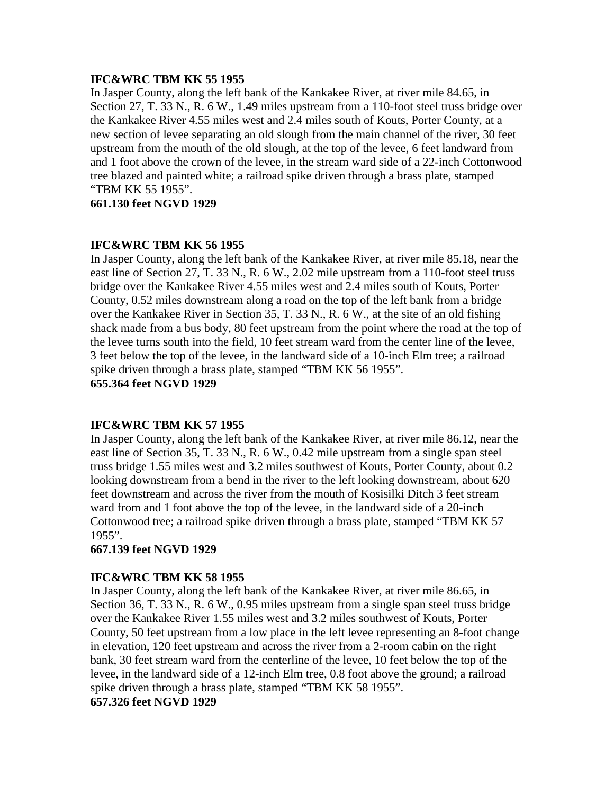# **IFC&WRC TBM KK 55 1955**

In Jasper County, along the left bank of the Kankakee River, at river mile 84.65, in Section 27, T. 33 N., R. 6 W., 1.49 miles upstream from a 110-foot steel truss bridge over the Kankakee River 4.55 miles west and 2.4 miles south of Kouts, Porter County, at a new section of levee separating an old slough from the main channel of the river, 30 feet upstream from the mouth of the old slough, at the top of the levee, 6 feet landward from and 1 foot above the crown of the levee, in the stream ward side of a 22-inch Cottonwood tree blazed and painted white; a railroad spike driven through a brass plate, stamped "TBM KK 55 1955".

**661.130 feet NGVD 1929**

# **IFC&WRC TBM KK 56 1955**

In Jasper County, along the left bank of the Kankakee River, at river mile 85.18, near the east line of Section 27, T. 33 N., R. 6 W., 2.02 mile upstream from a 110-foot steel truss bridge over the Kankakee River 4.55 miles west and 2.4 miles south of Kouts, Porter County, 0.52 miles downstream along a road on the top of the left bank from a bridge over the Kankakee River in Section 35, T. 33 N., R. 6 W., at the site of an old fishing shack made from a bus body, 80 feet upstream from the point where the road at the top of the levee turns south into the field, 10 feet stream ward from the center line of the levee, 3 feet below the top of the levee, in the landward side of a 10-inch Elm tree; a railroad spike driven through a brass plate, stamped "TBM KK 56 1955". **655.364 feet NGVD 1929**

# **IFC&WRC TBM KK 57 1955**

In Jasper County, along the left bank of the Kankakee River, at river mile 86.12, near the east line of Section 35, T. 33 N., R. 6 W., 0.42 mile upstream from a single span steel truss bridge 1.55 miles west and 3.2 miles southwest of Kouts, Porter County, about 0.2 looking downstream from a bend in the river to the left looking downstream, about 620 feet downstream and across the river from the mouth of Kosisilki Ditch 3 feet stream ward from and 1 foot above the top of the levee, in the landward side of a 20-inch Cottonwood tree; a railroad spike driven through a brass plate, stamped "TBM KK 57 1955".

# **667.139 feet NGVD 1929**

# **IFC&WRC TBM KK 58 1955**

In Jasper County, along the left bank of the Kankakee River, at river mile 86.65, in Section 36, T. 33 N., R. 6 W., 0.95 miles upstream from a single span steel truss bridge over the Kankakee River 1.55 miles west and 3.2 miles southwest of Kouts, Porter County, 50 feet upstream from a low place in the left levee representing an 8-foot change in elevation, 120 feet upstream and across the river from a 2-room cabin on the right bank, 30 feet stream ward from the centerline of the levee, 10 feet below the top of the levee, in the landward side of a 12-inch Elm tree, 0.8 foot above the ground; a railroad spike driven through a brass plate, stamped "TBM KK 58 1955".

# **657.326 feet NGVD 1929**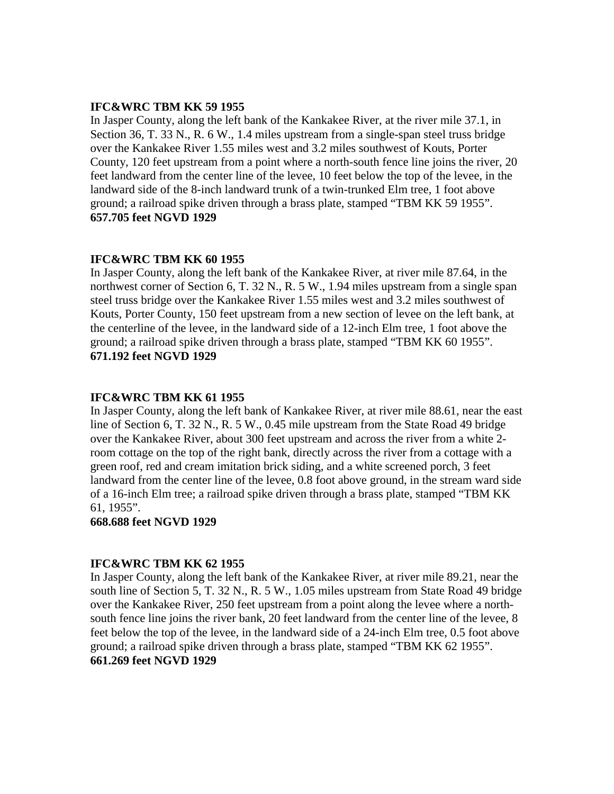#### **IFC&WRC TBM KK 59 1955**

In Jasper County, along the left bank of the Kankakee River, at the river mile 37.1, in Section 36, T. 33 N., R. 6 W., 1.4 miles upstream from a single-span steel truss bridge over the Kankakee River 1.55 miles west and 3.2 miles southwest of Kouts, Porter County, 120 feet upstream from a point where a north-south fence line joins the river, 20 feet landward from the center line of the levee, 10 feet below the top of the levee, in the landward side of the 8-inch landward trunk of a twin-trunked Elm tree, 1 foot above ground; a railroad spike driven through a brass plate, stamped "TBM KK 59 1955". **657.705 feet NGVD 1929**

# **IFC&WRC TBM KK 60 1955**

In Jasper County, along the left bank of the Kankakee River, at river mile 87.64, in the northwest corner of Section 6, T. 32 N., R. 5 W., 1.94 miles upstream from a single span steel truss bridge over the Kankakee River 1.55 miles west and 3.2 miles southwest of Kouts, Porter County, 150 feet upstream from a new section of levee on the left bank, at the centerline of the levee, in the landward side of a 12-inch Elm tree, 1 foot above the ground; a railroad spike driven through a brass plate, stamped "TBM KK 60 1955". **671.192 feet NGVD 1929**

# **IFC&WRC TBM KK 61 1955**

In Jasper County, along the left bank of Kankakee River, at river mile 88.61, near the east line of Section 6, T. 32 N., R. 5 W., 0.45 mile upstream from the State Road 49 bridge over the Kankakee River, about 300 feet upstream and across the river from a white 2 room cottage on the top of the right bank, directly across the river from a cottage with a green roof, red and cream imitation brick siding, and a white screened porch, 3 feet landward from the center line of the levee, 0.8 foot above ground, in the stream ward side of a 16-inch Elm tree; a railroad spike driven through a brass plate, stamped "TBM KK 61, 1955".

#### **668.688 feet NGVD 1929**

#### **IFC&WRC TBM KK 62 1955**

In Jasper County, along the left bank of the Kankakee River, at river mile 89.21, near the south line of Section 5, T. 32 N., R. 5 W., 1.05 miles upstream from State Road 49 bridge over the Kankakee River, 250 feet upstream from a point along the levee where a northsouth fence line joins the river bank, 20 feet landward from the center line of the levee, 8 feet below the top of the levee, in the landward side of a 24-inch Elm tree, 0.5 foot above ground; a railroad spike driven through a brass plate, stamped "TBM KK 62 1955". **661.269 feet NGVD 1929**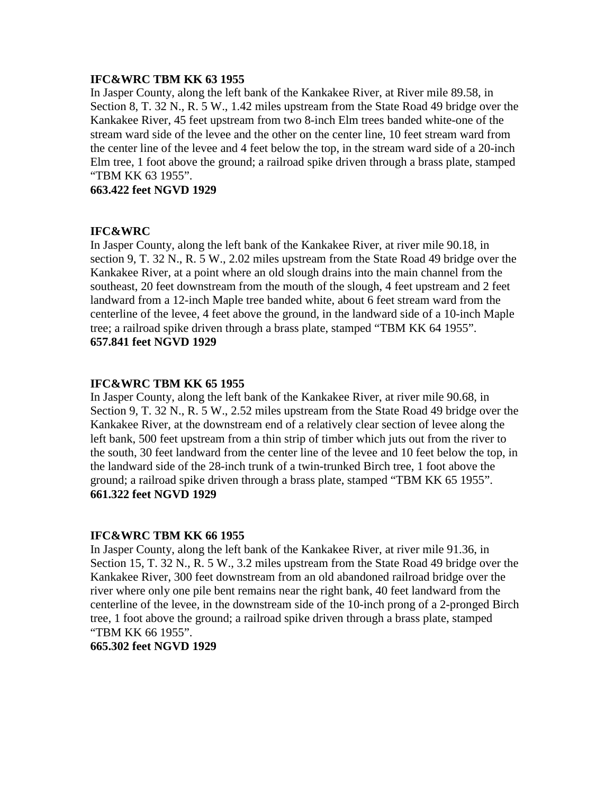# **IFC&WRC TBM KK 63 1955**

In Jasper County, along the left bank of the Kankakee River, at River mile 89.58, in Section 8, T. 32 N., R. 5 W., 1.42 miles upstream from the State Road 49 bridge over the Kankakee River, 45 feet upstream from two 8-inch Elm trees banded white-one of the stream ward side of the levee and the other on the center line, 10 feet stream ward from the center line of the levee and 4 feet below the top, in the stream ward side of a 20-inch Elm tree, 1 foot above the ground; a railroad spike driven through a brass plate, stamped "TBM KK 63 1955".

# **663.422 feet NGVD 1929**

# **IFC&WRC**

In Jasper County, along the left bank of the Kankakee River, at river mile 90.18, in section 9, T. 32 N., R. 5 W., 2.02 miles upstream from the State Road 49 bridge over the Kankakee River, at a point where an old slough drains into the main channel from the southeast, 20 feet downstream from the mouth of the slough, 4 feet upstream and 2 feet landward from a 12-inch Maple tree banded white, about 6 feet stream ward from the centerline of the levee, 4 feet above the ground, in the landward side of a 10-inch Maple tree; a railroad spike driven through a brass plate, stamped "TBM KK 64 1955". **657.841 feet NGVD 1929**

# **IFC&WRC TBM KK 65 1955**

In Jasper County, along the left bank of the Kankakee River, at river mile 90.68, in Section 9, T. 32 N., R. 5 W., 2.52 miles upstream from the State Road 49 bridge over the Kankakee River, at the downstream end of a relatively clear section of levee along the left bank, 500 feet upstream from a thin strip of timber which juts out from the river to the south, 30 feet landward from the center line of the levee and 10 feet below the top, in the landward side of the 28-inch trunk of a twin-trunked Birch tree, 1 foot above the ground; a railroad spike driven through a brass plate, stamped "TBM KK 65 1955". **661.322 feet NGVD 1929**

# **IFC&WRC TBM KK 66 1955**

In Jasper County, along the left bank of the Kankakee River, at river mile 91.36, in Section 15, T. 32 N., R. 5 W., 3.2 miles upstream from the State Road 49 bridge over the Kankakee River, 300 feet downstream from an old abandoned railroad bridge over the river where only one pile bent remains near the right bank, 40 feet landward from the centerline of the levee, in the downstream side of the 10-inch prong of a 2-pronged Birch tree, 1 foot above the ground; a railroad spike driven through a brass plate, stamped "TBM KK 66 1955".

#### **665.302 feet NGVD 1929**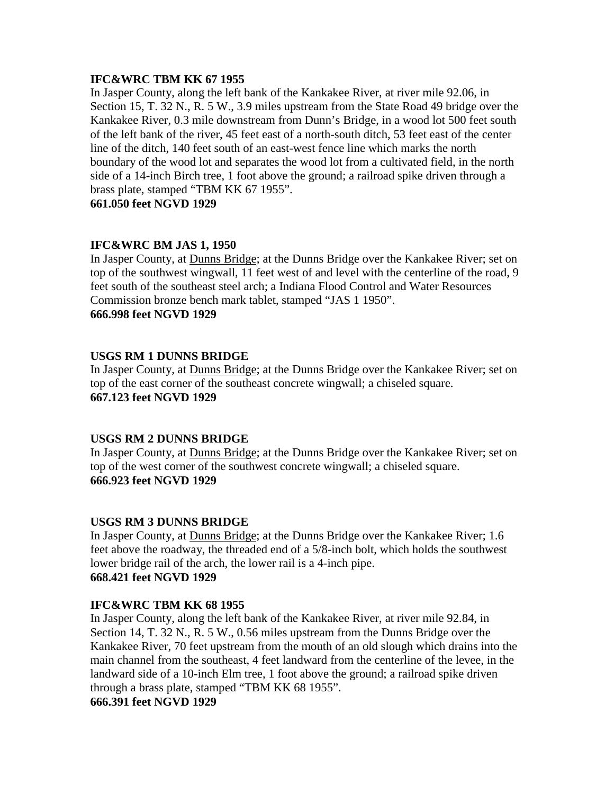# **IFC&WRC TBM KK 67 1955**

In Jasper County, along the left bank of the Kankakee River, at river mile 92.06, in Section 15, T. 32 N., R. 5 W., 3.9 miles upstream from the State Road 49 bridge over the Kankakee River, 0.3 mile downstream from Dunn's Bridge, in a wood lot 500 feet south of the left bank of the river, 45 feet east of a north-south ditch, 53 feet east of the center line of the ditch, 140 feet south of an east-west fence line which marks the north boundary of the wood lot and separates the wood lot from a cultivated field, in the north side of a 14-inch Birch tree, 1 foot above the ground; a railroad spike driven through a brass plate, stamped "TBM KK 67 1955".

**661.050 feet NGVD 1929**

# **IFC&WRC BM JAS 1, 1950**

In Jasper County, at Dunns Bridge; at the Dunns Bridge over the Kankakee River; set on top of the southwest wingwall, 11 feet west of and level with the centerline of the road, 9 feet south of the southeast steel arch; a Indiana Flood Control and Water Resources Commission bronze bench mark tablet, stamped "JAS 1 1950". **666.998 feet NGVD 1929**

# **USGS RM 1 DUNNS BRIDGE**

In Jasper County, at Dunns Bridge; at the Dunns Bridge over the Kankakee River; set on top of the east corner of the southeast concrete wingwall; a chiseled square. **667.123 feet NGVD 1929**

# **USGS RM 2 DUNNS BRIDGE**

In Jasper County, at Dunns Bridge; at the Dunns Bridge over the Kankakee River; set on top of the west corner of the southwest concrete wingwall; a chiseled square. **666.923 feet NGVD 1929**

# **USGS RM 3 DUNNS BRIDGE**

In Jasper County, at Dunns Bridge; at the Dunns Bridge over the Kankakee River; 1.6 feet above the roadway, the threaded end of a 5/8-inch bolt, which holds the southwest lower bridge rail of the arch, the lower rail is a 4-inch pipe. **668.421 feet NGVD 1929**

# **IFC&WRC TBM KK 68 1955**

In Jasper County, along the left bank of the Kankakee River, at river mile 92.84, in Section 14, T. 32 N., R. 5 W., 0.56 miles upstream from the Dunns Bridge over the Kankakee River, 70 feet upstream from the mouth of an old slough which drains into the main channel from the southeast, 4 feet landward from the centerline of the levee, in the landward side of a 10-inch Elm tree, 1 foot above the ground; a railroad spike driven through a brass plate, stamped "TBM KK 68 1955".

**666.391 feet NGVD 1929**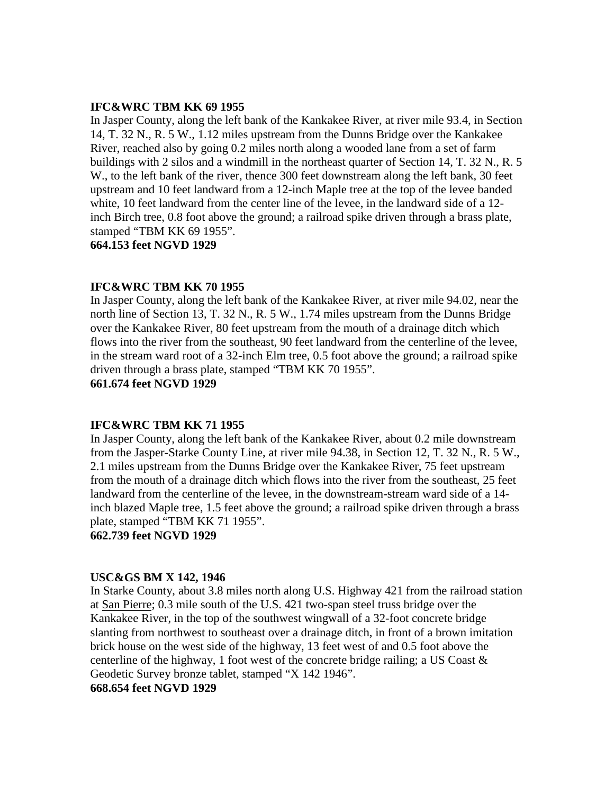#### **IFC&WRC TBM KK 69 1955**

In Jasper County, along the left bank of the Kankakee River, at river mile 93.4, in Section 14, T. 32 N., R. 5 W., 1.12 miles upstream from the Dunns Bridge over the Kankakee River, reached also by going 0.2 miles north along a wooded lane from a set of farm buildings with 2 silos and a windmill in the northeast quarter of Section 14, T. 32 N., R. 5 W., to the left bank of the river, thence 300 feet downstream along the left bank, 30 feet upstream and 10 feet landward from a 12-inch Maple tree at the top of the levee banded white, 10 feet landward from the center line of the levee, in the landward side of a 12 inch Birch tree, 0.8 foot above the ground; a railroad spike driven through a brass plate, stamped "TBM KK 69 1955".

**664.153 feet NGVD 1929**

#### **IFC&WRC TBM KK 70 1955**

In Jasper County, along the left bank of the Kankakee River, at river mile 94.02, near the north line of Section 13, T. 32 N., R. 5 W., 1.74 miles upstream from the Dunns Bridge over the Kankakee River, 80 feet upstream from the mouth of a drainage ditch which flows into the river from the southeast, 90 feet landward from the centerline of the levee, in the stream ward root of a 32-inch Elm tree, 0.5 foot above the ground; a railroad spike driven through a brass plate, stamped "TBM KK 70 1955". **661.674 feet NGVD 1929**

#### **IFC&WRC TBM KK 71 1955**

In Jasper County, along the left bank of the Kankakee River, about 0.2 mile downstream from the Jasper-Starke County Line, at river mile 94.38, in Section 12, T. 32 N., R. 5 W., 2.1 miles upstream from the Dunns Bridge over the Kankakee River, 75 feet upstream from the mouth of a drainage ditch which flows into the river from the southeast, 25 feet landward from the centerline of the levee, in the downstream-stream ward side of a 14 inch blazed Maple tree, 1.5 feet above the ground; a railroad spike driven through a brass plate, stamped "TBM KK 71 1955".

**662.739 feet NGVD 1929**

#### **USC&GS BM X 142, 1946**

In Starke County, about 3.8 miles north along U.S. Highway 421 from the railroad station at San Pierre; 0.3 mile south of the U.S. 421 two-span steel truss bridge over the Kankakee River, in the top of the southwest wingwall of a 32-foot concrete bridge slanting from northwest to southeast over a drainage ditch, in front of a brown imitation brick house on the west side of the highway, 13 feet west of and 0.5 foot above the centerline of the highway, 1 foot west of the concrete bridge railing; a US Coast  $\&$ Geodetic Survey bronze tablet, stamped "X 142 1946".

## **668.654 feet NGVD 1929**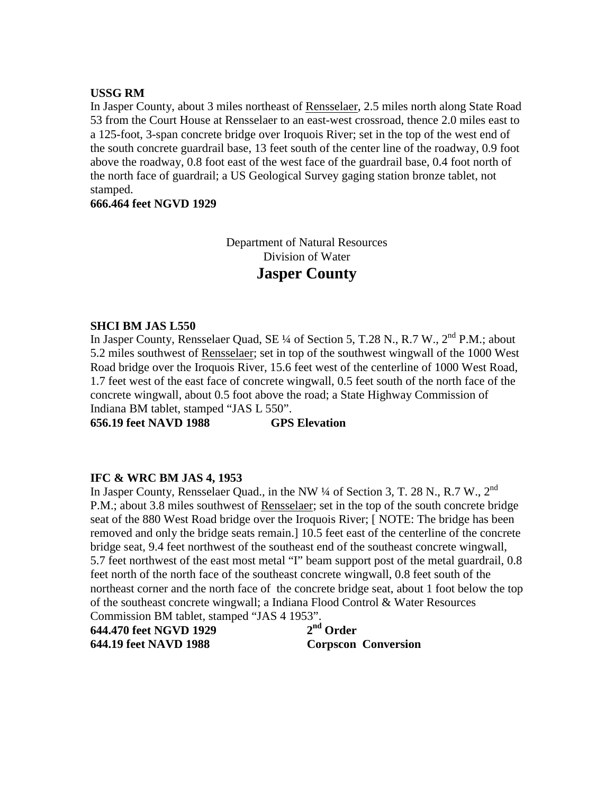#### **USSG RM**

In Jasper County, about 3 miles northeast of Rensselaer, 2.5 miles north along State Road 53 from the Court House at Rensselaer to an east-west crossroad, thence 2.0 miles east to a 125-foot, 3-span concrete bridge over Iroquois River; set in the top of the west end of the south concrete guardrail base, 13 feet south of the center line of the roadway, 0.9 foot above the roadway, 0.8 foot east of the west face of the guardrail base, 0.4 foot north of the north face of guardrail; a US Geological Survey gaging station bronze tablet, not stamped.

**666.464 feet NGVD 1929**

Department of Natural Resources Division of Water **Jasper County**

# **SHCI BM JAS L550**

In Jasper County, Rensselaer Quad, SE  $\frac{1}{4}$  of Section 5, T.28 N., R.7 W.,  $2^{nd}$  P.M.; about 5.2 miles southwest of Rensselaer; set in top of the southwest wingwall of the 1000 West Road bridge over the Iroquois River, 15.6 feet west of the centerline of 1000 West Road, 1.7 feet west of the east face of concrete wingwall, 0.5 feet south of the north face of the concrete wingwall, about 0.5 foot above the road; a State Highway Commission of Indiana BM tablet, stamped "JAS L 550".

**656.19 feet NAVD 1988 GPS Elevation**

# **IFC & WRC BM JAS 4, 1953**

In Jasper County, Rensselaer Quad., in the NW  $\frac{1}{4}$  of Section 3, T. 28 N., R.7 W., 2<sup>nd</sup> P.M.; about 3.8 miles southwest of Rensselaer; set in the top of the south concrete bridge seat of the 880 West Road bridge over the Iroquois River; [ NOTE: The bridge has been removed and only the bridge seats remain.] 10.5 feet east of the centerline of the concrete bridge seat, 9.4 feet northwest of the southeast end of the southeast concrete wingwall, 5.7 feet northwest of the east most metal "I" beam support post of the metal guardrail, 0.8 feet north of the north face of the southeast concrete wingwall, 0.8 feet south of the northeast corner and the north face of the concrete bridge seat, about 1 foot below the top of the southeast concrete wingwall; a Indiana Flood Control & Water Resources Commission BM tablet, stamped "JAS 4 1953".

| 644.470 feet NGVD 1929 | $2nd$ Order                |
|------------------------|----------------------------|
| 644.19 feet NAVD 1988  | <b>Corpscon Conversion</b> |